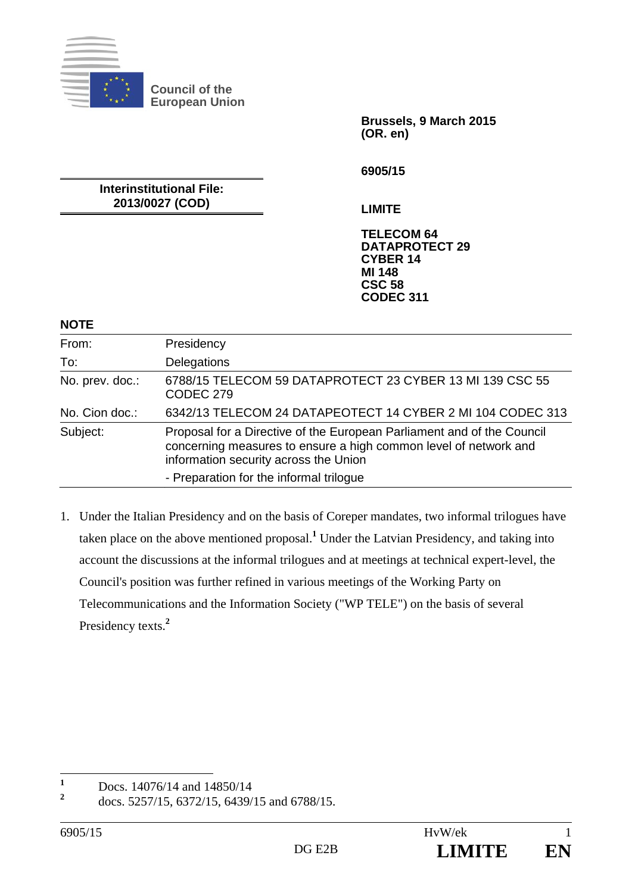

**Council of the European Union** 

> **Brussels, 9 March 2015 (OR. en)**

**6905/15** 

**Interinstitutional File: 2013/0027 (COD)** 

**LIMITE** 

**TELECOM 64 DATAPROTECT 29 CYBER 14 MI 148 CSC 58 CODEC 311**

## **NOTE**

| From:           | Presidency                                                                                                                                                                          |
|-----------------|-------------------------------------------------------------------------------------------------------------------------------------------------------------------------------------|
| To:             | Delegations                                                                                                                                                                         |
| No. prev. doc.: | 6788/15 TELECOM 59 DATAPROTECT 23 CYBER 13 MI 139 CSC 55<br>CODEC 279                                                                                                               |
| No. Cion doc.:  | 6342/13 TELECOM 24 DATAPEOTECT 14 CYBER 2 MI 104 CODEC 313                                                                                                                          |
| Subject:        | Proposal for a Directive of the European Parliament and of the Council<br>concerning measures to ensure a high common level of network and<br>information security across the Union |
|                 | - Preparation for the informal trilogue                                                                                                                                             |

1. Under the Italian Presidency and on the basis of Coreper mandates, two informal trilogues have taken place on the above mentioned proposal.**<sup>1</sup>** Under the Latvian Presidency, and taking into account the discussions at the informal trilogues and at meetings at technical expert-level, the Council's position was further refined in various meetings of the Working Party on Telecommunications and the Information Society ("WP TELE") on the basis of several Presidency texts.**<sup>2</sup>**

 **1** Docs. 14076/14 and 14850/14

**<sup>2</sup>** docs. 5257/15, 6372/15, 6439/15 and 6788/15.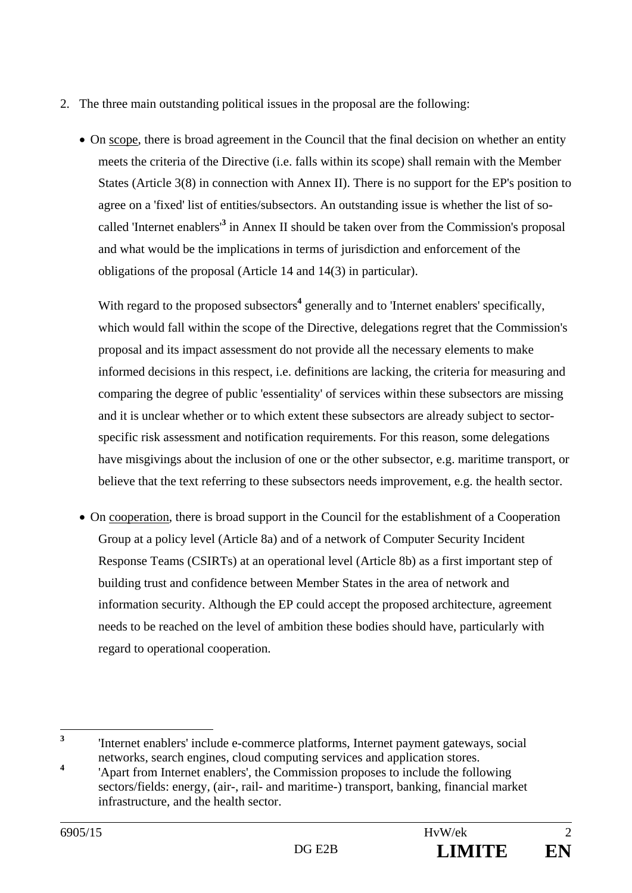- 2. The three main outstanding political issues in the proposal are the following:
	- On scope, there is broad agreement in the Council that the final decision on whether an entity meets the criteria of the Directive (i.e. falls within its scope) shall remain with the Member States (Article 3(8) in connection with Annex II). There is no support for the EP's position to agree on a 'fixed' list of entities/subsectors. An outstanding issue is whether the list of socalled 'Internet enablers'**<sup>3</sup>** in Annex II should be taken over from the Commission's proposal and what would be the implications in terms of jurisdiction and enforcement of the obligations of the proposal (Article 14 and 14(3) in particular).

With regard to the proposed subsectors<sup>4</sup> generally and to 'Internet enablers' specifically, which would fall within the scope of the Directive, delegations regret that the Commission's proposal and its impact assessment do not provide all the necessary elements to make informed decisions in this respect, i.e. definitions are lacking, the criteria for measuring and comparing the degree of public 'essentiality' of services within these subsectors are missing and it is unclear whether or to which extent these subsectors are already subject to sectorspecific risk assessment and notification requirements. For this reason, some delegations have misgivings about the inclusion of one or the other subsector, e.g. maritime transport, or believe that the text referring to these subsectors needs improvement, e.g. the health sector.

 On cooperation, there is broad support in the Council for the establishment of a Cooperation Group at a policy level (Article 8a) and of a network of Computer Security Incident Response Teams (CSIRTs) at an operational level (Article 8b) as a first important step of building trust and confidence between Member States in the area of network and information security. Although the EP could accept the proposed architecture, agreement needs to be reached on the level of ambition these bodies should have, particularly with regard to operational cooperation.

 **3**

 <sup>&#</sup>x27;Internet enablers' include e-commerce platforms, Internet payment gateways, social networks, search engines, cloud computing services and application stores.

**<sup>4</sup>** 'Apart from Internet enablers', the Commission proposes to include the following sectors/fields: energy, (air-, rail- and maritime-) transport, banking, financial market infrastructure, and the health sector.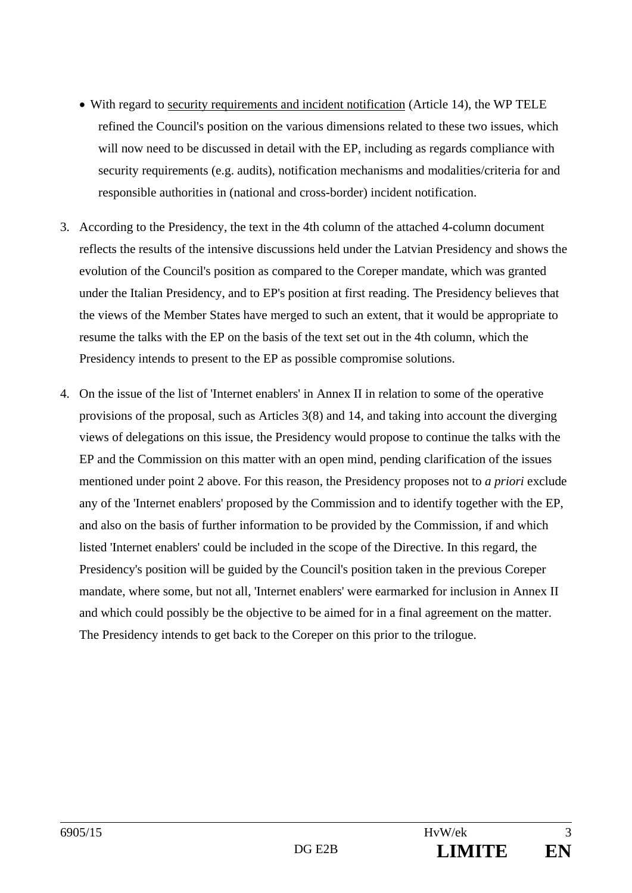- With regard to security requirements and incident notification (Article 14), the WP TELE refined the Council's position on the various dimensions related to these two issues, which will now need to be discussed in detail with the EP, including as regards compliance with security requirements (e.g. audits), notification mechanisms and modalities/criteria for and responsible authorities in (national and cross-border) incident notification.
- 3. According to the Presidency, the text in the 4th column of the attached 4-column document reflects the results of the intensive discussions held under the Latvian Presidency and shows the evolution of the Council's position as compared to the Coreper mandate, which was granted under the Italian Presidency, and to EP's position at first reading. The Presidency believes that the views of the Member States have merged to such an extent, that it would be appropriate to resume the talks with the EP on the basis of the text set out in the 4th column, which the Presidency intends to present to the EP as possible compromise solutions.
- 4. On the issue of the list of 'Internet enablers' in Annex II in relation to some of the operative provisions of the proposal, such as Articles 3(8) and 14, and taking into account the diverging views of delegations on this issue, the Presidency would propose to continue the talks with the EP and the Commission on this matter with an open mind, pending clarification of the issues mentioned under point 2 above. For this reason, the Presidency proposes not to *a priori* exclude any of the 'Internet enablers' proposed by the Commission and to identify together with the EP, and also on the basis of further information to be provided by the Commission, if and which listed 'Internet enablers' could be included in the scope of the Directive. In this regard, the Presidency's position will be guided by the Council's position taken in the previous Coreper mandate, where some, but not all, 'Internet enablers' were earmarked for inclusion in Annex II and which could possibly be the objective to be aimed for in a final agreement on the matter. The Presidency intends to get back to the Coreper on this prior to the trilogue.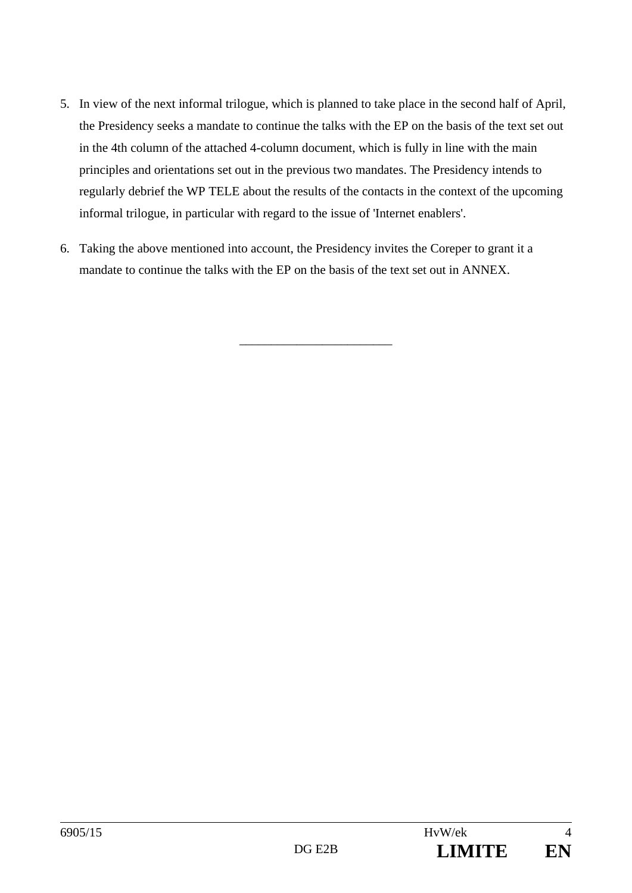- 5. In view of the next informal trilogue, which is planned to take place in the second half of April, the Presidency seeks a mandate to continue the talks with the EP on the basis of the text set out in the 4th column of the attached 4-column document, which is fully in line with the main principles and orientations set out in the previous two mandates. The Presidency intends to regularly debrief the WP TELE about the results of the contacts in the context of the upcoming informal trilogue, in particular with regard to the issue of 'Internet enablers'.
- 6. Taking the above mentioned into account, the Presidency invites the Coreper to grant it a mandate to continue the talks with the EP on the basis of the text set out in ANNEX.

\_\_\_\_\_\_\_\_\_\_\_\_\_\_\_\_\_\_\_\_\_\_\_\_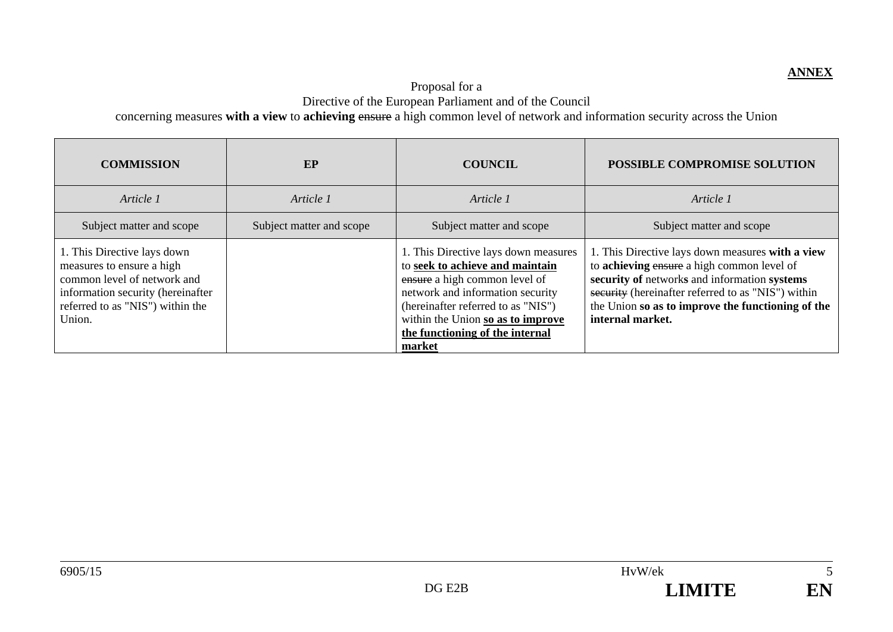## Proposal for a Directive of the European Parliament and of the Council concerning measures **with a view** to **achieving** ensure a high common level of network and information security across the Union

| <b>COMMISSION</b>                                                                                                                                                          | EP                       | <b>COUNCIL</b>                                                                                                                                                                                                                                                       | POSSIBLE COMPROMISE SOLUTION                                                                                                                                                                                                                                                  |
|----------------------------------------------------------------------------------------------------------------------------------------------------------------------------|--------------------------|----------------------------------------------------------------------------------------------------------------------------------------------------------------------------------------------------------------------------------------------------------------------|-------------------------------------------------------------------------------------------------------------------------------------------------------------------------------------------------------------------------------------------------------------------------------|
| Article 1                                                                                                                                                                  | Article 1                | Article 1                                                                                                                                                                                                                                                            | Article 1                                                                                                                                                                                                                                                                     |
| Subject matter and scope                                                                                                                                                   | Subject matter and scope | Subject matter and scope                                                                                                                                                                                                                                             | Subject matter and scope                                                                                                                                                                                                                                                      |
| 1. This Directive lays down<br>measures to ensure a high<br>common level of network and<br>information security (hereinafter<br>referred to as "NIS") within the<br>Union. |                          | 1. This Directive lays down measures<br>to seek to achieve and maintain<br>ensure a high common level of<br>network and information security<br>(hereinafter referred to as "NIS")<br>within the Union so as to improve<br>the functioning of the internal<br>market | 1. This Directive lays down measures with a view<br>to achieving ensure a high common level of<br>security of networks and information systems<br>security (hereinafter referred to as "NIS") within<br>the Union so as to improve the functioning of the<br>internal market. |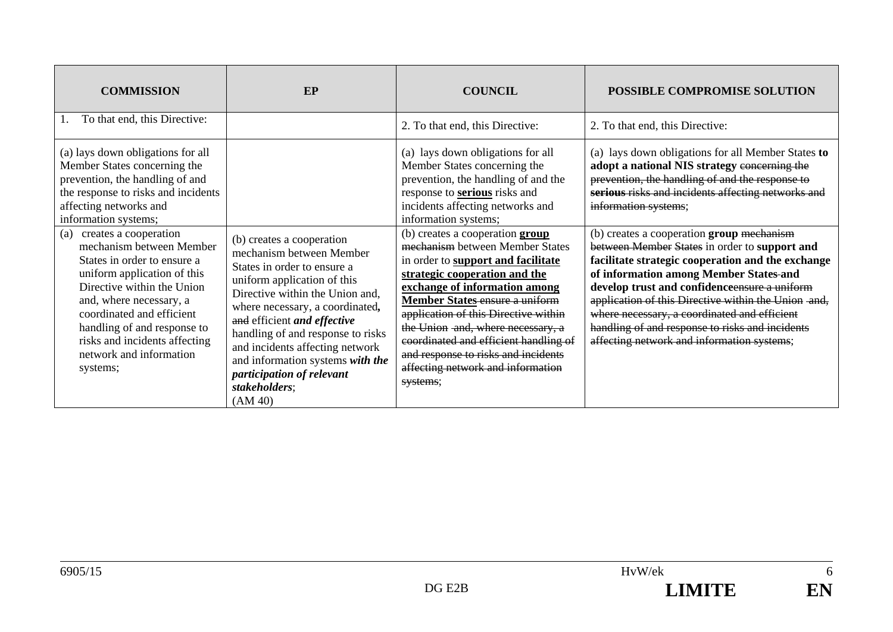| <b>COMMISSION</b>                                                                                                                                                                                                                                                                                                                                                                                                                                                                                                    | EP                                                                                                                                                                                                                                                                                                                                                                                            | <b>COUNCIL</b>                                                                                                                                                                                                                                                                                                                                                                                                                                                                                                                                                                                                                              | POSSIBLE COMPROMISE SOLUTION                                                                                                                                                                                                                                                                                                                                                                                                                                                                                                                                                                                                                                                              |
|----------------------------------------------------------------------------------------------------------------------------------------------------------------------------------------------------------------------------------------------------------------------------------------------------------------------------------------------------------------------------------------------------------------------------------------------------------------------------------------------------------------------|-----------------------------------------------------------------------------------------------------------------------------------------------------------------------------------------------------------------------------------------------------------------------------------------------------------------------------------------------------------------------------------------------|---------------------------------------------------------------------------------------------------------------------------------------------------------------------------------------------------------------------------------------------------------------------------------------------------------------------------------------------------------------------------------------------------------------------------------------------------------------------------------------------------------------------------------------------------------------------------------------------------------------------------------------------|-------------------------------------------------------------------------------------------------------------------------------------------------------------------------------------------------------------------------------------------------------------------------------------------------------------------------------------------------------------------------------------------------------------------------------------------------------------------------------------------------------------------------------------------------------------------------------------------------------------------------------------------------------------------------------------------|
| To that end, this Directive:                                                                                                                                                                                                                                                                                                                                                                                                                                                                                         |                                                                                                                                                                                                                                                                                                                                                                                               | 2. To that end, this Directive:                                                                                                                                                                                                                                                                                                                                                                                                                                                                                                                                                                                                             | 2. To that end, this Directive:                                                                                                                                                                                                                                                                                                                                                                                                                                                                                                                                                                                                                                                           |
| (a) lays down obligations for all<br>Member States concerning the<br>prevention, the handling of and<br>the response to risks and incidents<br>affecting networks and<br>information systems;<br>creates a cooperation<br>(a)<br>mechanism between Member<br>States in order to ensure a<br>uniform application of this<br>Directive within the Union<br>and, where necessary, a<br>coordinated and efficient<br>handling of and response to<br>risks and incidents affecting<br>network and information<br>systems; | (b) creates a cooperation<br>mechanism between Member<br>States in order to ensure a<br>uniform application of this<br>Directive within the Union and,<br>where necessary, a coordinated,<br>and efficient and effective<br>handling of and response to risks<br>and incidents affecting network<br>and information systems with the<br>participation of relevant<br>stakeholders;<br>(AM 40) | (a) lays down obligations for all<br>Member States concerning the<br>prevention, the handling of and the<br>response to <b>serious</b> risks and<br>incidents affecting networks and<br>information systems;<br>(b) creates a cooperation group<br>mechanism between Member States<br>in order to support and facilitate<br>strategic cooperation and the<br>exchange of information among<br>Member States-ensure a uniform<br>application of this Directive within<br>the Union -and, where necessary, a<br>coordinated and efficient handling of<br>and response to risks and incidents<br>affecting network and information<br>systems; | (a) lays down obligations for all Member States to<br>adopt a national NIS strategy concerning the<br>prevention, the handling of and the response to<br>serious risks and incidents affecting networks and<br>information systems;<br>(b) creates a cooperation group mechanism<br>between Member States in order to support and<br>facilitate strategic cooperation and the exchange<br>of information among Member States-and<br>develop trust and confidenceensure a uniform<br>application of this Directive within the Union -and,<br>where necessary, a coordinated and efficient<br>handling of and response to risks and incidents<br>affecting network and information systems; |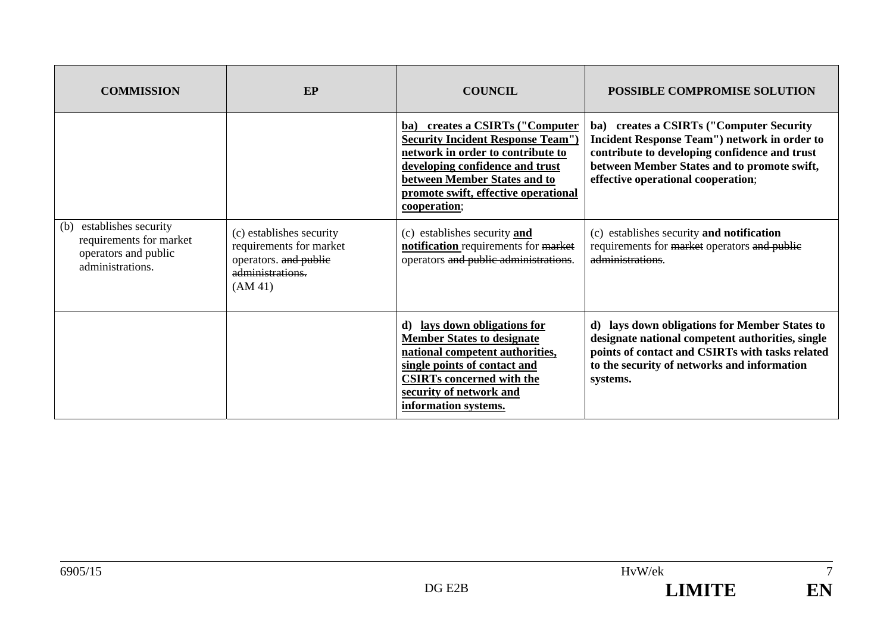| <b>COMMISSION</b>                                                                                  | EP                                                                                                          | <b>COUNCIL</b>                                                                                                                                                                                                                               | POSSIBLE COMPROMISE SOLUTION                                                                                                                                                                                                           |
|----------------------------------------------------------------------------------------------------|-------------------------------------------------------------------------------------------------------------|----------------------------------------------------------------------------------------------------------------------------------------------------------------------------------------------------------------------------------------------|----------------------------------------------------------------------------------------------------------------------------------------------------------------------------------------------------------------------------------------|
|                                                                                                    |                                                                                                             | ba) creates a CSIRTs ("Computer"<br><b>Security Incident Response Team")</b><br>network in order to contribute to<br>developing confidence and trust<br>between Member States and to<br>promote swift, effective operational<br>cooperation; | ba) creates a CSIRTs ("Computer Security"<br><b>Incident Response Team") network in order to</b><br>contribute to developing confidence and trust<br>between Member States and to promote swift,<br>effective operational cooperation; |
| establishes security<br>(b)<br>requirements for market<br>operators and public<br>administrations. | (c) establishes security<br>requirements for market<br>operators. and public<br>administrations.<br>(AM 41) | (c) establishes security and<br>notification requirements for market<br>operators and public administrations.                                                                                                                                | (c) establishes security and notification<br>requirements for market operators and public<br>administrations.                                                                                                                          |
|                                                                                                    |                                                                                                             | d) lays down obligations for<br><b>Member States to designate</b><br>national competent authorities,<br>single points of contact and<br><b>CSIRTs concerned with the</b><br>security of network and<br>information systems.                  | d) lays down obligations for Member States to<br>designate national competent authorities, single<br>points of contact and CSIRTs with tasks related<br>to the security of networks and information<br>systems.                        |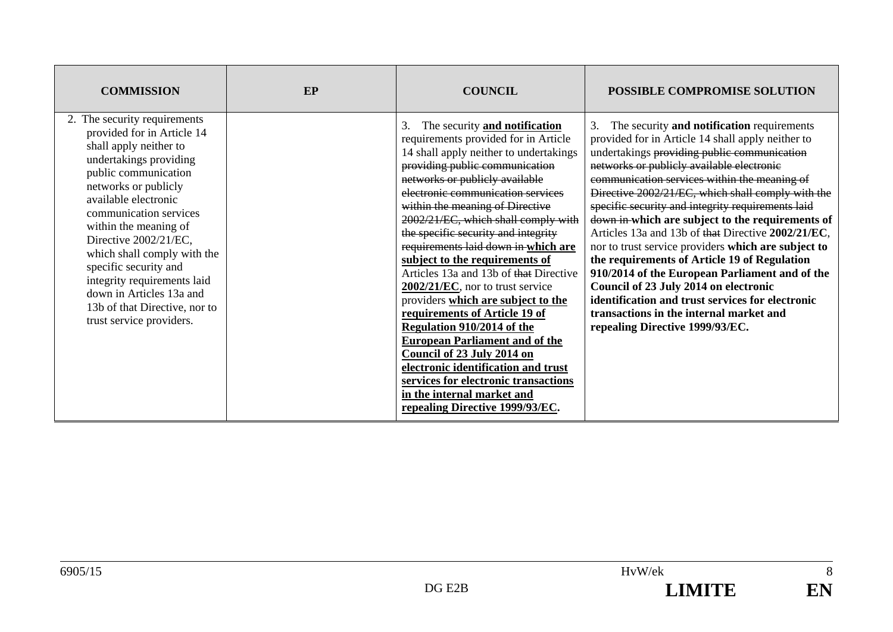| <b>COMMISSION</b>                                                                                                                                                                                                                                                                                                                                                                                                                                  | EP | <b>COUNCIL</b>                                                                                                                                                                                                                                                                                                                                                                                                                                                                                                                                                                                                                                                                                                                                                                                                                               | <b>POSSIBLE COMPROMISE SOLUTION</b>                                                                                                                                                                                                                                                                                                                                                                                                                                                                                                                                                                                                                                                                                                                                                                       |
|----------------------------------------------------------------------------------------------------------------------------------------------------------------------------------------------------------------------------------------------------------------------------------------------------------------------------------------------------------------------------------------------------------------------------------------------------|----|----------------------------------------------------------------------------------------------------------------------------------------------------------------------------------------------------------------------------------------------------------------------------------------------------------------------------------------------------------------------------------------------------------------------------------------------------------------------------------------------------------------------------------------------------------------------------------------------------------------------------------------------------------------------------------------------------------------------------------------------------------------------------------------------------------------------------------------------|-----------------------------------------------------------------------------------------------------------------------------------------------------------------------------------------------------------------------------------------------------------------------------------------------------------------------------------------------------------------------------------------------------------------------------------------------------------------------------------------------------------------------------------------------------------------------------------------------------------------------------------------------------------------------------------------------------------------------------------------------------------------------------------------------------------|
| 2. The security requirements<br>provided for in Article 14<br>shall apply neither to<br>undertakings providing<br>public communication<br>networks or publicly<br>available electronic<br>communication services<br>within the meaning of<br>Directive 2002/21/EC,<br>which shall comply with the<br>specific security and<br>integrity requirements laid<br>down in Articles 13a and<br>13b of that Directive, nor to<br>trust service providers. |    | The security and notification<br>3.<br>requirements provided for in Article<br>14 shall apply neither to undertakings<br>providing public communication<br>networks or publicly available<br>electronic communication services<br>within the meaning of Directive<br>2002/21/EC, which shall comply with<br>the specific security and integrity<br>requirements laid down in which are<br>subject to the requirements of<br>Articles 13a and 13b of that Directive<br>$2002/21/EC$ , nor to trust service<br>providers which are subject to the<br>requirements of Article 19 of<br><b>Regulation 910/2014 of the</b><br><b>European Parliament and of the</b><br>Council of 23 July 2014 on<br>electronic identification and trust<br>services for electronic transactions<br>in the internal market and<br>repealing Directive 1999/93/EC. | The security and notification requirements<br>3.<br>provided for in Article 14 shall apply neither to<br>undertakings providing public communication<br>networks or publicly available electronic<br>communication services within the meaning of<br>Directive 2002/21/EC, which shall comply with the<br>specific security and integrity requirements laid<br>down in which are subject to the requirements of<br>Articles 13a and 13b of that Directive 2002/21/EC,<br>nor to trust service providers which are subject to<br>the requirements of Article 19 of Regulation<br>910/2014 of the European Parliament and of the<br>Council of 23 July 2014 on electronic<br>identification and trust services for electronic<br>transactions in the internal market and<br>repealing Directive 1999/93/EC. |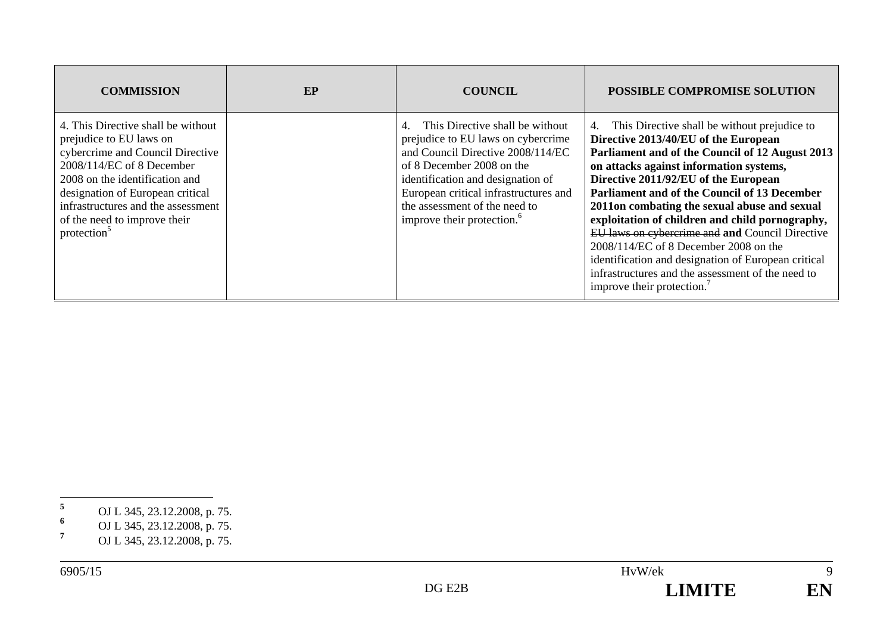| <b>COMMISSION</b>                                                                                                                                                                                                                                                                                     | EP | <b>COUNCIL</b>                                                                                                                                                                                                                                                                                         | POSSIBLE COMPROMISE SOLUTION                                                                                                                                                                                                                                                                                                                                                                                                                                                                                                                                                                                            |
|-------------------------------------------------------------------------------------------------------------------------------------------------------------------------------------------------------------------------------------------------------------------------------------------------------|----|--------------------------------------------------------------------------------------------------------------------------------------------------------------------------------------------------------------------------------------------------------------------------------------------------------|-------------------------------------------------------------------------------------------------------------------------------------------------------------------------------------------------------------------------------------------------------------------------------------------------------------------------------------------------------------------------------------------------------------------------------------------------------------------------------------------------------------------------------------------------------------------------------------------------------------------------|
| 4. This Directive shall be without<br>prejudice to EU laws on<br>cybercrime and Council Directive<br>2008/114/EC of 8 December<br>2008 on the identification and<br>designation of European critical<br>infrastructures and the assessment<br>of the need to improve their<br>protection <sup>5</sup> |    | This Directive shall be without<br>4.<br>prejudice to EU laws on cybercrime<br>and Council Directive 2008/114/EC<br>of 8 December 2008 on the<br>identification and designation of<br>European critical infrastructures and<br>the assessment of the need to<br>improve their protection. <sup>6</sup> | 4. This Directive shall be without prejudice to<br>Directive 2013/40/EU of the European<br>Parliament and of the Council of 12 August 2013<br>on attacks against information systems,<br>Directive 2011/92/EU of the European<br>Parliament and of the Council of 13 December<br>2011on combating the sexual abuse and sexual<br>exploitation of children and child pornography,<br>EU laws on cybercrime and and Council Directive<br>$2008/114/EC$ of 8 December 2008 on the<br>identification and designation of European critical<br>infrastructures and the assessment of the need to<br>improve their protection. |

- **<sup>6</sup>** OJ L 345, 23.12.2008, p. 75.
- **<sup>7</sup>** OJ L 345, 23.12.2008, p. 75.

**<sup>5</sup>** OJ L 345, 23.12.2008, p. 75.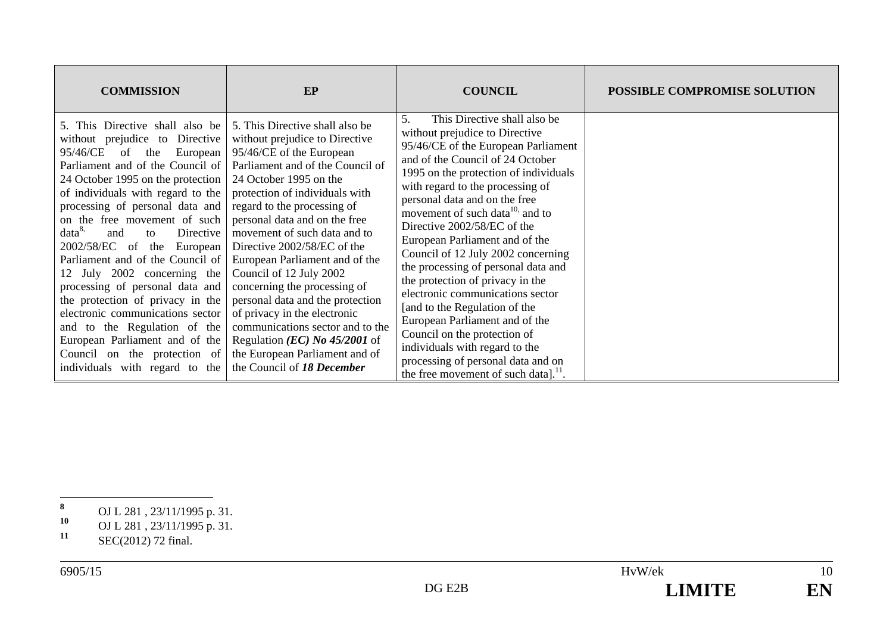| <b>COMMISSION</b>                                                                                                                                                                                                                                                                                                                                                                                                                                                                                                                                                                                                                                                                               | EP                                                                                                                                                                                                                                                                                                                                                                                                                                                                                                                                                                                                                                            | <b>COUNCIL</b>                                                                                                                                                                                                                                                                                                                                                                                                                                                                                                                                                                                                                                                                                                                                              | <b>POSSIBLE COMPROMISE SOLUTION</b> |
|-------------------------------------------------------------------------------------------------------------------------------------------------------------------------------------------------------------------------------------------------------------------------------------------------------------------------------------------------------------------------------------------------------------------------------------------------------------------------------------------------------------------------------------------------------------------------------------------------------------------------------------------------------------------------------------------------|-----------------------------------------------------------------------------------------------------------------------------------------------------------------------------------------------------------------------------------------------------------------------------------------------------------------------------------------------------------------------------------------------------------------------------------------------------------------------------------------------------------------------------------------------------------------------------------------------------------------------------------------------|-------------------------------------------------------------------------------------------------------------------------------------------------------------------------------------------------------------------------------------------------------------------------------------------------------------------------------------------------------------------------------------------------------------------------------------------------------------------------------------------------------------------------------------------------------------------------------------------------------------------------------------------------------------------------------------------------------------------------------------------------------------|-------------------------------------|
| 5. This Directive shall also be<br>without prejudice to<br>Directive<br>95/46/CE<br>of<br>European<br>the<br>Parliament and of the Council of<br>24 October 1995 on the protection<br>of individuals with regard to the<br>processing of personal data and<br>on the free movement of such<br>data <sup>8</sup><br>Directive<br>and<br>to<br>2002/58/EC of the<br>European<br>Parliament and of the Council of<br>July 2002 concerning the<br>12<br>processing of personal data and<br>the protection of privacy in the<br>electronic communications sector<br>and to the Regulation of the<br>European Parliament and of the<br>Council on the protection of<br>individuals with regard to the | 5. This Directive shall also be<br>without prejudice to Directive<br>95/46/CE of the European<br>Parliament and of the Council of<br>24 October 1995 on the<br>protection of individuals with<br>regard to the processing of<br>personal data and on the free<br>movement of such data and to<br>Directive 2002/58/EC of the<br>European Parliament and of the<br>Council of 12 July 2002<br>concerning the processing of<br>personal data and the protection<br>of privacy in the electronic<br>communications sector and to the<br>Regulation ( <i>EC</i> ) No $45/2001$ of<br>the European Parliament and of<br>the Council of 18 December | 5.<br>This Directive shall also be<br>without prejudice to Directive<br>95/46/CE of the European Parliament<br>and of the Council of 24 October<br>1995 on the protection of individuals<br>with regard to the processing of<br>personal data and on the free<br>movement of such data <sup>10,</sup> and to<br>Directive 2002/58/EC of the<br>European Parliament and of the<br>Council of 12 July 2002 concerning<br>the processing of personal data and<br>the protection of privacy in the<br>electronic communications sector<br>[and to the Regulation of the<br>European Parliament and of the<br>Council on the protection of<br>individuals with regard to the<br>processing of personal data and on<br>the free movement of such data]. $^{11}$ . |                                     |

**<sup>8</sup>** OJ L 281 , 23/11/1995 p. 31.

**<sup>10</sup>** OJ L 281 , 23/11/1995 p. 31.

<sup>11</sup> **SEC(2012)** 72 final.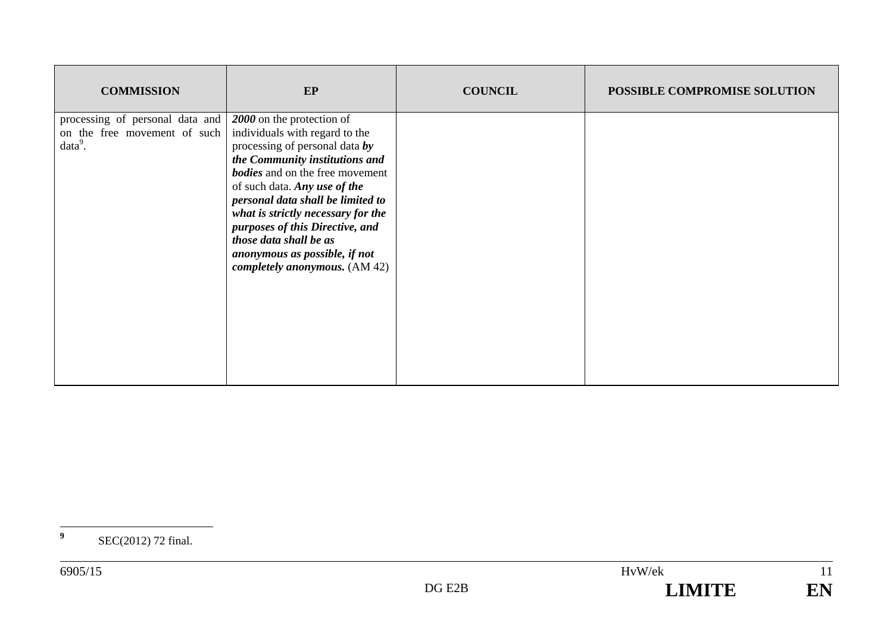| <b>COMMISSION</b>                                                            | EP                                                                                                                                                                                                                                                                                                                                                                                                                  | <b>COUNCIL</b> | POSSIBLE COMPROMISE SOLUTION |
|------------------------------------------------------------------------------|---------------------------------------------------------------------------------------------------------------------------------------------------------------------------------------------------------------------------------------------------------------------------------------------------------------------------------------------------------------------------------------------------------------------|----------------|------------------------------|
| processing of personal data and<br>on the free movement of such<br>$data9$ . | 2000 on the protection of<br>individuals with regard to the<br>processing of personal data by<br>the Community institutions and<br><b>bodies</b> and on the free movement<br>of such data. Any use of the<br>personal data shall be limited to<br>what is strictly necessary for the<br>purposes of this Directive, and<br>those data shall be as<br>anonymous as possible, if not<br>completely anonymous. (AM 42) |                |                              |

**<sup>9</sup>** SEC(2012) 72 final.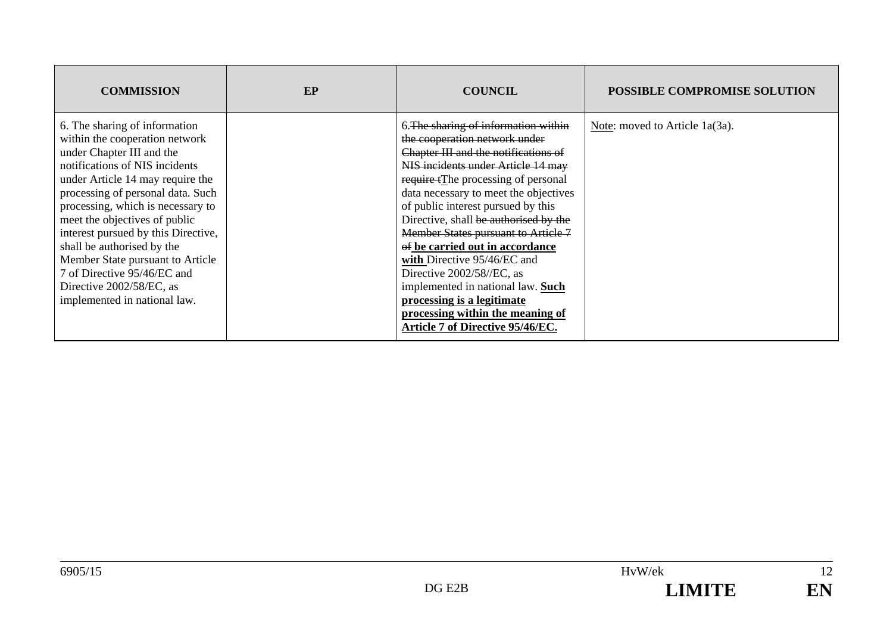| <b>COMMISSION</b>                                                                                                                                                                                                                                                                                                                                                                                                                                                                 | EP | <b>COUNCIL</b>                                                                                                                                                                                                                                                                                                                                                                                                                                                                                                                                                                                      | <b>POSSIBLE COMPROMISE SOLUTION</b> |
|-----------------------------------------------------------------------------------------------------------------------------------------------------------------------------------------------------------------------------------------------------------------------------------------------------------------------------------------------------------------------------------------------------------------------------------------------------------------------------------|----|-----------------------------------------------------------------------------------------------------------------------------------------------------------------------------------------------------------------------------------------------------------------------------------------------------------------------------------------------------------------------------------------------------------------------------------------------------------------------------------------------------------------------------------------------------------------------------------------------------|-------------------------------------|
| 6. The sharing of information<br>within the cooperation network<br>under Chapter III and the<br>notifications of NIS incidents<br>under Article 14 may require the<br>processing of personal data. Such<br>processing, which is necessary to<br>meet the objectives of public<br>interest pursued by this Directive,<br>shall be authorised by the<br>Member State pursuant to Article<br>7 of Directive 95/46/EC and<br>Directive 2002/58/EC, as<br>implemented in national law. |    | 6. The sharing of information within<br>the cooperation network under<br>Chapter III and the notifications of<br>NIS incidents under Article 14 may<br>require tThe processing of personal<br>data necessary to meet the objectives<br>of public interest pursued by this<br>Directive, shall be authorised by the<br>Member States pursuant to Article 7<br>of be carried out in accordance<br>with Directive 95/46/EC and<br>Directive 2002/58//EC, as<br>implemented in national law. Such<br>processing is a legitimate<br>processing within the meaning of<br>Article 7 of Directive 95/46/EC. | Note: moved to Article 1a(3a).      |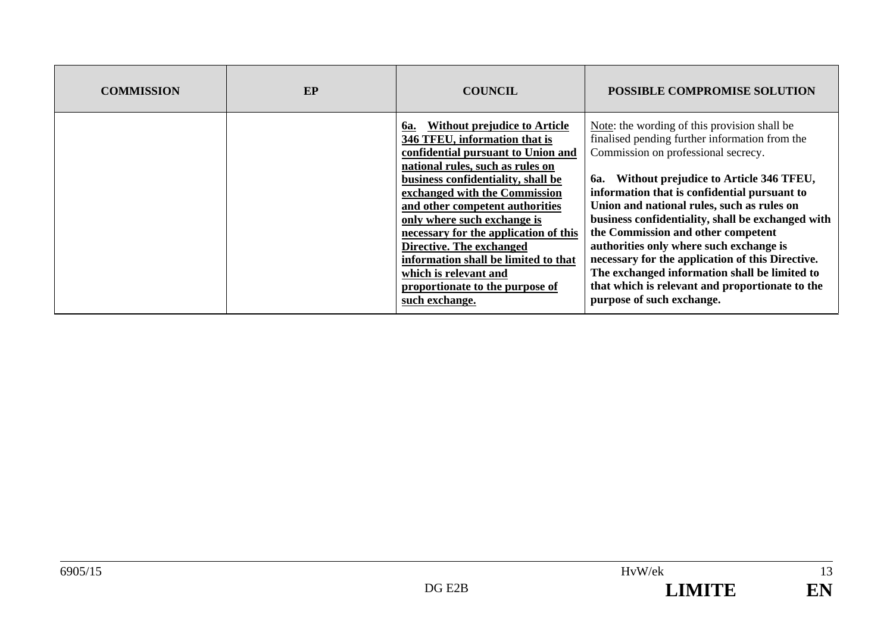| <b>COMMISSION</b> | EP | <b>COUNCIL</b>                                                                                                                                                                                                                                                                                                                                                                                                                                                                            | <b>POSSIBLE COMPROMISE SOLUTION</b>                                                                                                                                                                                                                                                                                                                                                                                                                                                                                                                                                                                    |
|-------------------|----|-------------------------------------------------------------------------------------------------------------------------------------------------------------------------------------------------------------------------------------------------------------------------------------------------------------------------------------------------------------------------------------------------------------------------------------------------------------------------------------------|------------------------------------------------------------------------------------------------------------------------------------------------------------------------------------------------------------------------------------------------------------------------------------------------------------------------------------------------------------------------------------------------------------------------------------------------------------------------------------------------------------------------------------------------------------------------------------------------------------------------|
|                   |    | Without prejudice to Article<br><b>6a.</b><br>346 TFEU, information that is<br>confidential pursuant to Union and<br>national rules, such as rules on<br>business confidentiality, shall be<br>exchanged with the Commission<br>and other competent authorities<br>only where such exchange is<br>necessary for the application of this<br>Directive. The exchanged<br>information shall be limited to that<br>which is relevant and<br>proportionate to the purpose of<br>such exchange. | Note: the wording of this provision shall be<br>finalised pending further information from the<br>Commission on professional secrecy.<br>Without prejudice to Article 346 TFEU,<br><b>6a.</b><br>information that is confidential pursuant to<br>Union and national rules, such as rules on<br>business confidentiality, shall be exchanged with<br>the Commission and other competent<br>authorities only where such exchange is<br>necessary for the application of this Directive.<br>The exchanged information shall be limited to<br>that which is relevant and proportionate to the<br>purpose of such exchange. |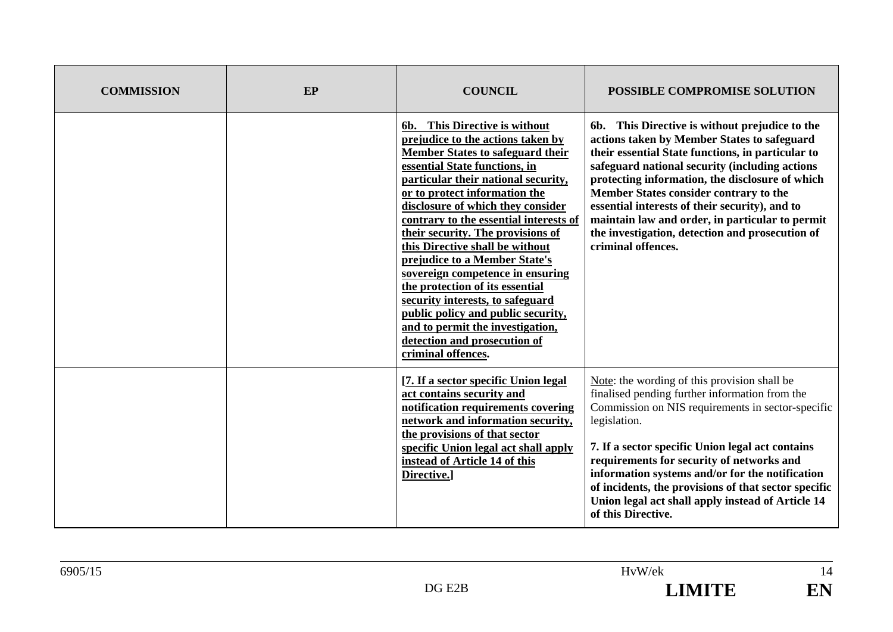| <b>COMMISSION</b> | EP | <b>COUNCIL</b>                                                                                                                                                                                                                                                                                                                                                                                                                                                                                                                                                                                                                                            | <b>POSSIBLE COMPROMISE SOLUTION</b>                                                                                                                                                                                                                                                                                                                                                                                                                                             |
|-------------------|----|-----------------------------------------------------------------------------------------------------------------------------------------------------------------------------------------------------------------------------------------------------------------------------------------------------------------------------------------------------------------------------------------------------------------------------------------------------------------------------------------------------------------------------------------------------------------------------------------------------------------------------------------------------------|---------------------------------------------------------------------------------------------------------------------------------------------------------------------------------------------------------------------------------------------------------------------------------------------------------------------------------------------------------------------------------------------------------------------------------------------------------------------------------|
|                   |    | 6b. This Directive is without<br>prejudice to the actions taken by<br><b>Member States to safeguard their</b><br>essential State functions, in<br>particular their national security,<br>or to protect information the<br>disclosure of which they consider<br>contrary to the essential interests of<br>their security. The provisions of<br>this Directive shall be without<br>prejudice to a Member State's<br>sovereign competence in ensuring<br>the protection of its essential<br>security interests, to safeguard<br>public policy and public security,<br>and to permit the investigation,<br>detection and prosecution of<br>criminal offences. | 6b. This Directive is without prejudice to the<br>actions taken by Member States to safeguard<br>their essential State functions, in particular to<br>safeguard national security (including actions<br>protecting information, the disclosure of which<br>Member States consider contrary to the<br>essential interests of their security), and to<br>maintain law and order, in particular to permit<br>the investigation, detection and prosecution of<br>criminal offences. |
|                   |    | [7. If a sector specific Union legal]<br>act contains security and<br>notification requirements covering<br>network and information security,<br>the provisions of that sector<br>specific Union legal act shall apply<br>instead of Article 14 of this<br>Directive.]                                                                                                                                                                                                                                                                                                                                                                                    | Note: the wording of this provision shall be<br>finalised pending further information from the<br>Commission on NIS requirements in sector-specific<br>legislation.<br>7. If a sector specific Union legal act contains<br>requirements for security of networks and<br>information systems and/or for the notification<br>of incidents, the provisions of that sector specific<br>Union legal act shall apply instead of Article 14<br>of this Directive.                      |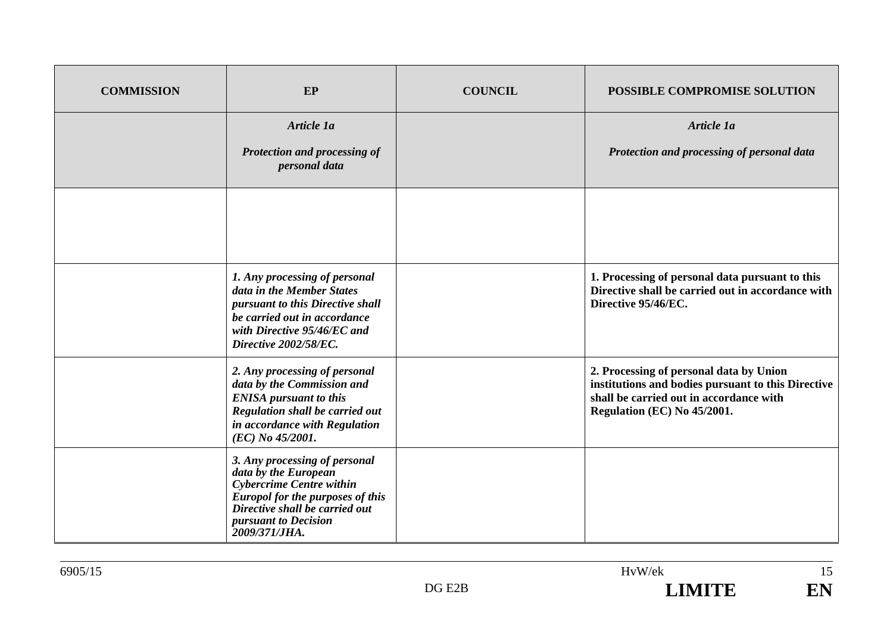| <b>COMMISSION</b> | EP                                                                                                                                                                                                             | <b>COUNCIL</b> | POSSIBLE COMPROMISE SOLUTION                                                                                                                                            |
|-------------------|----------------------------------------------------------------------------------------------------------------------------------------------------------------------------------------------------------------|----------------|-------------------------------------------------------------------------------------------------------------------------------------------------------------------------|
|                   | Article 1a                                                                                                                                                                                                     |                | Article 1a                                                                                                                                                              |
|                   | Protection and processing of<br>personal data                                                                                                                                                                  |                | Protection and processing of personal data                                                                                                                              |
|                   |                                                                                                                                                                                                                |                |                                                                                                                                                                         |
|                   | 1. Any processing of personal<br>data in the Member States<br>pursuant to this Directive shall<br>be carried out in accordance<br>with Directive 95/46/EC and<br>Directive 2002/58/EC.                         |                | 1. Processing of personal data pursuant to this<br>Directive shall be carried out in accordance with<br>Directive 95/46/EC.                                             |
|                   | 2. Any processing of personal<br>data by the Commission and<br><b>ENISA</b> pursuant to this<br>Regulation shall be carried out<br>in accordance with Regulation<br>(EC) No 45/2001.                           |                | 2. Processing of personal data by Union<br>institutions and bodies pursuant to this Directive<br>shall be carried out in accordance with<br>Regulation (EC) No 45/2001. |
|                   | 3. Any processing of personal<br>data by the European<br><b>Cybercrime Centre within</b><br><b>Europol for the purposes of this</b><br>Directive shall be carried out<br>pursuant to Decision<br>2009/371/JHA. |                |                                                                                                                                                                         |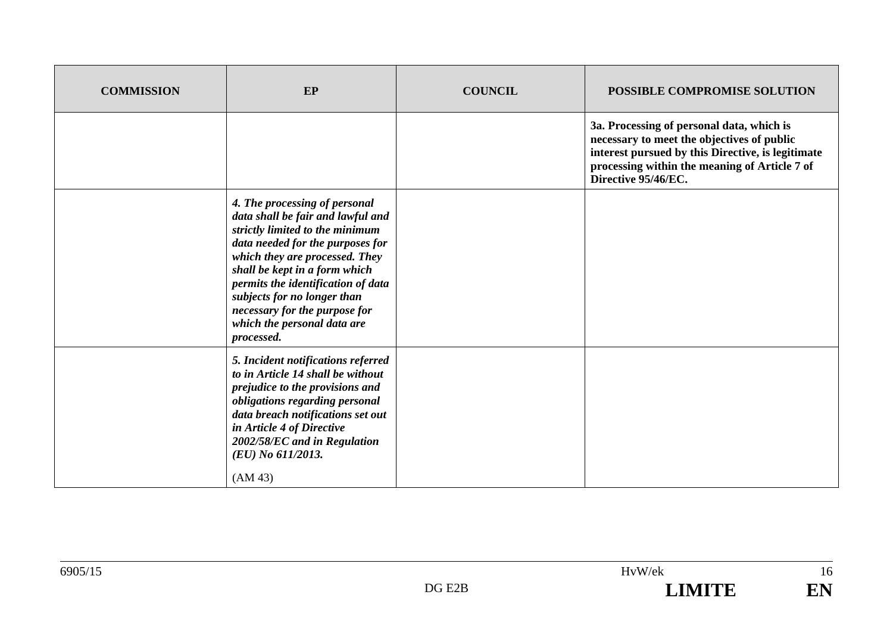| <b>COMMISSION</b> | EP                                                                                                                                                                                                                                                                                                                                                              | <b>COUNCIL</b> | POSSIBLE COMPROMISE SOLUTION                                                                                                                                                                                         |
|-------------------|-----------------------------------------------------------------------------------------------------------------------------------------------------------------------------------------------------------------------------------------------------------------------------------------------------------------------------------------------------------------|----------------|----------------------------------------------------------------------------------------------------------------------------------------------------------------------------------------------------------------------|
|                   |                                                                                                                                                                                                                                                                                                                                                                 |                | 3a. Processing of personal data, which is<br>necessary to meet the objectives of public<br>interest pursued by this Directive, is legitimate<br>processing within the meaning of Article 7 of<br>Directive 95/46/EC. |
|                   | 4. The processing of personal<br>data shall be fair and lawful and<br>strictly limited to the minimum<br>data needed for the purposes for<br>which they are processed. They<br>shall be kept in a form which<br>permits the identification of data<br>subjects for no longer than<br>necessary for the purpose for<br>which the personal data are<br>processed. |                |                                                                                                                                                                                                                      |
|                   | 5. Incident notifications referred<br>to in Article 14 shall be without<br>prejudice to the provisions and<br>obligations regarding personal<br>data breach notifications set out<br>in Article 4 of Directive<br>2002/58/EC and in Regulation<br>(EU) No 611/2013.<br>(AM 43)                                                                                  |                |                                                                                                                                                                                                                      |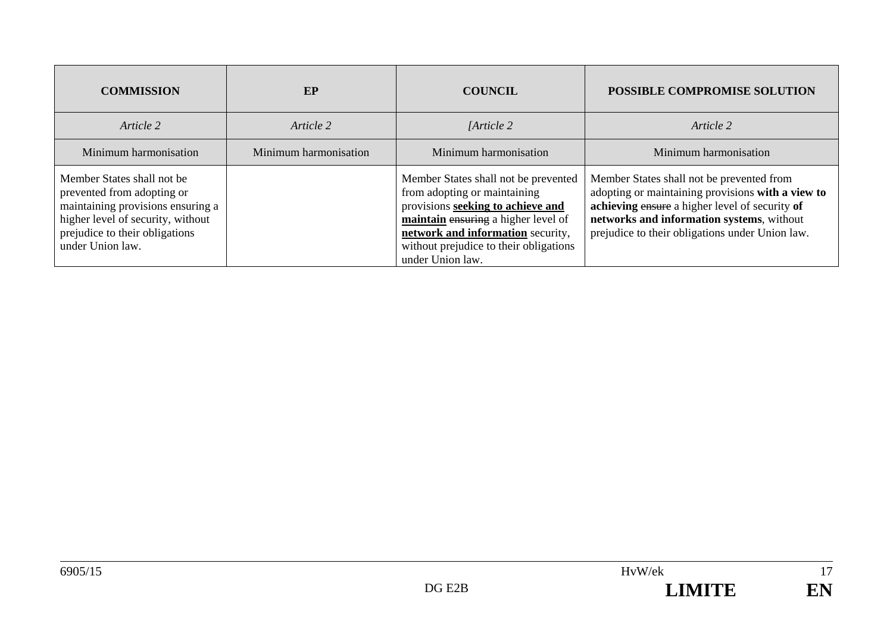| <b>COMMISSION</b>                                                                                                                                                                        | EP                    | <b>COUNCIL</b>                                                                                                                                                                                                                                      | POSSIBLE COMPROMISE SOLUTION                                                                                                                                                                                                                     |
|------------------------------------------------------------------------------------------------------------------------------------------------------------------------------------------|-----------------------|-----------------------------------------------------------------------------------------------------------------------------------------------------------------------------------------------------------------------------------------------------|--------------------------------------------------------------------------------------------------------------------------------------------------------------------------------------------------------------------------------------------------|
| Article 2                                                                                                                                                                                | Article 2             | [Article 2]                                                                                                                                                                                                                                         | Article 2                                                                                                                                                                                                                                        |
| Minimum harmonisation                                                                                                                                                                    | Minimum harmonisation | Minimum harmonisation                                                                                                                                                                                                                               | Minimum harmonisation                                                                                                                                                                                                                            |
| Member States shall not be<br>prevented from adopting or<br>maintaining provisions ensuring a<br>higher level of security, without<br>prejudice to their obligations<br>under Union law. |                       | Member States shall not be prevented<br>from adopting or maintaining<br>provisions seeking to achieve and<br>maintain ensuring a higher level of<br>network and information security,<br>without prejudice to their obligations<br>under Union law. | Member States shall not be prevented from<br>adopting or maintaining provisions with a view to<br>achieving ensure a higher level of security of<br>networks and information systems, without<br>prejudice to their obligations under Union law. |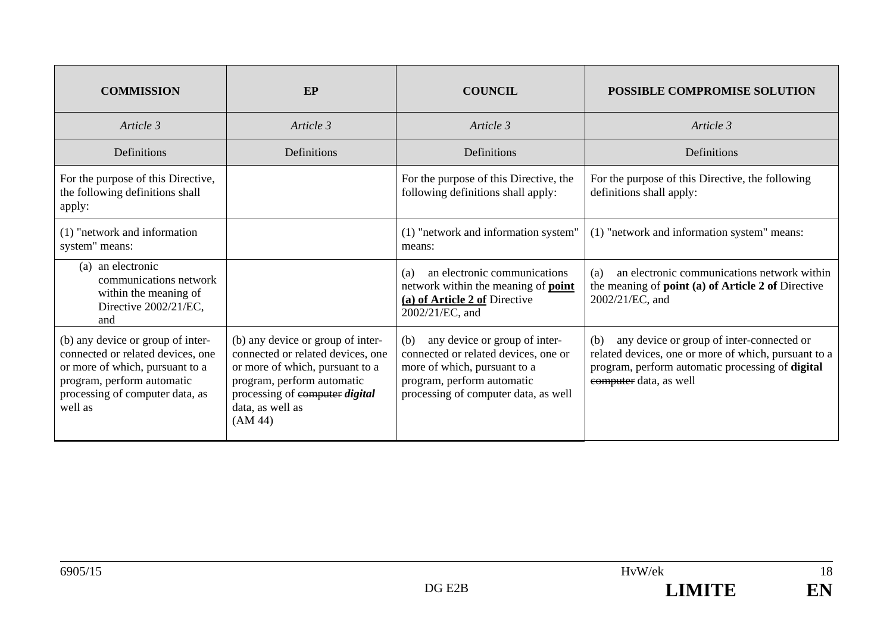| <b>COMMISSION</b>                                                                                                                                                                     | EP                                                                                                                                                                                                       | <b>COUNCIL</b>                                                                                                                                                                     | POSSIBLE COMPROMISE SOLUTION                                                                                                                                                           |
|---------------------------------------------------------------------------------------------------------------------------------------------------------------------------------------|----------------------------------------------------------------------------------------------------------------------------------------------------------------------------------------------------------|------------------------------------------------------------------------------------------------------------------------------------------------------------------------------------|----------------------------------------------------------------------------------------------------------------------------------------------------------------------------------------|
| Article 3                                                                                                                                                                             | Article 3                                                                                                                                                                                                | Article 3                                                                                                                                                                          | Article 3                                                                                                                                                                              |
| Definitions                                                                                                                                                                           | Definitions                                                                                                                                                                                              | Definitions                                                                                                                                                                        | Definitions                                                                                                                                                                            |
| For the purpose of this Directive,<br>the following definitions shall<br>apply:                                                                                                       |                                                                                                                                                                                                          | For the purpose of this Directive, the<br>following definitions shall apply:                                                                                                       | For the purpose of this Directive, the following<br>definitions shall apply:                                                                                                           |
| (1) "network and information<br>system" means:                                                                                                                                        |                                                                                                                                                                                                          | (1) "network and information system"<br>means:                                                                                                                                     | (1) "network and information system" means:                                                                                                                                            |
| (a) an electronic<br>communications network<br>within the meaning of<br>Directive 2002/21/EC,<br>and                                                                                  |                                                                                                                                                                                                          | an electronic communications<br>(a)<br>network within the meaning of <b>point</b><br>(a) of Article 2 of Directive<br>2002/21/EC, and                                              | an electronic communications network within<br>(a)<br>the meaning of <b>point</b> (a) of Article 2 of Directive<br>2002/21/EC, and                                                     |
| (b) any device or group of inter-<br>connected or related devices, one<br>or more of which, pursuant to a<br>program, perform automatic<br>processing of computer data, as<br>well as | (b) any device or group of inter-<br>connected or related devices, one<br>or more of which, pursuant to a<br>program, perform automatic<br>processing of computer digital<br>data, as well as<br>(AM 44) | any device or group of inter-<br>(b)<br>connected or related devices, one or<br>more of which, pursuant to a<br>program, perform automatic<br>processing of computer data, as well | any device or group of inter-connected or<br>(b)<br>related devices, one or more of which, pursuant to a<br>program, perform automatic processing of digital<br>computer data, as well |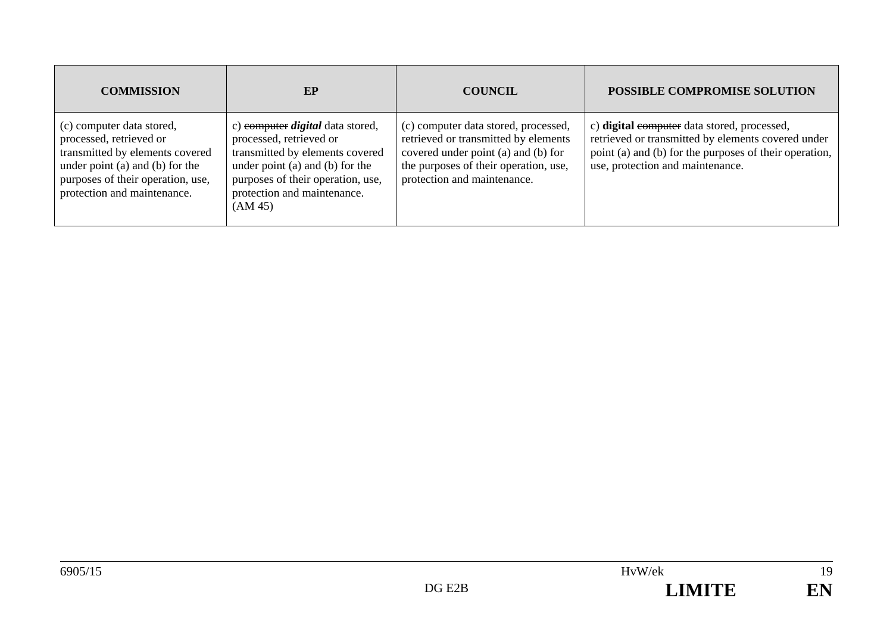| <b>COMMISSION</b>                                                                                                                                                                              | EP                                                                                                                                                                                                                      | <b>COUNCIL</b>                                                                                                                                                                              | POSSIBLE COMPROMISE SOLUTION                                                                                                                                                                    |
|------------------------------------------------------------------------------------------------------------------------------------------------------------------------------------------------|-------------------------------------------------------------------------------------------------------------------------------------------------------------------------------------------------------------------------|---------------------------------------------------------------------------------------------------------------------------------------------------------------------------------------------|-------------------------------------------------------------------------------------------------------------------------------------------------------------------------------------------------|
| (c) computer data stored,<br>processed, retrieved or<br>transmitted by elements covered<br>under point (a) and (b) for the<br>purposes of their operation, use,<br>protection and maintenance. | c) computer <i>digital</i> data stored,<br>processed, retrieved or<br>transmitted by elements covered<br>under point (a) and (b) for the<br>purposes of their operation, use,<br>protection and maintenance.<br>(AM 45) | (c) computer data stored, processed,<br>retrieved or transmitted by elements<br>covered under point (a) and (b) for<br>the purposes of their operation, use,<br>protection and maintenance. | c) digital exemples data stored, processed,<br>retrieved or transmitted by elements covered under<br>point (a) and (b) for the purposes of their operation,<br>use, protection and maintenance. |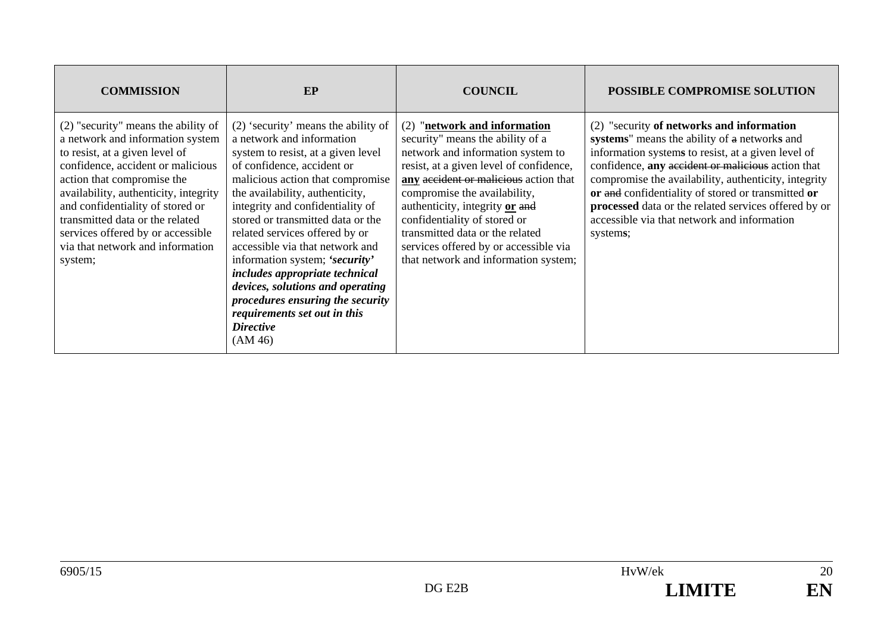| <b>COMMISSION</b>                                                                                                                                                                                                                                                                                                                                                                | EP                                                                                                                                                                                                                                                                                                                                                                                                                                                                                                                                                                     | <b>COUNCIL</b>                                                                                                                                                                                                                                                                                                                                                                                                  | POSSIBLE COMPROMISE SOLUTION                                                                                                                                                                                                                                                                                                                                                                                                          |
|----------------------------------------------------------------------------------------------------------------------------------------------------------------------------------------------------------------------------------------------------------------------------------------------------------------------------------------------------------------------------------|------------------------------------------------------------------------------------------------------------------------------------------------------------------------------------------------------------------------------------------------------------------------------------------------------------------------------------------------------------------------------------------------------------------------------------------------------------------------------------------------------------------------------------------------------------------------|-----------------------------------------------------------------------------------------------------------------------------------------------------------------------------------------------------------------------------------------------------------------------------------------------------------------------------------------------------------------------------------------------------------------|---------------------------------------------------------------------------------------------------------------------------------------------------------------------------------------------------------------------------------------------------------------------------------------------------------------------------------------------------------------------------------------------------------------------------------------|
| (2) "security" means the ability of<br>a network and information system<br>to resist, at a given level of<br>confidence, accident or malicious<br>action that compromise the<br>availability, authenticity, integrity<br>and confidentiality of stored or<br>transmitted data or the related<br>services offered by or accessible<br>via that network and information<br>system; | $(2)$ 'security' means the ability of<br>a network and information<br>system to resist, at a given level<br>of confidence, accident or<br>malicious action that compromise<br>the availability, authenticity,<br>integrity and confidentiality of<br>stored or transmitted data or the<br>related services offered by or<br>accessible via that network and<br>information system; 'security'<br>includes appropriate technical<br>devices, solutions and operating<br>procedures ensuring the security<br>requirements set out in this<br><b>Directive</b><br>(AM 46) | (2) "network and information<br>security" means the ability of a<br>network and information system to<br>resist, at a given level of confidence,<br>any accident or malicious action that<br>compromise the availability,<br>authenticity, integrity or and<br>confidentiality of stored or<br>transmitted data or the related<br>services offered by or accessible via<br>that network and information system; | (2) "security of networks and information<br>systems" means the ability of a networks and<br>information systems to resist, at a given level of<br>confidence, any accident or malicious action that<br>compromise the availability, authenticity, integrity<br>or and confidentiality of stored or transmitted or<br>processed data or the related services offered by or<br>accessible via that network and information<br>systems; |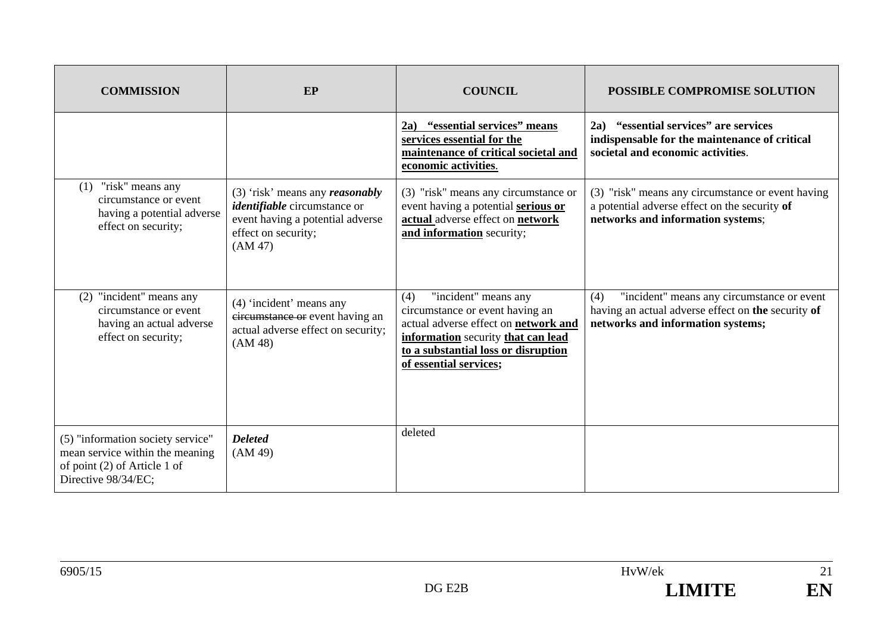| <b>COMMISSION</b>                                                                                                           | EP                                                                                                                                             | <b>COUNCIL</b>                                                                                                                                                                                                | POSSIBLE COMPROMISE SOLUTION                                                                                                                 |
|-----------------------------------------------------------------------------------------------------------------------------|------------------------------------------------------------------------------------------------------------------------------------------------|---------------------------------------------------------------------------------------------------------------------------------------------------------------------------------------------------------------|----------------------------------------------------------------------------------------------------------------------------------------------|
|                                                                                                                             |                                                                                                                                                | 2a) "essential services" means<br>services essential for the<br>maintenance of critical societal and<br>economic activities.                                                                                  | 2a) "essential services" are services<br>indispensable for the maintenance of critical<br>societal and economic activities.                  |
| "risk" means any<br>(1)<br>circumstance or event<br>having a potential adverse<br>effect on security;                       | $(3)$ 'risk' means any reasonably<br><i>identifiable</i> circumstance or<br>event having a potential adverse<br>effect on security;<br>(AM 47) | (3) "risk" means any circumstance or<br>event having a potential serious or<br>actual adverse effect on network<br>and information security;                                                                  | (3) "risk" means any circumstance or event having<br>a potential adverse effect on the security of<br>networks and information systems;      |
| (2) "incident" means any<br>circumstance or event<br>having an actual adverse<br>effect on security;                        | (4) 'incident' means any<br>circumstance or event having an<br>actual adverse effect on security;<br>(AM 48)                                   | "incident" means any<br>(4)<br>circumstance or event having an<br>actual adverse effect on network and<br>information security that can lead<br>to a substantial loss or disruption<br>of essential services; | "incident" means any circumstance or event<br>(4)<br>having an actual adverse effect on the security of<br>networks and information systems; |
| (5) "information society service"<br>mean service within the meaning<br>of point (2) of Article 1 of<br>Directive 98/34/EC; | <b>Deleted</b><br>(AM 49)                                                                                                                      | deleted                                                                                                                                                                                                       |                                                                                                                                              |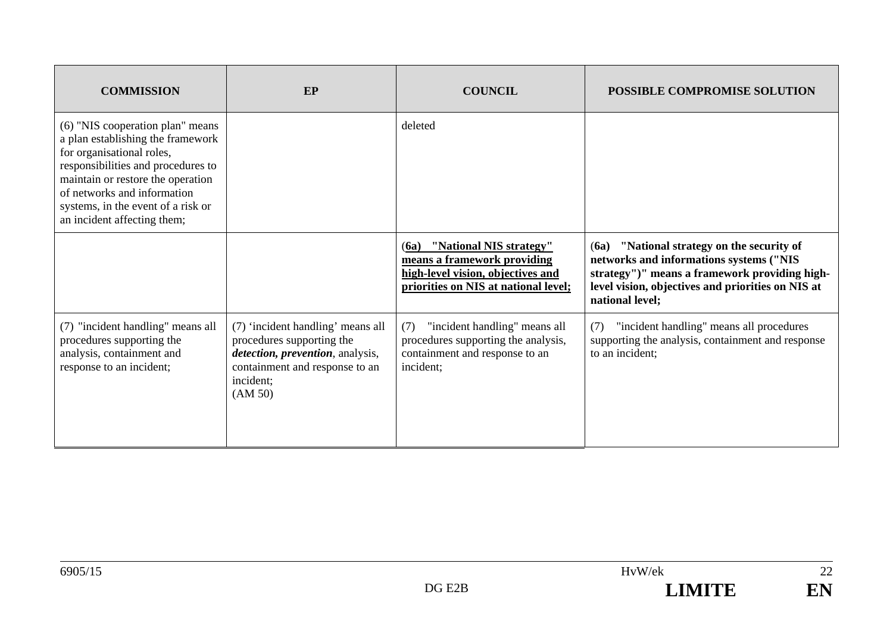| <b>COMMISSION</b>                                                                                                                                                                                                                                                                 | <b>EP</b>                                                                                                                                                    | <b>COUNCIL</b>                                                                                                                              | <b>POSSIBLE COMPROMISE SOLUTION</b>                                                                                                                                                                               |
|-----------------------------------------------------------------------------------------------------------------------------------------------------------------------------------------------------------------------------------------------------------------------------------|--------------------------------------------------------------------------------------------------------------------------------------------------------------|---------------------------------------------------------------------------------------------------------------------------------------------|-------------------------------------------------------------------------------------------------------------------------------------------------------------------------------------------------------------------|
| (6) "NIS cooperation plan" means<br>a plan establishing the framework<br>for organisational roles,<br>responsibilities and procedures to<br>maintain or restore the operation<br>of networks and information<br>systems, in the event of a risk or<br>an incident affecting them; |                                                                                                                                                              | deleted                                                                                                                                     |                                                                                                                                                                                                                   |
|                                                                                                                                                                                                                                                                                   |                                                                                                                                                              | "National NIS strategy"<br>(6a)<br>means a framework providing<br>high-level vision, objectives and<br>priorities on NIS at national level; | "National strategy on the security of<br>(6a)<br>networks and informations systems ("NIS<br>strategy")" means a framework providing high-<br>level vision, objectives and priorities on NIS at<br>national level; |
| (7) "incident handling" means all<br>procedures supporting the<br>analysis, containment and<br>response to an incident;                                                                                                                                                           | (7) 'incident handling' means all<br>procedures supporting the<br>detection, prevention, analysis,<br>containment and response to an<br>incident:<br>(AM 50) | "incident handling" means all<br>(7)<br>procedures supporting the analysis,<br>containment and response to an<br>incident;                  | "incident handling" means all procedures<br>(7)<br>supporting the analysis, containment and response<br>to an incident;                                                                                           |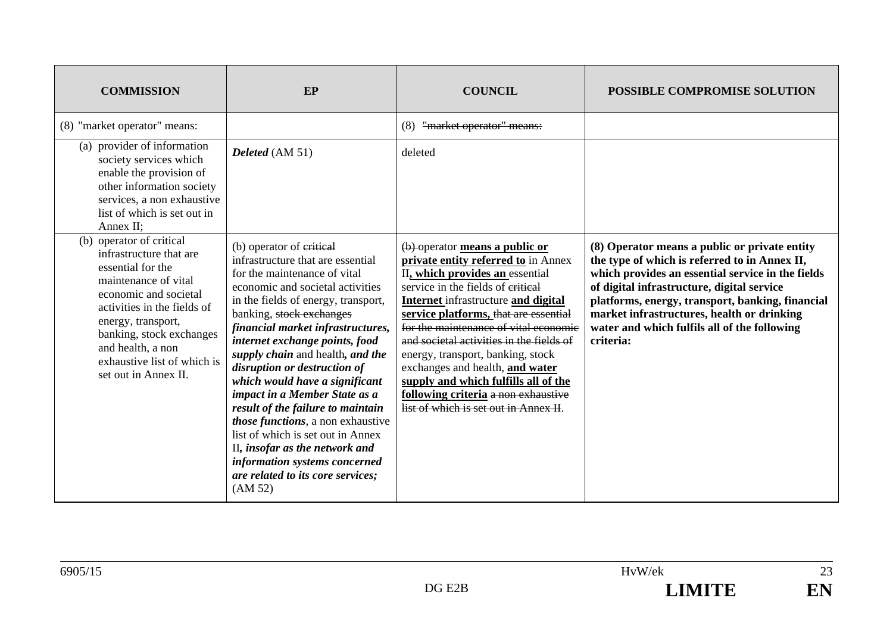| <b>COMMISSION</b>                                                                                                                                                                                                                                                                      | EP                                                                                                                                                                                                                                                                                                                                                                                                                                                                                                                                                                                                                                                   | <b>COUNCIL</b>                                                                                                                                                                                                                                                                                                                                                                                                                                                                                                     | POSSIBLE COMPROMISE SOLUTION                                                                                                                                                                                                                                                                                                                                     |
|----------------------------------------------------------------------------------------------------------------------------------------------------------------------------------------------------------------------------------------------------------------------------------------|------------------------------------------------------------------------------------------------------------------------------------------------------------------------------------------------------------------------------------------------------------------------------------------------------------------------------------------------------------------------------------------------------------------------------------------------------------------------------------------------------------------------------------------------------------------------------------------------------------------------------------------------------|--------------------------------------------------------------------------------------------------------------------------------------------------------------------------------------------------------------------------------------------------------------------------------------------------------------------------------------------------------------------------------------------------------------------------------------------------------------------------------------------------------------------|------------------------------------------------------------------------------------------------------------------------------------------------------------------------------------------------------------------------------------------------------------------------------------------------------------------------------------------------------------------|
| (8) "market operator" means:                                                                                                                                                                                                                                                           |                                                                                                                                                                                                                                                                                                                                                                                                                                                                                                                                                                                                                                                      | "market operator" means:<br>(8)                                                                                                                                                                                                                                                                                                                                                                                                                                                                                    |                                                                                                                                                                                                                                                                                                                                                                  |
| (a) provider of information<br>society services which<br>enable the provision of<br>other information society<br>services, a non exhaustive<br>list of which is set out in<br>Annex II;                                                                                                | Deleted (AM 51)                                                                                                                                                                                                                                                                                                                                                                                                                                                                                                                                                                                                                                      | deleted                                                                                                                                                                                                                                                                                                                                                                                                                                                                                                            |                                                                                                                                                                                                                                                                                                                                                                  |
| (b) operator of critical<br>infrastructure that are<br>essential for the<br>maintenance of vital<br>economic and societal<br>activities in the fields of<br>energy, transport,<br>banking, stock exchanges<br>and health, a non<br>exhaustive list of which is<br>set out in Annex II. | (b) operator of eritical<br>infrastructure that are essential<br>for the maintenance of vital<br>economic and societal activities<br>in the fields of energy, transport,<br>banking, stock exchanges<br>financial market infrastructures,<br>internet exchange points, food<br>supply chain and health, and the<br>disruption or destruction of<br>which would have a significant<br>impact in a Member State as a<br>result of the failure to maintain<br>those functions, a non exhaustive<br>list of which is set out in Annex<br>II, insofar as the network and<br>information systems concerned<br>are related to its core services;<br>(AM 52) | (b) operator means a public or<br>private entity referred to in Annex<br>II, which provides an essential<br>service in the fields of eritical<br>Internet infrastructure and digital<br>service platforms, that are essential<br>for the maintenance of vital economic<br>and societal activities in the fields of<br>energy, transport, banking, stock<br>exchanges and health, and water<br>supply and which fulfills all of the<br>following criteria a non exhaustive<br>list of which is set out in Annex II. | (8) Operator means a public or private entity<br>the type of which is referred to in Annex II,<br>which provides an essential service in the fields<br>of digital infrastructure, digital service<br>platforms, energy, transport, banking, financial<br>market infrastructures, health or drinking<br>water and which fulfils all of the following<br>criteria: |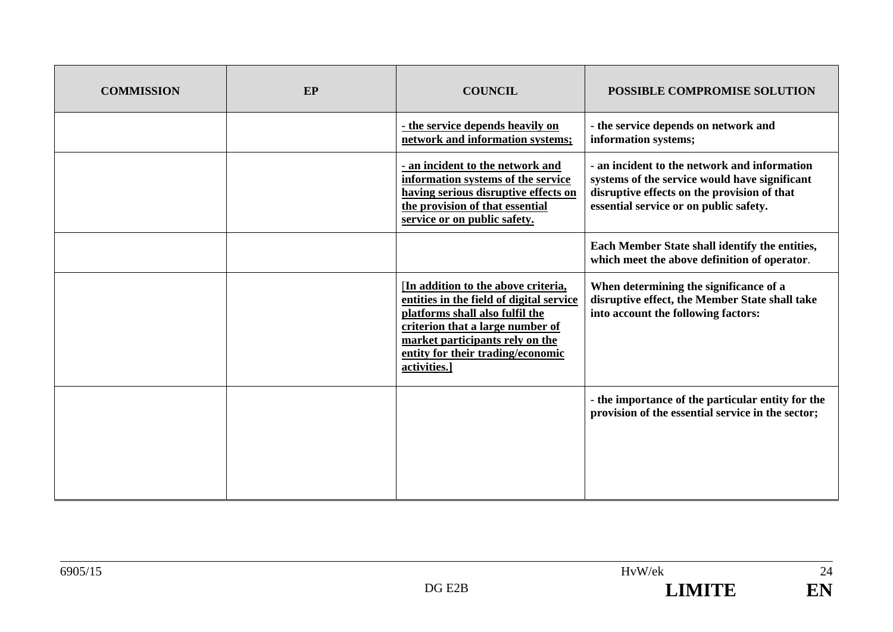| <b>COMMISSION</b> | EP | <b>COUNCIL</b>                                                                                                                                                                                                                                 | POSSIBLE COMPROMISE SOLUTION                                                                                                                                                           |
|-------------------|----|------------------------------------------------------------------------------------------------------------------------------------------------------------------------------------------------------------------------------------------------|----------------------------------------------------------------------------------------------------------------------------------------------------------------------------------------|
|                   |    | - the service depends heavily on<br>network and information systems;                                                                                                                                                                           | - the service depends on network and<br>information systems;                                                                                                                           |
|                   |    | - an incident to the network and<br>information systems of the service<br>having serious disruptive effects on<br>the provision of that essential<br>service or on public safety.                                                              | - an incident to the network and information<br>systems of the service would have significant<br>disruptive effects on the provision of that<br>essential service or on public safety. |
|                   |    |                                                                                                                                                                                                                                                | Each Member State shall identify the entities,<br>which meet the above definition of operator.                                                                                         |
|                   |    | [In addition to the above criteria,<br>entities in the field of digital service<br>platforms shall also fulfil the<br>criterion that a large number of<br>market participants rely on the<br>entity for their trading/economic<br>activities.] | When determining the significance of a<br>disruptive effect, the Member State shall take<br>into account the following factors:                                                        |
|                   |    |                                                                                                                                                                                                                                                | - the importance of the particular entity for the<br>provision of the essential service in the sector;                                                                                 |

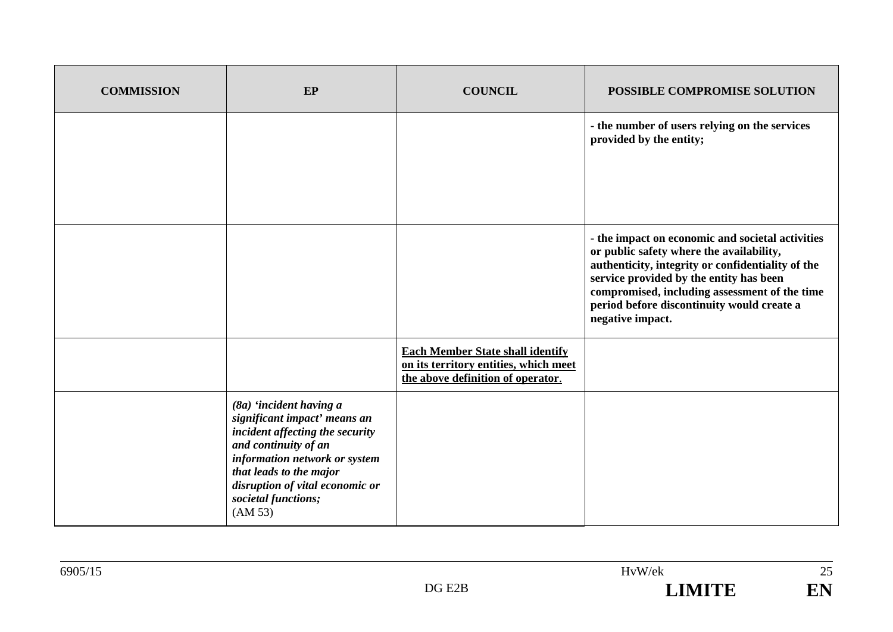| <b>COMMISSION</b> | EP                                                                                                                                                                                                                                                  | <b>COUNCIL</b>                                                                                                        | POSSIBLE COMPROMISE SOLUTION                                                                                                                                                                                                                                                                                    |
|-------------------|-----------------------------------------------------------------------------------------------------------------------------------------------------------------------------------------------------------------------------------------------------|-----------------------------------------------------------------------------------------------------------------------|-----------------------------------------------------------------------------------------------------------------------------------------------------------------------------------------------------------------------------------------------------------------------------------------------------------------|
|                   |                                                                                                                                                                                                                                                     |                                                                                                                       | - the number of users relying on the services<br>provided by the entity;                                                                                                                                                                                                                                        |
|                   |                                                                                                                                                                                                                                                     |                                                                                                                       | - the impact on economic and societal activities<br>or public safety where the availability,<br>authenticity, integrity or confidentiality of the<br>service provided by the entity has been<br>compromised, including assessment of the time<br>period before discontinuity would create a<br>negative impact. |
|                   |                                                                                                                                                                                                                                                     | <b>Each Member State shall identify</b><br>on its territory entities, which meet<br>the above definition of operator. |                                                                                                                                                                                                                                                                                                                 |
|                   | (8a) 'incident having a<br>significant impact' means an<br>incident affecting the security<br>and continuity of an<br>information network or system<br>that leads to the major<br>disruption of vital economic or<br>societal functions;<br>(AM 53) |                                                                                                                       |                                                                                                                                                                                                                                                                                                                 |

25

EN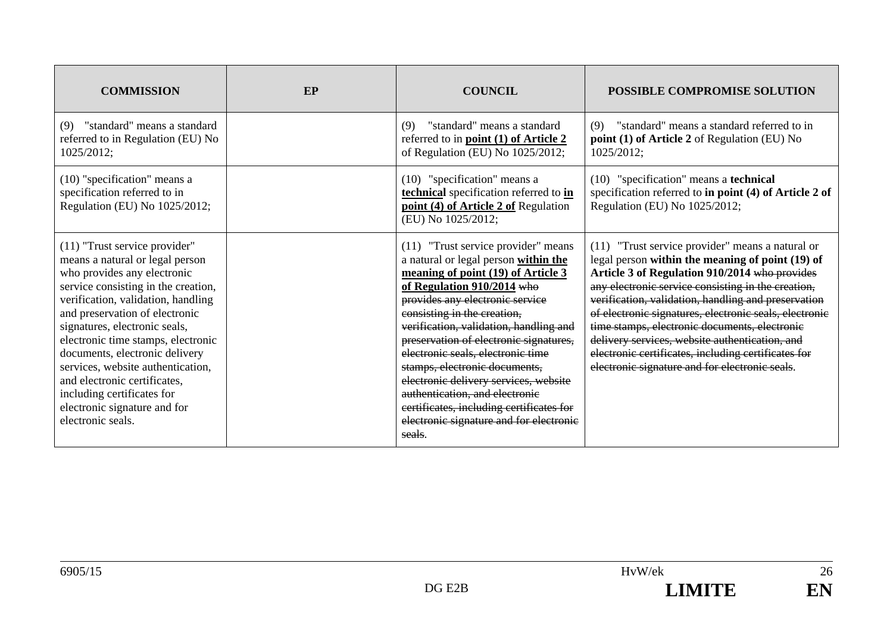| <b>COMMISSION</b>                                                                                                                                                                                                                                                                                                                                                                                                                                                                 | EP | <b>COUNCIL</b>                                                                                                                                                                                                                                                                                                                                                                                                                                                                                                                                            | <b>POSSIBLE COMPROMISE SOLUTION</b>                                                                                                                                                                                                                                                                                                                                                                                                                                                                                                      |
|-----------------------------------------------------------------------------------------------------------------------------------------------------------------------------------------------------------------------------------------------------------------------------------------------------------------------------------------------------------------------------------------------------------------------------------------------------------------------------------|----|-----------------------------------------------------------------------------------------------------------------------------------------------------------------------------------------------------------------------------------------------------------------------------------------------------------------------------------------------------------------------------------------------------------------------------------------------------------------------------------------------------------------------------------------------------------|------------------------------------------------------------------------------------------------------------------------------------------------------------------------------------------------------------------------------------------------------------------------------------------------------------------------------------------------------------------------------------------------------------------------------------------------------------------------------------------------------------------------------------------|
| "standard" means a standard<br>(9)<br>referred to in Regulation (EU) No<br>1025/2012;                                                                                                                                                                                                                                                                                                                                                                                             |    | "standard" means a standard<br>(9)<br>referred to in <b>point</b> (1) of Article 2<br>of Regulation (EU) No 1025/2012;                                                                                                                                                                                                                                                                                                                                                                                                                                    | "standard" means a standard referred to in<br>(9)<br>point (1) of Article 2 of Regulation (EU) No<br>1025/2012;                                                                                                                                                                                                                                                                                                                                                                                                                          |
| (10) "specification" means a<br>specification referred to in<br>Regulation (EU) No 1025/2012;                                                                                                                                                                                                                                                                                                                                                                                     |    | (10) "specification" means a<br>technical specification referred to in<br>point (4) of Article 2 of Regulation<br>(EU) No 1025/2012;                                                                                                                                                                                                                                                                                                                                                                                                                      | (10) "specification" means a technical<br>specification referred to in point (4) of Article 2 of<br>Regulation (EU) No 1025/2012;                                                                                                                                                                                                                                                                                                                                                                                                        |
| $(11)$ "Trust service provider"<br>means a natural or legal person<br>who provides any electronic<br>service consisting in the creation,<br>verification, validation, handling<br>and preservation of electronic<br>signatures, electronic seals,<br>electronic time stamps, electronic<br>documents, electronic delivery<br>services, website authentication,<br>and electronic certificates,<br>including certificates for<br>electronic signature and for<br>electronic seals. |    | (11) "Trust service provider" means<br>a natural or legal person within the<br>meaning of point (19) of Article 3<br>of Regulation $910/2014$ who<br>provides any electronic service<br>consisting in the creation,<br>verification, validation, handling and<br>preservation of electronic signatures,<br>electronic seals, electronic time<br>stamps, electronic documents,<br>electronic delivery services, website<br>authentication, and electronic<br>certificates, including certificates for<br>electronic signature and for electronic<br>seals. | (11) "Trust service provider" means a natural or<br>legal person within the meaning of point (19) of<br>Article 3 of Regulation 910/2014 who provides<br>any electronic service consisting in the creation,<br>verification, validation, handling and preservation<br>of electronic signatures, electronic seals, electronic<br>time stamps, electronic documents, electronic<br>delivery services, website authentication, and<br>electronic certificates, including certificates for<br>electronic signature and for electronic seals. |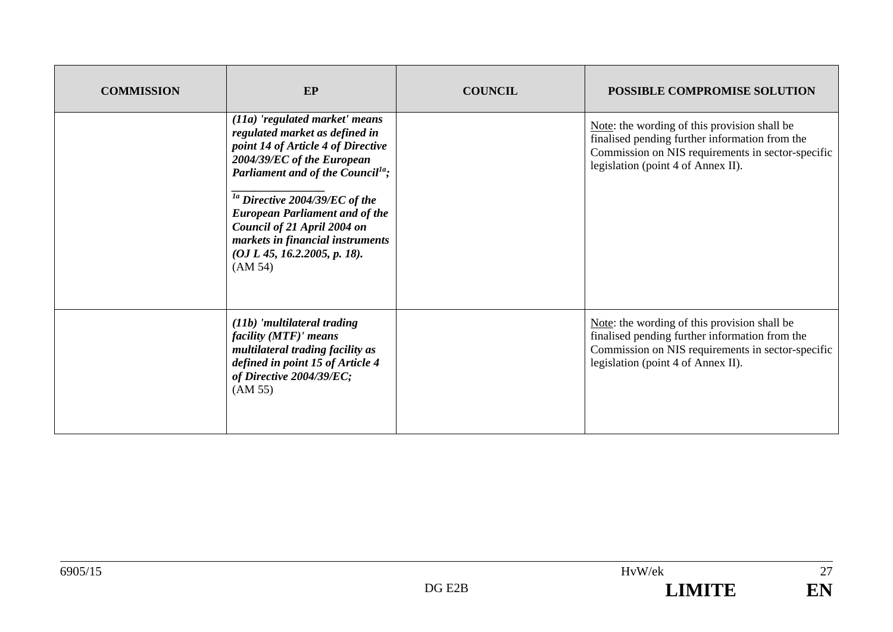| <b>COMMISSION</b> | EP                                                                                                                                                                                                                                                                                                                                                                                 | <b>COUNCIL</b> | <b>POSSIBLE COMPROMISE SOLUTION</b>                                                                                                                                                       |
|-------------------|------------------------------------------------------------------------------------------------------------------------------------------------------------------------------------------------------------------------------------------------------------------------------------------------------------------------------------------------------------------------------------|----------------|-------------------------------------------------------------------------------------------------------------------------------------------------------------------------------------------|
|                   | $(11a)$ 'regulated market' means<br>regulated market as defined in<br>point 14 of Article 4 of Directive<br>2004/39/EC of the European<br>Parliament and of the Council <sup>1a</sup> ;<br>$1a$ Directive 2004/39/EC of the<br><b>European Parliament and of the</b><br>Council of 21 April 2004 on<br>markets in financial instruments<br>(OJ L 45, 16.2.2005, p. 18).<br>(AM 54) |                | Note: the wording of this provision shall be<br>finalised pending further information from the<br>Commission on NIS requirements in sector-specific<br>legislation (point 4 of Annex II). |
|                   | (11b) 'multilateral trading<br>facility (MTF)' means<br>multilateral trading facility as<br>defined in point 15 of Article 4<br>of Directive 2004/39/EC;<br>(AM 55)                                                                                                                                                                                                                |                | Note: the wording of this provision shall be<br>finalised pending further information from the<br>Commission on NIS requirements in sector-specific<br>legislation (point 4 of Annex II). |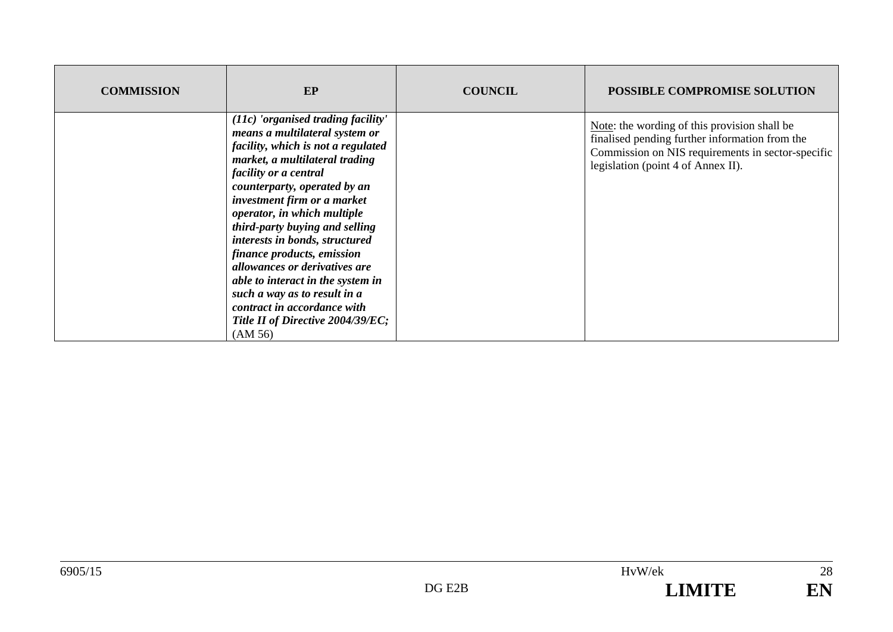| <b>COMMISSION</b> | EP                                                                                                                                                                                                                                                                                                                                                                                                                                                                                                                                                                  | <b>COUNCIL</b> | <b>POSSIBLE COMPROMISE SOLUTION</b>                                                                                                                                                       |
|-------------------|---------------------------------------------------------------------------------------------------------------------------------------------------------------------------------------------------------------------------------------------------------------------------------------------------------------------------------------------------------------------------------------------------------------------------------------------------------------------------------------------------------------------------------------------------------------------|----------------|-------------------------------------------------------------------------------------------------------------------------------------------------------------------------------------------|
|                   | $(11c)$ 'organised trading facility'<br>means a multilateral system or<br>facility, which is not a regulated<br>market, a multilateral trading<br><i>facility or a central</i><br>counterparty, operated by an<br>investment firm or a market<br>operator, in which multiple<br>third-party buying and selling<br>interests in bonds, structured<br>finance products, emission<br>allowances or derivatives are<br>able to interact in the system in<br>such a way as to result in a<br>contract in accordance with<br>Title II of Directive 2004/39/EC;<br>(AM 56) |                | Note: the wording of this provision shall be<br>finalised pending further information from the<br>Commission on NIS requirements in sector-specific<br>legislation (point 4 of Annex II). |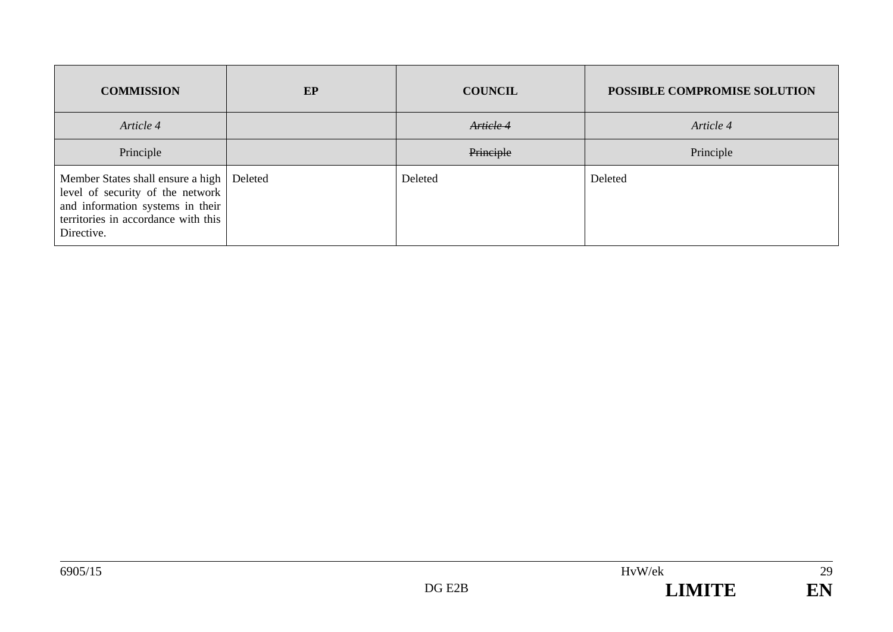| <b>COMMISSION</b>                                                                                                                                              | EP      | <b>COUNCIL</b> | <b>POSSIBLE COMPROMISE SOLUTION</b> |
|----------------------------------------------------------------------------------------------------------------------------------------------------------------|---------|----------------|-------------------------------------|
| Article 4                                                                                                                                                      |         | Article 4      | Article 4                           |
| Principle                                                                                                                                                      |         | Principle      | Principle                           |
| Member States shall ensure a high<br>level of security of the network<br>and information systems in their<br>territories in accordance with this<br>Directive. | Deleted | Deleted        | Deleted                             |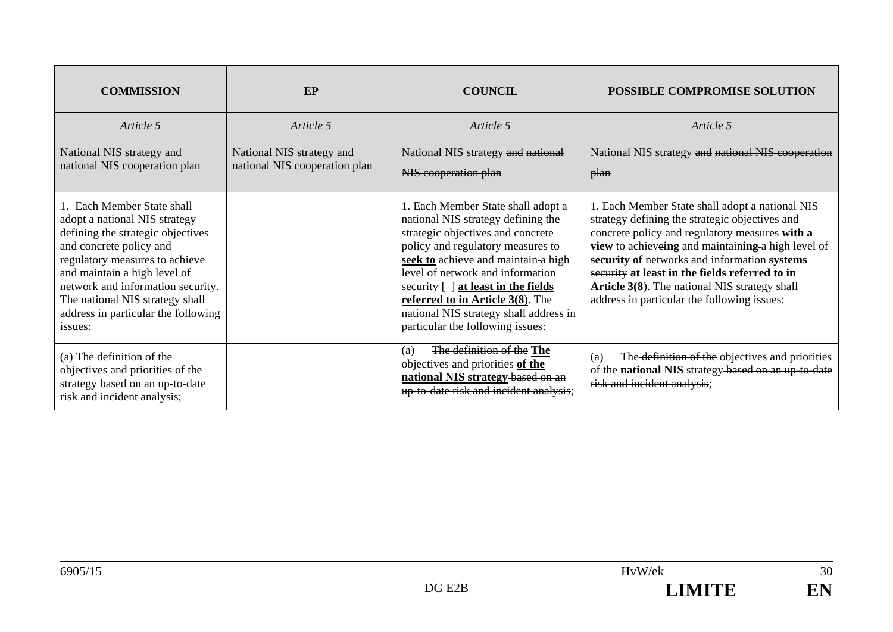| <b>COMMISSION</b>                                                                                                                                                                                                                                                                                                       | EP                                                         | <b>COUNCIL</b>                                                                                                                                                                                                                                                                                                                                                                         | <b>POSSIBLE COMPROMISE SOLUTION</b>                                                                                                                                                                                                                                                                                                                                                                         |
|-------------------------------------------------------------------------------------------------------------------------------------------------------------------------------------------------------------------------------------------------------------------------------------------------------------------------|------------------------------------------------------------|----------------------------------------------------------------------------------------------------------------------------------------------------------------------------------------------------------------------------------------------------------------------------------------------------------------------------------------------------------------------------------------|-------------------------------------------------------------------------------------------------------------------------------------------------------------------------------------------------------------------------------------------------------------------------------------------------------------------------------------------------------------------------------------------------------------|
| Article 5                                                                                                                                                                                                                                                                                                               | Article 5                                                  | Article 5                                                                                                                                                                                                                                                                                                                                                                              | Article 5                                                                                                                                                                                                                                                                                                                                                                                                   |
| National NIS strategy and<br>national NIS cooperation plan                                                                                                                                                                                                                                                              | National NIS strategy and<br>national NIS cooperation plan | National NIS strategy and national<br>NIS cooperation plan                                                                                                                                                                                                                                                                                                                             | National NIS strategy and national NIS cooperation<br><del>plan</del>                                                                                                                                                                                                                                                                                                                                       |
| 1. Each Member State shall<br>adopt a national NIS strategy<br>defining the strategic objectives<br>and concrete policy and<br>regulatory measures to achieve<br>and maintain a high level of<br>network and information security.<br>The national NIS strategy shall<br>address in particular the following<br>issues: |                                                            | 1. Each Member State shall adopt a<br>national NIS strategy defining the<br>strategic objectives and concrete<br>policy and regulatory measures to<br>seek to achieve and maintain-a high<br>level of network and information<br>security [ ] at least in the fields<br>referred to in Article 3(8). The<br>national NIS strategy shall address in<br>particular the following issues: | 1. Each Member State shall adopt a national NIS<br>strategy defining the strategic objectives and<br>concrete policy and regulatory measures with a<br>view to achieveing and maintaining a high level of<br>security of networks and information systems<br>security at least in the fields referred to in<br>Article 3(8). The national NIS strategy shall<br>address in particular the following issues: |
| (a) The definition of the<br>objectives and priorities of the<br>strategy based on an up-to-date<br>risk and incident analysis;                                                                                                                                                                                         |                                                            | The definition of the The<br>(a)<br>objectives and priorities of the<br>national NIS strategy-based on an<br>up to date risk and incident analysis;                                                                                                                                                                                                                                    | The definition of the objectives and priorities<br>(a)<br>of the national NIS strategy-based on an up-to-date<br>risk and incident analysis;                                                                                                                                                                                                                                                                |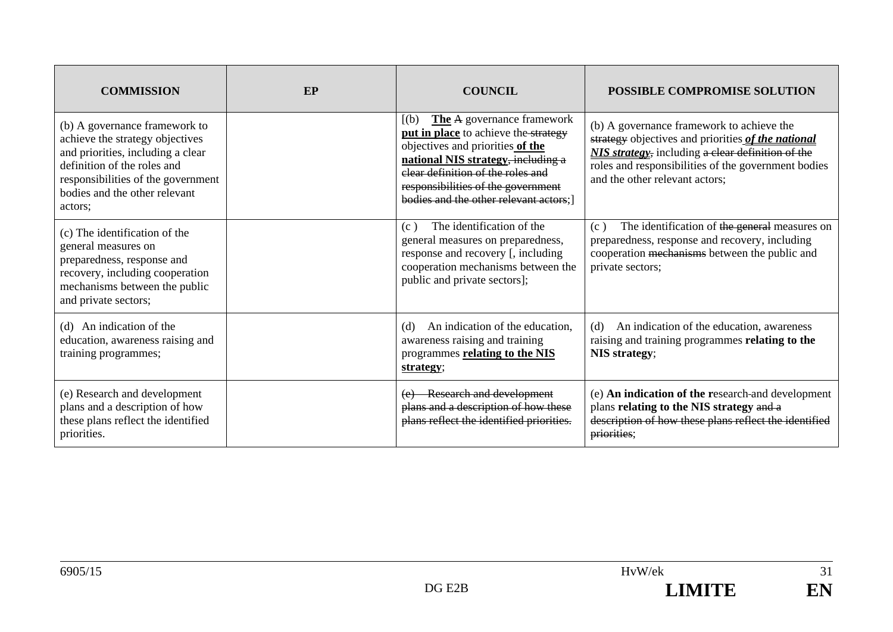| <b>COMMISSION</b>                                                                                                                                                                                                      | EP | <b>COUNCIL</b>                                                                                                                                                                                                                                                                 | <b>POSSIBLE COMPROMISE SOLUTION</b>                                                                                                                                                                                                                   |
|------------------------------------------------------------------------------------------------------------------------------------------------------------------------------------------------------------------------|----|--------------------------------------------------------------------------------------------------------------------------------------------------------------------------------------------------------------------------------------------------------------------------------|-------------------------------------------------------------------------------------------------------------------------------------------------------------------------------------------------------------------------------------------------------|
| (b) A governance framework to<br>achieve the strategy objectives<br>and priorities, including a clear<br>definition of the roles and<br>responsibilities of the government<br>bodies and the other relevant<br>actors: |    | The A governance framework<br>(a)<br><b>put in place</b> to achieve the strategy<br>objectives and priorities of the<br>national NIS strategy, including a<br>elear definition of the roles and<br>responsibilities of the government<br>bodies and the other relevant actors: | (b) A governance framework to achieve the<br>strategy objectives and priorities of the national<br><b>NIS strategy</b> , including a clear definition of the<br>roles and responsibilities of the government bodies<br>and the other relevant actors; |
| (c) The identification of the<br>general measures on<br>preparedness, response and<br>recovery, including cooperation<br>mechanisms between the public<br>and private sectors;                                         |    | The identification of the<br>(c)<br>general measures on preparedness,<br>response and recovery [, including<br>cooperation mechanisms between the<br>public and private sectors];                                                                                              | The identification of the general measures on<br>(c)<br>preparedness, response and recovery, including<br>cooperation mechanisms between the public and<br>private sectors;                                                                           |
| (d) An indication of the<br>education, awareness raising and<br>training programmes;                                                                                                                                   |    | An indication of the education,<br>(d)<br>awareness raising and training<br>programmes relating to the NIS<br>strategy;                                                                                                                                                        | An indication of the education, awareness<br>(d)<br>raising and training programmes relating to the<br>NIS strategy;                                                                                                                                  |
| (e) Research and development<br>plans and a description of how<br>these plans reflect the identified<br>priorities.                                                                                                    |    | <b>Research and development</b><br>(e)<br>plans and a description of how these<br>plans reflect the identified priorities.                                                                                                                                                     | (e) An indication of the research-and development<br>plans relating to the NIS strategy and a<br>description of how these plans reflect the identified<br>priorities;                                                                                 |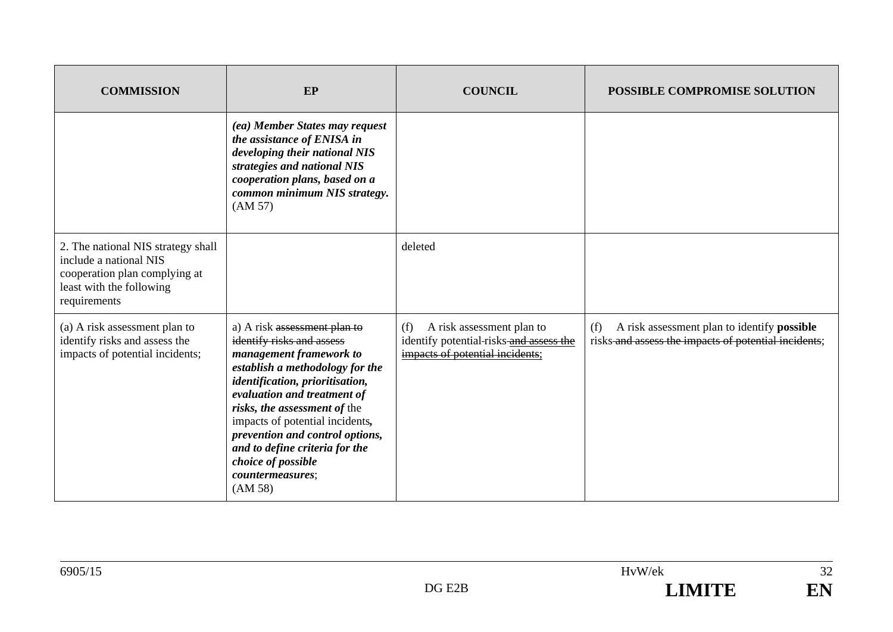| <b>COMMISSION</b>                                                                                                                         | EP                                                                                                                                                                                                                                                                                                                                                                                     | <b>COUNCIL</b>                                                                                                 | <b>POSSIBLE COMPROMISE SOLUTION</b>                                                                               |
|-------------------------------------------------------------------------------------------------------------------------------------------|----------------------------------------------------------------------------------------------------------------------------------------------------------------------------------------------------------------------------------------------------------------------------------------------------------------------------------------------------------------------------------------|----------------------------------------------------------------------------------------------------------------|-------------------------------------------------------------------------------------------------------------------|
|                                                                                                                                           | (ea) Member States may request<br>the assistance of ENISA in<br>developing their national NIS<br>strategies and national NIS<br>cooperation plans, based on a<br>common minimum NIS strategy.<br>(AM 57)                                                                                                                                                                               |                                                                                                                |                                                                                                                   |
| 2. The national NIS strategy shall<br>include a national NIS<br>cooperation plan complying at<br>least with the following<br>requirements |                                                                                                                                                                                                                                                                                                                                                                                        | deleted                                                                                                        |                                                                                                                   |
| (a) A risk assessment plan to<br>identify risks and assess the<br>impacts of potential incidents;                                         | a) A risk assessment plan to<br>identify risks and assess<br>management framework to<br>establish a methodology for the<br>identification, prioritisation,<br>evaluation and treatment of<br>risks, the assessment of the<br>impacts of potential incidents,<br>prevention and control options,<br>and to define criteria for the<br>choice of possible<br>countermeasures;<br>(AM 58) | A risk assessment plan to<br>(f)<br>identify potential-risks-and assess the<br>impacts of potential incidents; | (f)<br>A risk assessment plan to identify <b>possible</b><br>risks-and assess the impacts of potential incidents; |

| 6905/15 |        | HvW/ek       | $\sim$<br>ے د |
|---------|--------|--------------|---------------|
|         | DG E2B | I IMITE<br>. | EN            |
|         |        |              |               |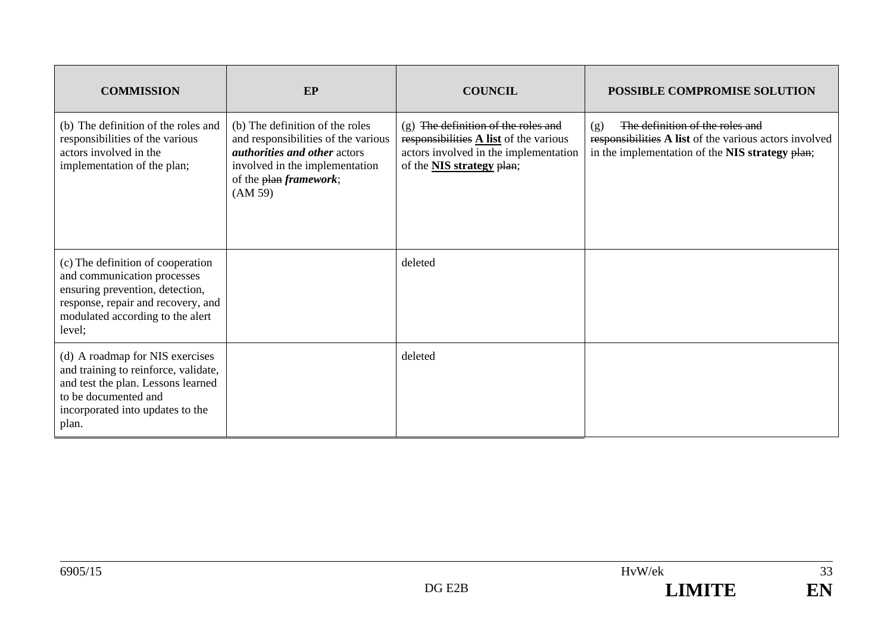| <b>COMMISSION</b>                                                                                                                                                                       | EP                                                                                                                                                                                           | <b>COUNCIL</b>                                                                                                                                                       | POSSIBLE COMPROMISE SOLUTION                                                                                                                        |
|-----------------------------------------------------------------------------------------------------------------------------------------------------------------------------------------|----------------------------------------------------------------------------------------------------------------------------------------------------------------------------------------------|----------------------------------------------------------------------------------------------------------------------------------------------------------------------|-----------------------------------------------------------------------------------------------------------------------------------------------------|
| (b) The definition of the roles and<br>responsibilities of the various<br>actors involved in the<br>implementation of the plan;                                                         | (b) The definition of the roles<br>and responsibilities of the various<br><i>authorities and other actors</i><br>involved in the implementation<br>of the plan <i>framework</i> ;<br>(AM 59) | (g) The definition of the roles and<br>responsibilities $\triangle$ list of the various<br>actors involved in the implementation<br>of the <b>NIS strategy</b> plan; | The definition of the roles and<br>(g)<br>responsibilities A list of the various actors involved<br>in the implementation of the NIS strategy plan; |
| (c) The definition of cooperation<br>and communication processes<br>ensuring prevention, detection,<br>response, repair and recovery, and<br>modulated according to the alert<br>level; |                                                                                                                                                                                              | deleted                                                                                                                                                              |                                                                                                                                                     |
| (d) A roadmap for NIS exercises<br>and training to reinforce, validate,<br>and test the plan. Lessons learned<br>to be documented and<br>incorporated into updates to the<br>plan.      |                                                                                                                                                                                              | deleted                                                                                                                                                              |                                                                                                                                                     |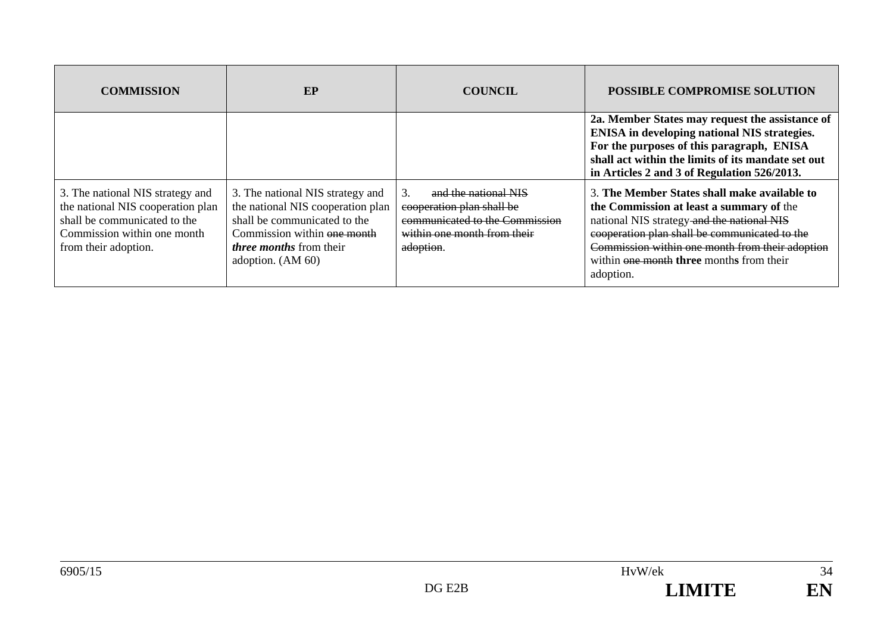| <b>COMMISSION</b>                                                                                                                                            | EP                                                                                                                                                                                          | <b>COUNCIL</b>                                                                                                                  | <b>POSSIBLE COMPROMISE SOLUTION</b>                                                                                                                                                                                                                                                                 |
|--------------------------------------------------------------------------------------------------------------------------------------------------------------|---------------------------------------------------------------------------------------------------------------------------------------------------------------------------------------------|---------------------------------------------------------------------------------------------------------------------------------|-----------------------------------------------------------------------------------------------------------------------------------------------------------------------------------------------------------------------------------------------------------------------------------------------------|
|                                                                                                                                                              |                                                                                                                                                                                             |                                                                                                                                 | 2a. Member States may request the assistance of<br><b>ENISA</b> in developing national NIS strategies.<br>For the purposes of this paragraph, ENISA<br>shall act within the limits of its mandate set out<br>in Articles 2 and 3 of Regulation 526/2013.                                            |
| 3. The national NIS strategy and<br>the national NIS cooperation plan<br>shall be communicated to the<br>Commission within one month<br>from their adoption. | 3. The national NIS strategy and<br>the national NIS cooperation plan<br>shall be communicated to the<br>Commission within one month<br><i>three months</i> from their<br>adoption. (AM 60) | and the national NIS<br>cooperation plan shall be<br>communicated to the Commission<br>within one month from their<br>adoption. | 3. The Member States shall make available to<br>the Commission at least a summary of the<br>national NIS strategy and the national NIS<br>cooperation plan shall be communicated to the<br>Commission within one month from their adoption<br>within one month three months from their<br>adoption. |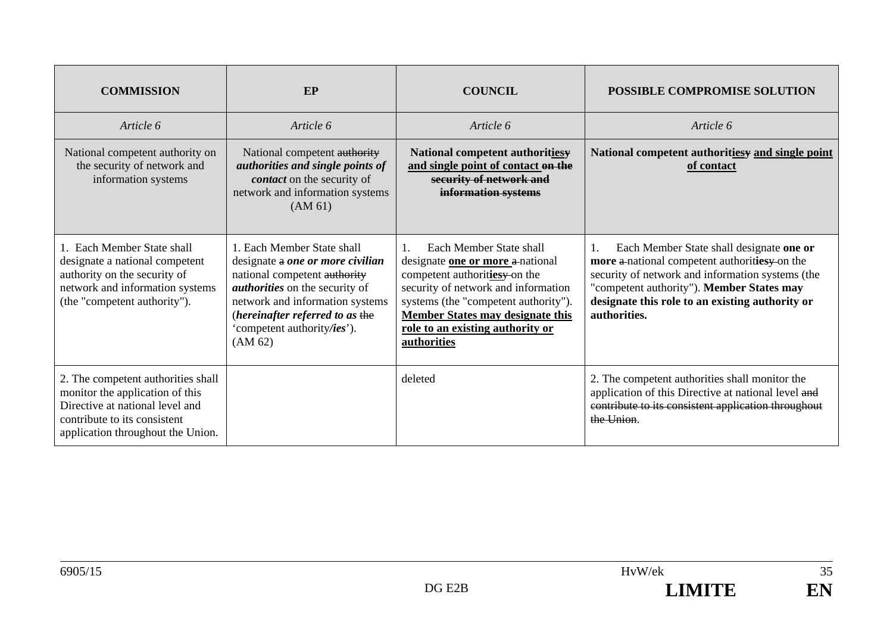| <b>COMMISSION</b>                                                                                                                                                             | EP                                                                                                                                                                                                                                                      | <b>COUNCIL</b>                                                                                                                                                                                                                                                                       | POSSIBLE COMPROMISE SOLUTION                                                                                                                                                                                                                                        |
|-------------------------------------------------------------------------------------------------------------------------------------------------------------------------------|---------------------------------------------------------------------------------------------------------------------------------------------------------------------------------------------------------------------------------------------------------|--------------------------------------------------------------------------------------------------------------------------------------------------------------------------------------------------------------------------------------------------------------------------------------|---------------------------------------------------------------------------------------------------------------------------------------------------------------------------------------------------------------------------------------------------------------------|
| Article 6                                                                                                                                                                     | Article 6                                                                                                                                                                                                                                               | Article 6                                                                                                                                                                                                                                                                            | Article 6                                                                                                                                                                                                                                                           |
| National competent authority on<br>the security of network and<br>information systems                                                                                         | National competent authority<br>authorities and single points of<br>contact on the security of<br>network and information systems<br>(AM 61)                                                                                                            | National competent authoritiesy<br>and single point of contact on the<br>security of network and<br>information systems                                                                                                                                                              | National competent authoritiesy and single point<br>of contact                                                                                                                                                                                                      |
| 1. Each Member State shall<br>designate a national competent<br>authority on the security of<br>network and information systems<br>(the "competent authority").               | 1. Each Member State shall<br>designate a one or more civilian<br>national competent authority<br><i>authorities</i> on the security of<br>network and information systems<br>(hereinafter referred to as the<br>'competent authority/ies').<br>(AM 62) | Each Member State shall<br>$\mathbf{1}$ .<br>designate one or more a national<br>competent authoritiesy on the<br>security of network and information<br>systems (the "competent authority").<br>Member States may designate this<br>role to an existing authority or<br>authorities | Each Member State shall designate one or<br>1.<br>more a-national competent authorities yon the<br>security of network and information systems (the<br>"competent authority"). Member States may<br>designate this role to an existing authority or<br>authorities. |
| 2. The competent authorities shall<br>monitor the application of this<br>Directive at national level and<br>contribute to its consistent<br>application throughout the Union. |                                                                                                                                                                                                                                                         | deleted                                                                                                                                                                                                                                                                              | 2. The competent authorities shall monitor the<br>application of this Directive at national level and<br>contribute to its consistent application throughout<br>the Union.                                                                                          |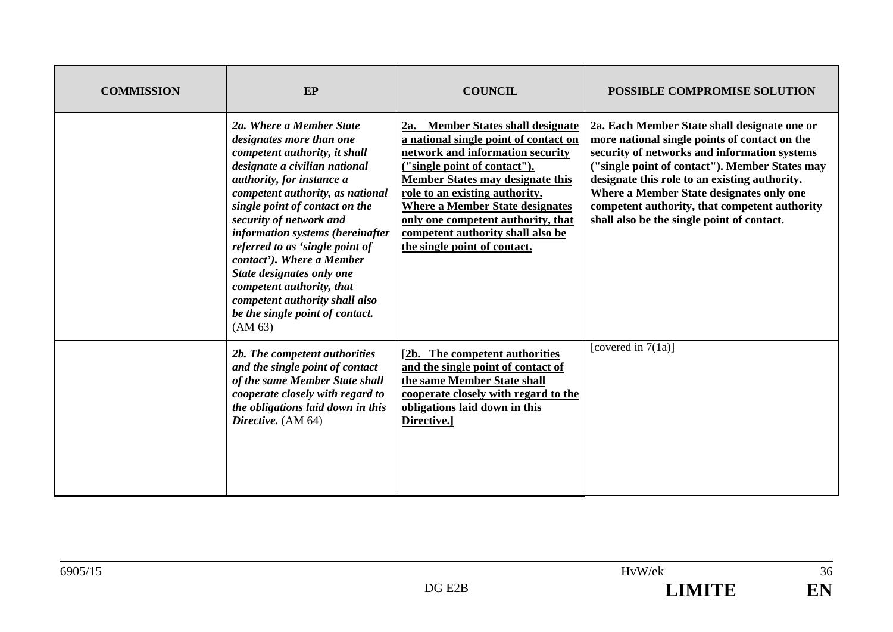| <b>COMMISSION</b> | EP                                                                                                                                                                                                                                                                                                                                                                                                                                                                                                 | <b>COUNCIL</b>                                                                                                                                                                                                                                                                                                                                                                   | <b>POSSIBLE COMPROMISE SOLUTION</b>                                                                                                                                                                                                                                                                                                                                                         |
|-------------------|----------------------------------------------------------------------------------------------------------------------------------------------------------------------------------------------------------------------------------------------------------------------------------------------------------------------------------------------------------------------------------------------------------------------------------------------------------------------------------------------------|----------------------------------------------------------------------------------------------------------------------------------------------------------------------------------------------------------------------------------------------------------------------------------------------------------------------------------------------------------------------------------|---------------------------------------------------------------------------------------------------------------------------------------------------------------------------------------------------------------------------------------------------------------------------------------------------------------------------------------------------------------------------------------------|
|                   | 2a. Where a Member State<br>designates more than one<br>competent authority, it shall<br>designate a civilian national<br>authority, for instance a<br>competent authority, as national<br>single point of contact on the<br>security of network and<br>information systems (hereinafter<br>referred to as 'single point of<br>contact'). Where a Member<br>State designates only one<br>competent authority, that<br>competent authority shall also<br>be the single point of contact.<br>(AM 63) | 2a. Member States shall designate<br>a national single point of contact on<br>network and information security<br>("single point of contact").<br><b>Member States may designate this</b><br>role to an existing authority.<br><b>Where a Member State designates</b><br>only one competent authority, that<br>competent authority shall also be<br>the single point of contact. | 2a. Each Member State shall designate one or<br>more national single points of contact on the<br>security of networks and information systems<br>("single point of contact"). Member States may<br>designate this role to an existing authority.<br>Where a Member State designates only one<br>competent authority, that competent authority<br>shall also be the single point of contact. |
|                   | 2b. The competent authorities<br>and the single point of contact<br>of the same Member State shall<br>cooperate closely with regard to<br>the obligations laid down in this<br>Directive. (AM 64)                                                                                                                                                                                                                                                                                                  | [2b. The competent authorities]<br>and the single point of contact of<br>the same Member State shall<br>cooperate closely with regard to the<br>obligations laid down in this<br>Directive.]                                                                                                                                                                                     | [covered in $7(1a)$ ]                                                                                                                                                                                                                                                                                                                                                                       |

 $\overline{36}$ 

EN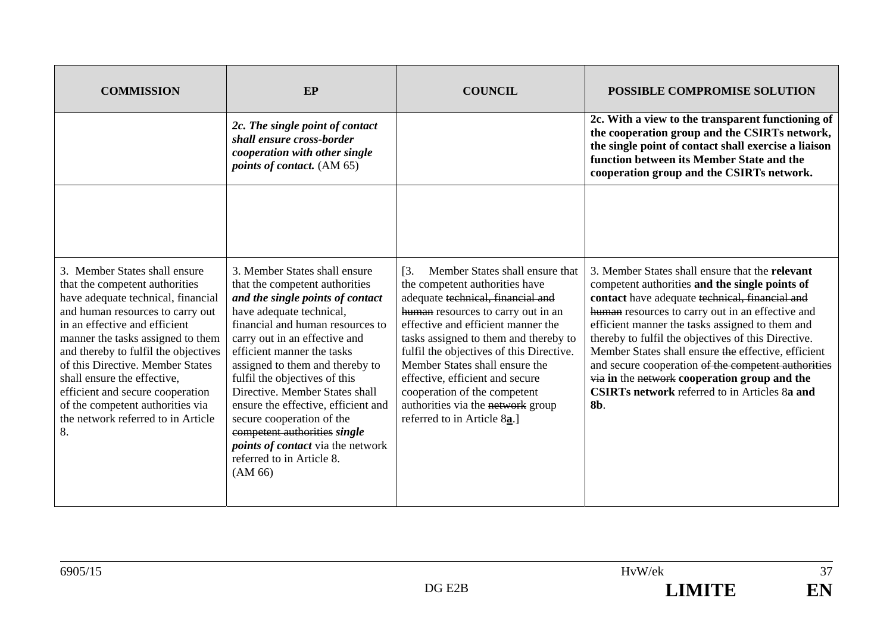| <b>COMMISSION</b>                                                                                                                                                                                                                                                                                                                                                                                                                              | EP                                                                                                                                                                                                                                                                                                                                                                                                                                                                                                                               | <b>COUNCIL</b>                                                                                                                                                                                                                                                                                                                                                                                                                                                        | POSSIBLE COMPROMISE SOLUTION                                                                                                                                                                                                                                                                                                                                                                                                                                                                                                                   |
|------------------------------------------------------------------------------------------------------------------------------------------------------------------------------------------------------------------------------------------------------------------------------------------------------------------------------------------------------------------------------------------------------------------------------------------------|----------------------------------------------------------------------------------------------------------------------------------------------------------------------------------------------------------------------------------------------------------------------------------------------------------------------------------------------------------------------------------------------------------------------------------------------------------------------------------------------------------------------------------|-----------------------------------------------------------------------------------------------------------------------------------------------------------------------------------------------------------------------------------------------------------------------------------------------------------------------------------------------------------------------------------------------------------------------------------------------------------------------|------------------------------------------------------------------------------------------------------------------------------------------------------------------------------------------------------------------------------------------------------------------------------------------------------------------------------------------------------------------------------------------------------------------------------------------------------------------------------------------------------------------------------------------------|
|                                                                                                                                                                                                                                                                                                                                                                                                                                                | 2c. The single point of contact<br>shall ensure cross-border<br>cooperation with other single<br><i>points of contact.</i> (AM 65)                                                                                                                                                                                                                                                                                                                                                                                               |                                                                                                                                                                                                                                                                                                                                                                                                                                                                       | 2c. With a view to the transparent functioning of<br>the cooperation group and the CSIRTs network,<br>the single point of contact shall exercise a liaison<br>function between its Member State and the<br>cooperation group and the CSIRTs network.                                                                                                                                                                                                                                                                                           |
|                                                                                                                                                                                                                                                                                                                                                                                                                                                |                                                                                                                                                                                                                                                                                                                                                                                                                                                                                                                                  |                                                                                                                                                                                                                                                                                                                                                                                                                                                                       |                                                                                                                                                                                                                                                                                                                                                                                                                                                                                                                                                |
| 3. Member States shall ensure<br>that the competent authorities<br>have adequate technical, financial<br>and human resources to carry out<br>in an effective and efficient<br>manner the tasks assigned to them<br>and thereby to fulfil the objectives<br>of this Directive. Member States<br>shall ensure the effective,<br>efficient and secure cooperation<br>of the competent authorities via<br>the network referred to in Article<br>8. | 3. Member States shall ensure<br>that the competent authorities<br>and the single points of contact<br>have adequate technical,<br>financial and human resources to<br>carry out in an effective and<br>efficient manner the tasks<br>assigned to them and thereby to<br>fulfil the objectives of this<br>Directive. Member States shall<br>ensure the effective, efficient and<br>secure cooperation of the<br>competent authorities single<br><i>points of contact</i> via the network<br>referred to in Article 8.<br>(AM 66) | Member States shall ensure that<br>$\overline{13}$ .<br>the competent authorities have<br>adequate technical, financial and<br>human resources to carry out in an<br>effective and efficient manner the<br>tasks assigned to them and thereby to<br>fulfil the objectives of this Directive.<br>Member States shall ensure the<br>effective, efficient and secure<br>cooperation of the competent<br>authorities via the network group<br>referred to in Article 8a.] | 3. Member States shall ensure that the relevant<br>competent authorities and the single points of<br>contact have adequate technical, financial and<br>human resources to carry out in an effective and<br>efficient manner the tasks assigned to them and<br>thereby to fulfil the objectives of this Directive.<br>Member States shall ensure the effective, efficient<br>and secure cooperation of the competent authorities<br>via in the network cooperation group and the<br><b>CSIRTs network</b> referred to in Articles 8a and<br>8b. |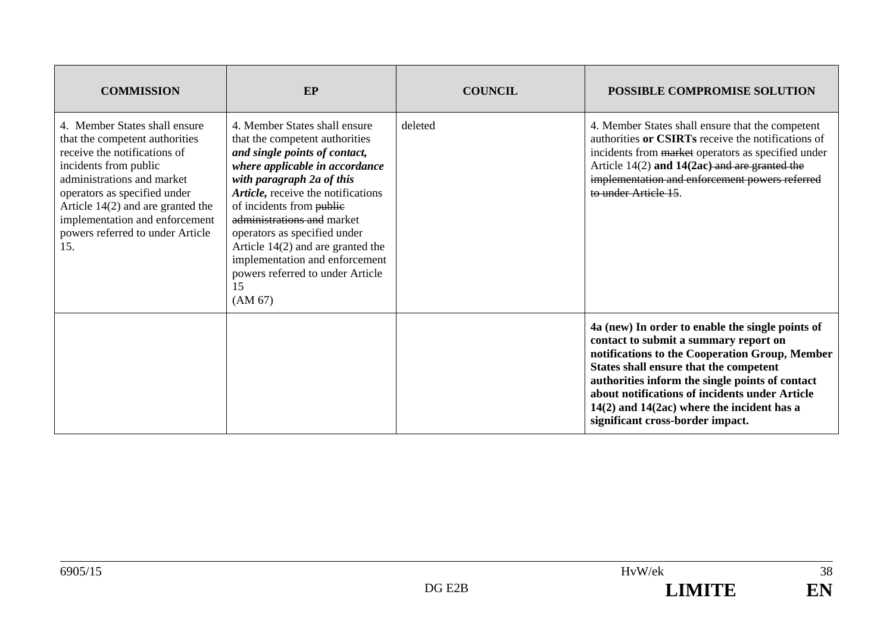| <b>COMMISSION</b>                                                                                                                                                                                                                                                                                          | EP                                                                                                                                                                                                                                                                                                                                                                                                                            | <b>COUNCIL</b> | <b>POSSIBLE COMPROMISE SOLUTION</b>                                                                                                                                                                                                                                                                                                                                              |
|------------------------------------------------------------------------------------------------------------------------------------------------------------------------------------------------------------------------------------------------------------------------------------------------------------|-------------------------------------------------------------------------------------------------------------------------------------------------------------------------------------------------------------------------------------------------------------------------------------------------------------------------------------------------------------------------------------------------------------------------------|----------------|----------------------------------------------------------------------------------------------------------------------------------------------------------------------------------------------------------------------------------------------------------------------------------------------------------------------------------------------------------------------------------|
| 4. Member States shall ensure<br>that the competent authorities<br>receive the notifications of<br>incidents from public<br>administrations and market<br>operators as specified under<br>Article $14(2)$ and are granted the<br>implementation and enforcement<br>powers referred to under Article<br>15. | 4. Member States shall ensure<br>that the competent authorities<br>and single points of contact,<br>where applicable in accordance<br>with paragraph 2a of this<br>Article, receive the notifications<br>of incidents from public<br>administrations and market<br>operators as specified under<br>Article $14(2)$ and are granted the<br>implementation and enforcement<br>powers referred to under Article<br>15<br>(AM 67) | deleted        | 4. Member States shall ensure that the competent<br>authorities or CSIRTs receive the notifications of<br>incidents from market operators as specified under<br>Article $14(2)$ and $14(2ac)$ and are granted the<br>implementation and enforcement powers referred<br>to under Article 15.                                                                                      |
|                                                                                                                                                                                                                                                                                                            |                                                                                                                                                                                                                                                                                                                                                                                                                               |                | 4a (new) In order to enable the single points of<br>contact to submit a summary report on<br>notifications to the Cooperation Group, Member<br>States shall ensure that the competent<br>authorities inform the single points of contact<br>about notifications of incidents under Article<br>$14(2)$ and $14(2ac)$ where the incident has a<br>significant cross-border impact. |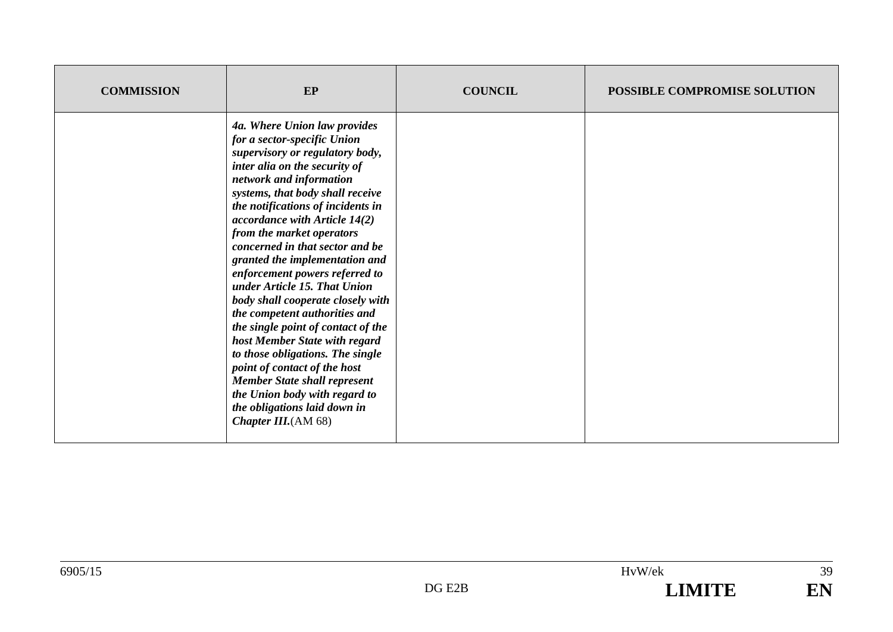| <b>COMMISSION</b> | EP                                                                                                                                                                                                                                                                                                                                                                                                                                                                                                                                                                                                                                                                                                                                                                                            | <b>COUNCIL</b> | POSSIBLE COMPROMISE SOLUTION |
|-------------------|-----------------------------------------------------------------------------------------------------------------------------------------------------------------------------------------------------------------------------------------------------------------------------------------------------------------------------------------------------------------------------------------------------------------------------------------------------------------------------------------------------------------------------------------------------------------------------------------------------------------------------------------------------------------------------------------------------------------------------------------------------------------------------------------------|----------------|------------------------------|
|                   | 4a. Where Union law provides<br>for a sector-specific Union<br>supervisory or regulatory body,<br>inter alia on the security of<br>network and information<br>systems, that body shall receive<br>the notifications of incidents in<br>accordance with Article $14(2)$<br>from the market operators<br>concerned in that sector and be<br>granted the implementation and<br>enforcement powers referred to<br>under Article 15. That Union<br>body shall cooperate closely with<br>the competent authorities and<br>the single point of contact of the<br>host Member State with regard<br>to those obligations. The single<br>point of contact of the host<br><b>Member State shall represent</b><br>the Union body with regard to<br>the obligations laid down in<br>Chapter III. $(AM 68)$ |                |                              |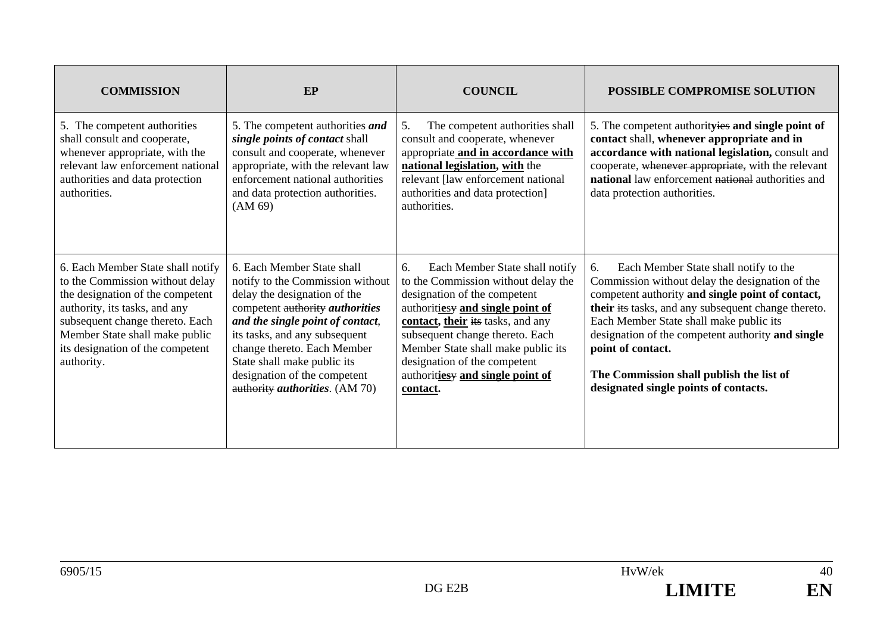| <b>COMMISSION</b>                                                                                                                                                                                                                                                | EP                                                                                                                                                                                                                                                                                                                                                    | <b>COUNCIL</b>                                                                                                                                                                                                                                                                                                                                | <b>POSSIBLE COMPROMISE SOLUTION</b>                                                                                                                                                                                                                                                                                                                                                                                 |
|------------------------------------------------------------------------------------------------------------------------------------------------------------------------------------------------------------------------------------------------------------------|-------------------------------------------------------------------------------------------------------------------------------------------------------------------------------------------------------------------------------------------------------------------------------------------------------------------------------------------------------|-----------------------------------------------------------------------------------------------------------------------------------------------------------------------------------------------------------------------------------------------------------------------------------------------------------------------------------------------|---------------------------------------------------------------------------------------------------------------------------------------------------------------------------------------------------------------------------------------------------------------------------------------------------------------------------------------------------------------------------------------------------------------------|
| 5. The competent authorities<br>shall consult and cooperate,<br>whenever appropriate, with the<br>relevant law enforcement national<br>authorities and data protection<br>authorities.                                                                           | 5. The competent authorities and<br>single points of contact shall<br>consult and cooperate, whenever<br>appropriate, with the relevant law<br>enforcement national authorities<br>and data protection authorities.<br>(AM 69)                                                                                                                        | 5.<br>The competent authorities shall<br>consult and cooperate, whenever<br>appropriate and in accordance with<br>national legislation, with the<br>relevant [law enforcement national<br>authorities and data protection]<br>authorities.                                                                                                    | 5. The competent authorityies and single point of<br>contact shall, whenever appropriate and in<br>accordance with national legislation, consult and<br>cooperate, whenever appropriate, with the relevant<br>national law enforcement national authorities and<br>data protection authorities.                                                                                                                     |
| 6. Each Member State shall notify<br>to the Commission without delay<br>the designation of the competent<br>authority, its tasks, and any<br>subsequent change thereto. Each<br>Member State shall make public<br>its designation of the competent<br>authority. | 6. Each Member State shall<br>notify to the Commission without<br>delay the designation of the<br>competent authority <i>authorities</i><br>and the single point of contact,<br>its tasks, and any subsequent<br>change thereto. Each Member<br>State shall make public its<br>designation of the competent<br>authority <i>authorities</i> . (AM 70) | Each Member State shall notify<br>6.<br>to the Commission without delay the<br>designation of the competent<br>authoritiesy and single point of<br>contact, their its tasks, and any<br>subsequent change thereto. Each<br>Member State shall make public its<br>designation of the competent<br>authoritiesy and single point of<br>contact. | 6.<br>Each Member State shall notify to the<br>Commission without delay the designation of the<br>competent authority and single point of contact,<br>their its tasks, and any subsequent change thereto.<br>Each Member State shall make public its<br>designation of the competent authority and single<br>point of contact.<br>The Commission shall publish the list of<br>designated single points of contacts. |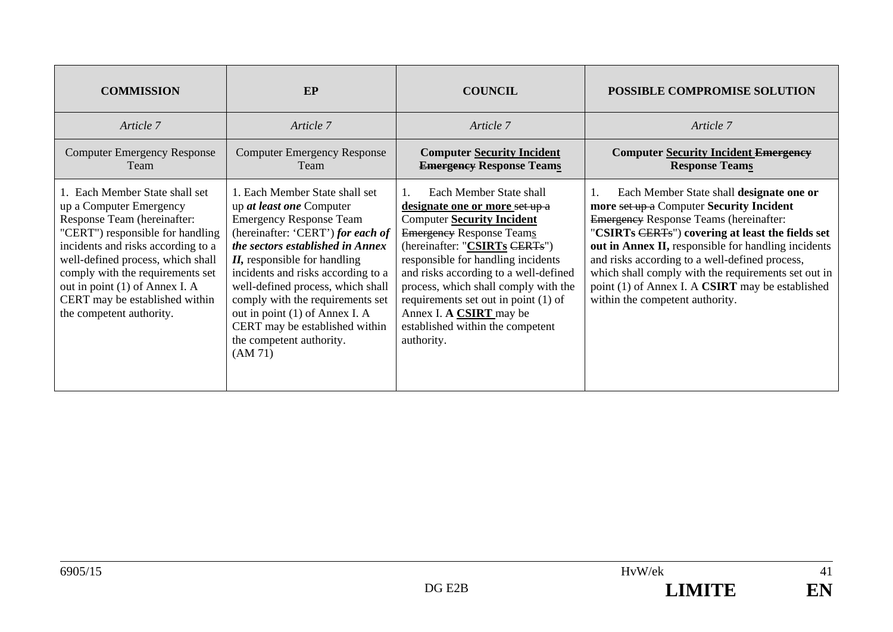| <b>COMMISSION</b>                                                                                                                                                                                                                                                                                                                           | EP                                                                                                                                                                                                                                                                                                                                                                                                                                 | <b>COUNCIL</b>                                                                                                                                                                                                                                                                                                                                                                                                 | <b>POSSIBLE COMPROMISE SOLUTION</b>                                                                                                                                                                                                                                                                                                                                                                                                                     |
|---------------------------------------------------------------------------------------------------------------------------------------------------------------------------------------------------------------------------------------------------------------------------------------------------------------------------------------------|------------------------------------------------------------------------------------------------------------------------------------------------------------------------------------------------------------------------------------------------------------------------------------------------------------------------------------------------------------------------------------------------------------------------------------|----------------------------------------------------------------------------------------------------------------------------------------------------------------------------------------------------------------------------------------------------------------------------------------------------------------------------------------------------------------------------------------------------------------|---------------------------------------------------------------------------------------------------------------------------------------------------------------------------------------------------------------------------------------------------------------------------------------------------------------------------------------------------------------------------------------------------------------------------------------------------------|
| Article 7                                                                                                                                                                                                                                                                                                                                   | Article 7                                                                                                                                                                                                                                                                                                                                                                                                                          | Article 7                                                                                                                                                                                                                                                                                                                                                                                                      | Article 7                                                                                                                                                                                                                                                                                                                                                                                                                                               |
| <b>Computer Emergency Response</b><br>Team                                                                                                                                                                                                                                                                                                  | <b>Computer Emergency Response</b><br>Team                                                                                                                                                                                                                                                                                                                                                                                         | <b>Computer Security Incident</b><br><b>Emergency Response Teams</b>                                                                                                                                                                                                                                                                                                                                           | <b>Computer Security Incident Emergency</b><br><b>Response Teams</b>                                                                                                                                                                                                                                                                                                                                                                                    |
| 1. Each Member State shall set<br>up a Computer Emergency<br>Response Team (hereinafter:<br>"CERT") responsible for handling<br>incidents and risks according to a<br>well-defined process, which shall<br>comply with the requirements set<br>out in point (1) of Annex I. A<br>CERT may be established within<br>the competent authority. | 1. Each Member State shall set<br>up at least one Computer<br><b>Emergency Response Team</b><br>(hereinafter: 'CERT') for each of<br>the sectors established in Annex<br>$II$ , responsible for handling<br>incidents and risks according to a<br>well-defined process, which shall<br>comply with the requirements set<br>out in point (1) of Annex I. A<br>CERT may be established within<br>the competent authority.<br>(AM 71) | Each Member State shall<br>designate one or more set up a<br><b>Computer Security Incident</b><br><b>Emergency Response Teams</b><br>(hereinafter: "CSIRTs CERTs")<br>responsible for handling incidents<br>and risks according to a well-defined<br>process, which shall comply with the<br>requirements set out in point (1) of<br>Annex I. A CSIRT may be<br>established within the competent<br>authority. | Each Member State shall designate one or<br>more set up a Computer Security Incident<br><b>Emergency Response Teams (hereinafter:</b><br>"CSIRTs CERTs") covering at least the fields set<br>out in Annex II, responsible for handling incidents<br>and risks according to a well-defined process,<br>which shall comply with the requirements set out in<br>point (1) of Annex I. A <b>CSIRT</b> may be established<br>within the competent authority. |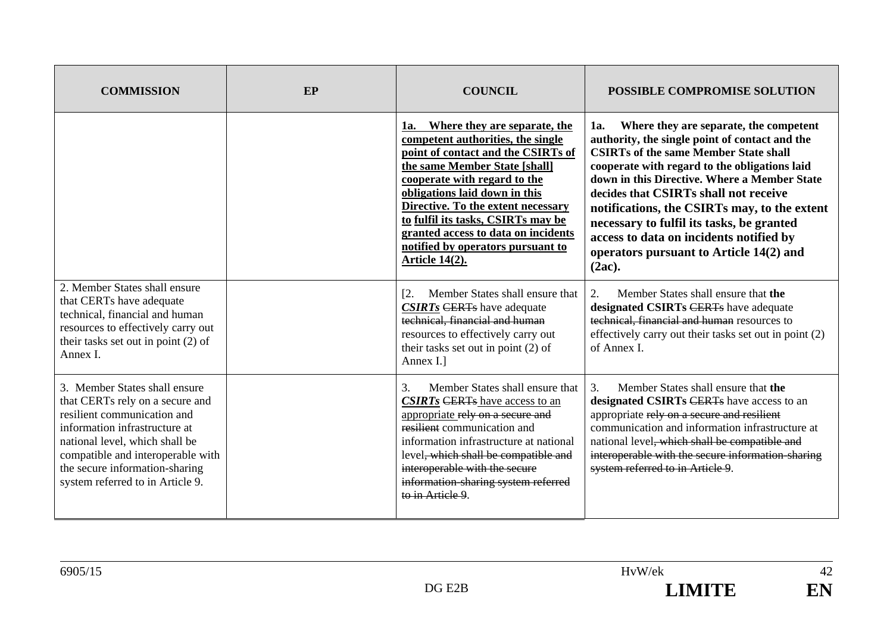| <b>COMMISSION</b>                                                                                                                                                                                                                                                             | EP | <b>COUNCIL</b>                                                                                                                                                                                                                                                                                                                                                                          | <b>POSSIBLE COMPROMISE SOLUTION</b>                                                                                                                                                                                                                                                                                                                                                                                                                                                       |
|-------------------------------------------------------------------------------------------------------------------------------------------------------------------------------------------------------------------------------------------------------------------------------|----|-----------------------------------------------------------------------------------------------------------------------------------------------------------------------------------------------------------------------------------------------------------------------------------------------------------------------------------------------------------------------------------------|-------------------------------------------------------------------------------------------------------------------------------------------------------------------------------------------------------------------------------------------------------------------------------------------------------------------------------------------------------------------------------------------------------------------------------------------------------------------------------------------|
|                                                                                                                                                                                                                                                                               |    | 1a. Where they are separate, the<br>competent authorities, the single<br>point of contact and the CSIRTs of<br>the same Member State [shall]<br>cooperate with regard to the<br>obligations laid down in this<br>Directive. To the extent necessary<br>to fulfil its tasks, CSIRTs may be<br>granted access to data on incidents<br>notified by operators pursuant to<br>Article 14(2). | Where they are separate, the competent<br>1a.<br>authority, the single point of contact and the<br><b>CSIRTs of the same Member State shall</b><br>cooperate with regard to the obligations laid<br>down in this Directive. Where a Member State<br>decides that CSIRTs shall not receive<br>notifications, the CSIRTs may, to the extent<br>necessary to fulfil its tasks, be granted<br>access to data on incidents notified by<br>operators pursuant to Article 14(2) and<br>$(2ac)$ . |
| 2. Member States shall ensure<br>that CERTs have adequate<br>technical, financial and human<br>resources to effectively carry out<br>their tasks set out in point (2) of<br>Annex I.                                                                                          |    | Member States shall ensure that<br>$\lceil 2.$<br><b>CSIRTs CERTs</b> have adequate<br>technical, financial and human<br>resources to effectively carry out<br>their tasks set out in point (2) of<br>Annex I.]                                                                                                                                                                         | Member States shall ensure that the<br>2.<br>designated CSIRTs CERTs have adequate<br>technical, financial and human resources to<br>effectively carry out their tasks set out in point (2)<br>of Annex I.                                                                                                                                                                                                                                                                                |
| 3. Member States shall ensure<br>that CERTs rely on a secure and<br>resilient communication and<br>information infrastructure at<br>national level, which shall be<br>compatible and interoperable with<br>the secure information-sharing<br>system referred to in Article 9. |    | 3.<br>Member States shall ensure that<br><b>CSIRTs</b> CERTs have access to an<br>appropriate rely on a secure and<br>resilient communication and<br>information infrastructure at national<br>level <del>, which shall be compatible and</del><br>interoperable with the secure<br>information-sharing system referred<br>to in Article 9.                                             | 3.<br>Member States shall ensure that the<br>designated CSIRTs CERTs have access to an<br>appropriate rely on a secure and resilient<br>communication and information infrastructure at<br>national level, which shall be compatible and<br>interoperable with the secure information-sharing<br>system referred to in Article 9.                                                                                                                                                         |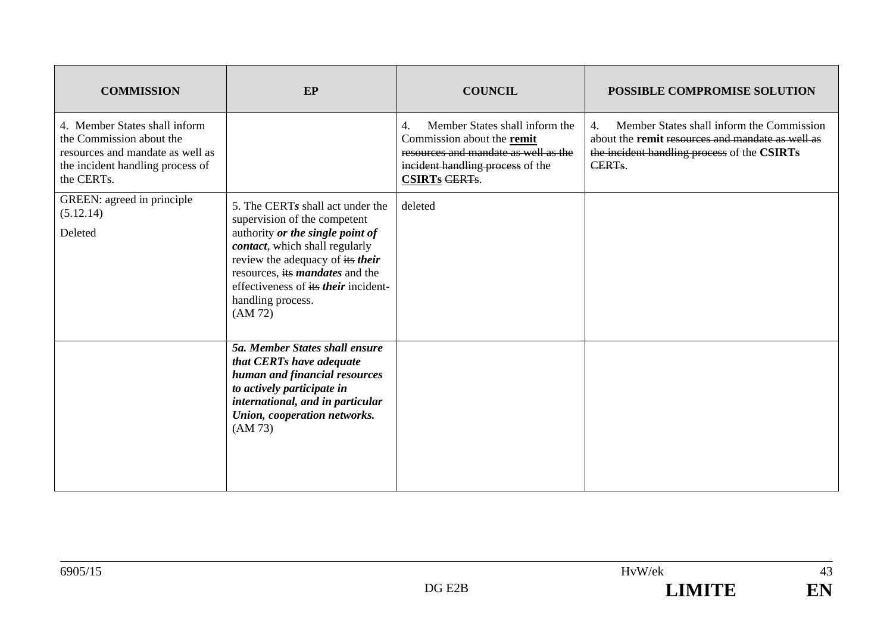| <b>COMMISSION</b>                                                                                                                               | EP                                                                                                                                                                                                                                                                                           | <b>COUNCIL</b>                                                                                                                                                         | <b>POSSIBLE COMPROMISE SOLUTION</b>                                                                                                                                                     |
|-------------------------------------------------------------------------------------------------------------------------------------------------|----------------------------------------------------------------------------------------------------------------------------------------------------------------------------------------------------------------------------------------------------------------------------------------------|------------------------------------------------------------------------------------------------------------------------------------------------------------------------|-----------------------------------------------------------------------------------------------------------------------------------------------------------------------------------------|
| 4. Member States shall inform<br>the Commission about the<br>resources and mandate as well as<br>the incident handling process of<br>the CERTs. |                                                                                                                                                                                                                                                                                              | Member States shall inform the<br>4.<br>Commission about the remit<br>resources and mandate as well as the<br>incident handling process of the<br><b>CSIRTs CERTs.</b> | $\overline{4}$ .<br>Member States shall inform the Commission<br>about the remit resources and mandate as well as<br>the incident handling process of the CSIRTs<br>CERT <sub>s</sub> . |
| GREEN: agreed in principle<br>(5.12.14)<br>Deleted                                                                                              | 5. The CERTs shall act under the<br>supervision of the competent<br>authority or the single point of<br>contact, which shall regularly<br>review the adequacy of its their<br>resources, its <i>mandates</i> and the<br>effectiveness of its their incident-<br>handling process.<br>(AM 72) | deleted                                                                                                                                                                |                                                                                                                                                                                         |
|                                                                                                                                                 | 5a. Member States shall ensure<br>that CERTs have adequate<br>human and financial resources<br>to actively participate in<br>international, and in particular<br>Union, cooperation networks.<br>(AM 73)                                                                                     |                                                                                                                                                                        |                                                                                                                                                                                         |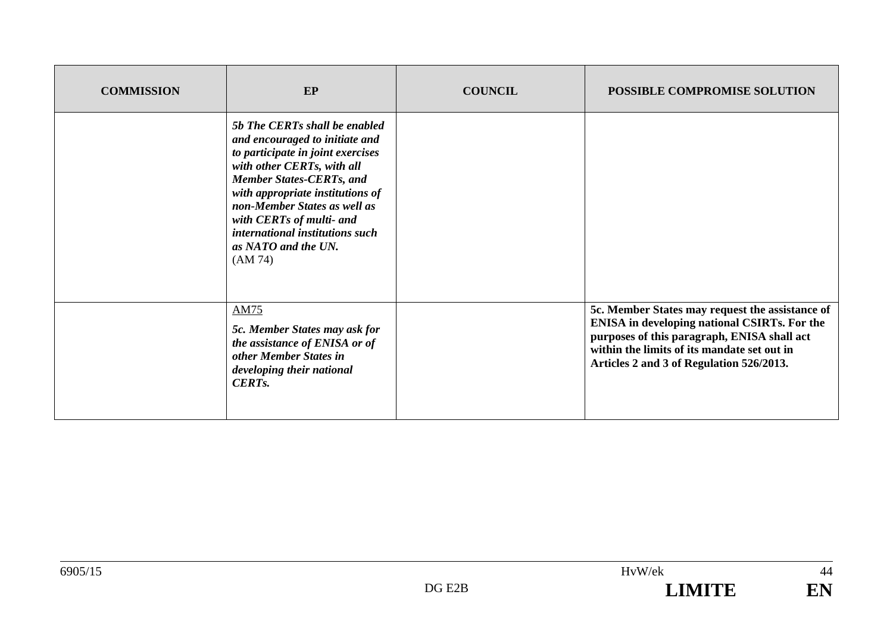| <b>COMMISSION</b> | EP                                                                                                                                                                                                                                                                                                                                         | <b>COUNCIL</b> | <b>POSSIBLE COMPROMISE SOLUTION</b>                                                                                                                                                                                                              |
|-------------------|--------------------------------------------------------------------------------------------------------------------------------------------------------------------------------------------------------------------------------------------------------------------------------------------------------------------------------------------|----------------|--------------------------------------------------------------------------------------------------------------------------------------------------------------------------------------------------------------------------------------------------|
|                   | 5b The CERTs shall be enabled<br>and encouraged to initiate and<br>to participate in joint exercises<br>with other CERTs, with all<br><b>Member States-CERTs, and</b><br>with appropriate institutions of<br>non-Member States as well as<br>with CERTs of multi- and<br>international institutions such<br>as NATO and the UN.<br>(AM 74) |                |                                                                                                                                                                                                                                                  |
|                   | <b>AM75</b><br>5c. Member States may ask for<br>the assistance of ENISA or of<br>other Member States in<br>developing their national<br><b>CERTs.</b>                                                                                                                                                                                      |                | 5c. Member States may request the assistance of<br><b>ENISA</b> in developing national CSIRTs. For the<br>purposes of this paragraph, ENISA shall act<br>within the limits of its mandate set out in<br>Articles 2 and 3 of Regulation 526/2013. |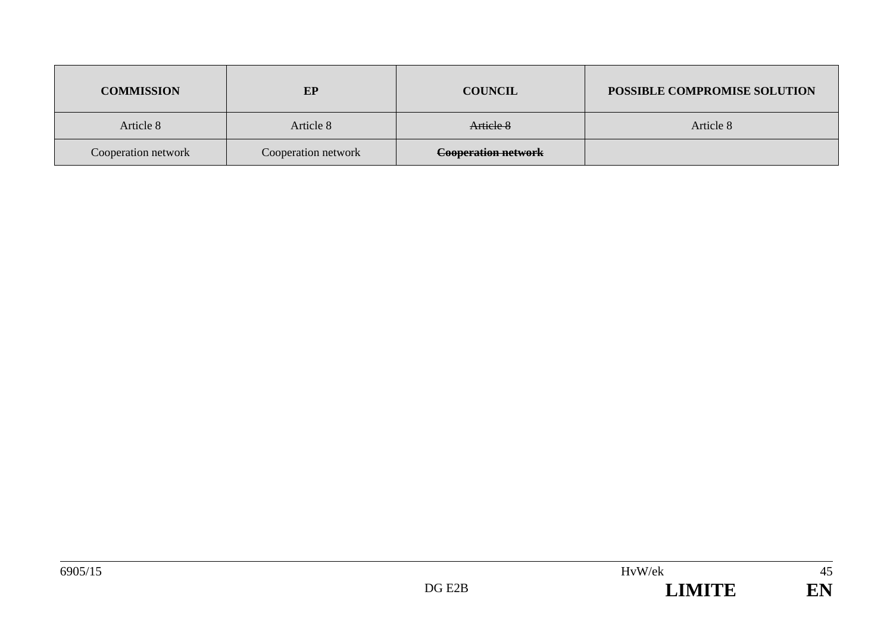| <b>COMMISSION</b>   | EP                  | <b>COUNCIL</b>             | POSSIBLE COMPROMISE SOLUTION |
|---------------------|---------------------|----------------------------|------------------------------|
| Article 8           | Article 8           | Article 8                  | Article 8                    |
| Cooperation network | Cooperation network | <b>Cooperation network</b> |                              |

45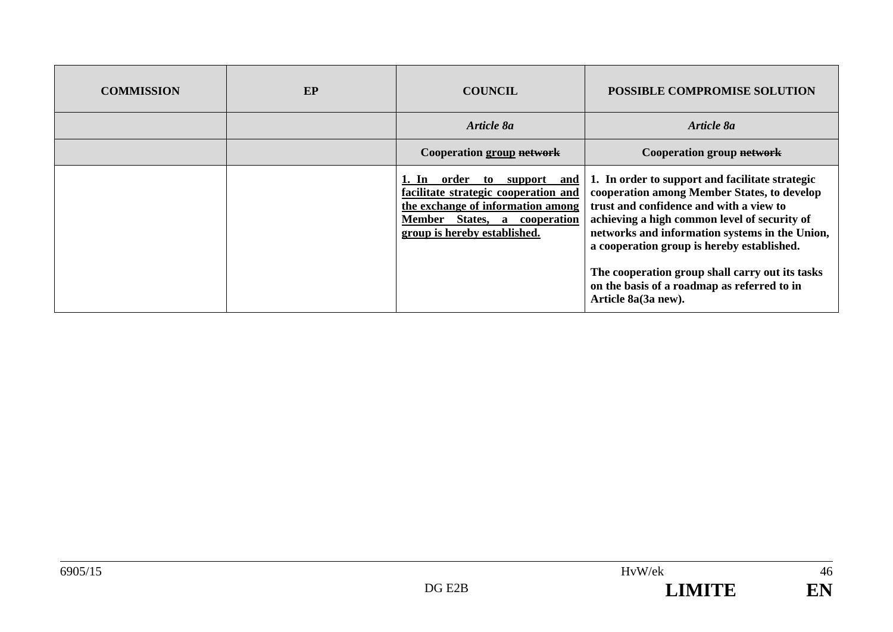| <b>COMMISSION</b> | EP | <b>COUNCIL</b>                                                                                                                                                                   | <b>POSSIBLE COMPROMISE SOLUTION</b>                                                                                                                                                                                                                                                                                                                                                                                |
|-------------------|----|----------------------------------------------------------------------------------------------------------------------------------------------------------------------------------|--------------------------------------------------------------------------------------------------------------------------------------------------------------------------------------------------------------------------------------------------------------------------------------------------------------------------------------------------------------------------------------------------------------------|
|                   |    | Article 8a                                                                                                                                                                       | Article 8a                                                                                                                                                                                                                                                                                                                                                                                                         |
|                   |    | Cooperation group network                                                                                                                                                        | Cooperation group network                                                                                                                                                                                                                                                                                                                                                                                          |
|                   |    | order<br>1. In<br>support and<br>to<br>facilitate strategic cooperation and<br>the exchange of information among<br>Member States, a cooperation<br>group is hereby established. | 1. In order to support and facilitate strategic<br>cooperation among Member States, to develop<br>trust and confidence and with a view to<br>achieving a high common level of security of<br>networks and information systems in the Union,<br>a cooperation group is hereby established.<br>The cooperation group shall carry out its tasks<br>on the basis of a roadmap as referred to in<br>Article 8a(3a new). |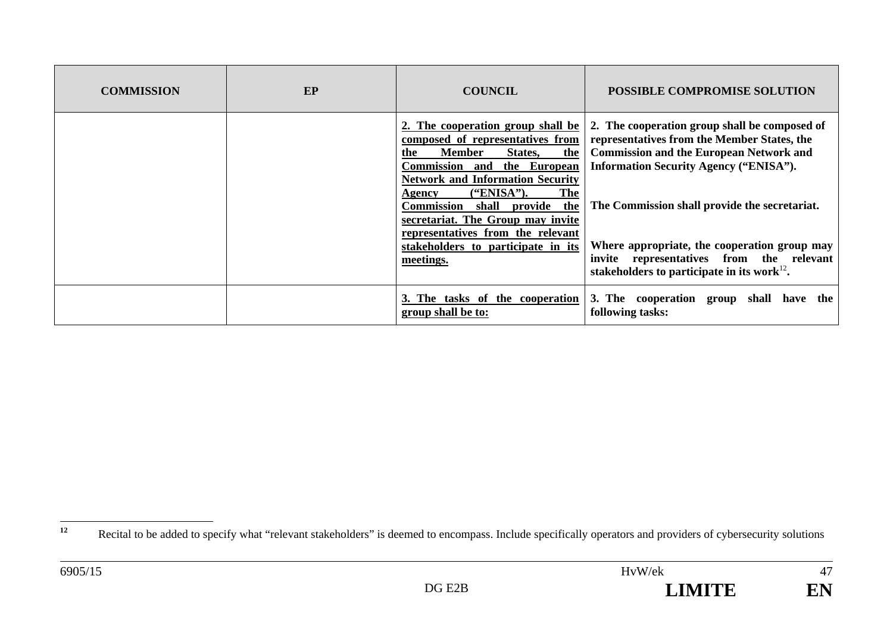| <b>COMMISSION</b> | EP | <b>COUNCIL</b>                                                                                                                                                                                                                                                                                                                                                                                               | <b>POSSIBLE COMPROMISE SOLUTION</b>                                                                                                                                                                                                                                                                                                                                                               |
|-------------------|----|--------------------------------------------------------------------------------------------------------------------------------------------------------------------------------------------------------------------------------------------------------------------------------------------------------------------------------------------------------------------------------------------------------------|---------------------------------------------------------------------------------------------------------------------------------------------------------------------------------------------------------------------------------------------------------------------------------------------------------------------------------------------------------------------------------------------------|
|                   |    | 2. The cooperation group shall be<br>composed of representatives from<br><b>Member</b><br>the<br>States,<br>the<br>Commission and the European<br><b>Network and Information Security</b><br><b>The</b><br>("ENISA").<br>Agency<br>the<br><b>Commission</b><br>provide<br>shall<br>secretariat. The Group may invite<br>representatives from the relevant<br>stakeholders to participate in its<br>meetings. | 2. The cooperation group shall be composed of<br>representatives from the Member States, the<br><b>Commission and the European Network and</b><br><b>Information Security Agency ("ENISA").</b><br>The Commission shall provide the secretariat.<br>Where appropriate, the cooperation group may<br>invite representatives from the relevant<br>stakeholders to participate in its work $^{12}$ . |
|                   |    | 3. The tasks of the cooperation<br>group shall be to:                                                                                                                                                                                                                                                                                                                                                        | 3. The cooperation group shall have the<br>following tasks:                                                                                                                                                                                                                                                                                                                                       |

<sup>&</sup>lt;sup>12</sup> Recital to be added to specify what "relevant stakeholders" is deemed to encompass. Include specifically operators and providers of cybersecurity solutions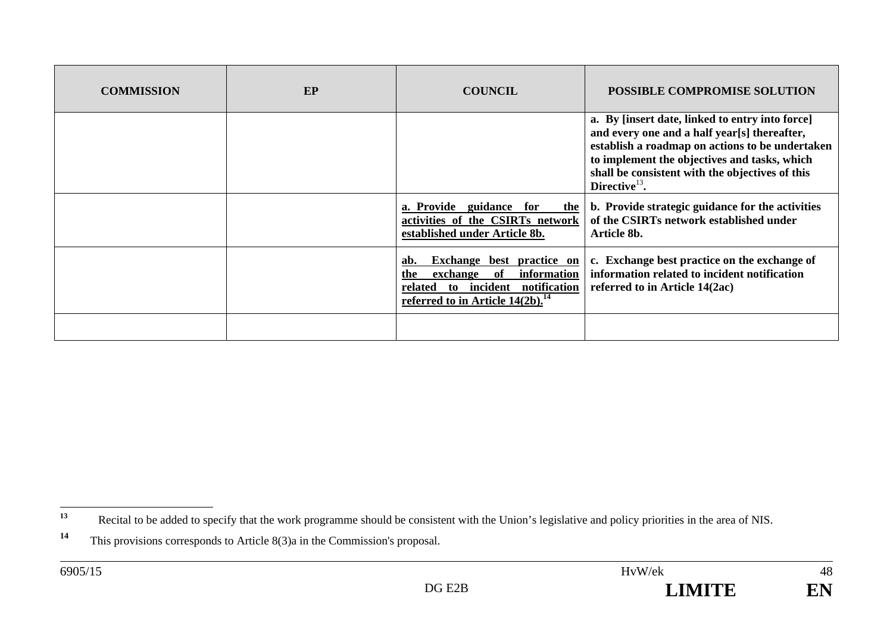| <b>COMMISSION</b> | EP | <b>COUNCIL</b>                                                                                                                                                        | <b>POSSIBLE COMPROMISE SOLUTION</b>                                                                                                                                                                                                                                       |
|-------------------|----|-----------------------------------------------------------------------------------------------------------------------------------------------------------------------|---------------------------------------------------------------------------------------------------------------------------------------------------------------------------------------------------------------------------------------------------------------------------|
|                   |    |                                                                                                                                                                       | a. By [insert date, linked to entry into force]<br>and every one and a half year[s] thereafter,<br>establish a roadmap on actions to be undertaken<br>to implement the objectives and tasks, which<br>shall be consistent with the objectives of this<br>Directive $13$ . |
|                   |    | a. Provide guidance for<br>the<br>activities of the CSIRTs network<br>established under Article 8b.                                                                   | b. Provide strategic guidance for the activities<br>of the CSIRTs network established under<br>Article 8b.                                                                                                                                                                |
|                   |    | Exchange best practice on<br>ab.<br>information<br>of<br>exchange<br>the<br>incident notification<br>related<br>to<br>referred to in Article $14(2b)$ . <sup>14</sup> | c. Exchange best practice on the exchange of<br>information related to incident notification<br>referred to in Article 14(2ac)                                                                                                                                            |
|                   |    |                                                                                                                                                                       |                                                                                                                                                                                                                                                                           |

**<sup>13</sup>**Recital to be added to specify that the work programme should be consistent with the Union's legislative and policy priorities in the area of NIS.

**<sup>14</sup>** This provisions corresponds to Article 8(3)a in the Commission's proposal.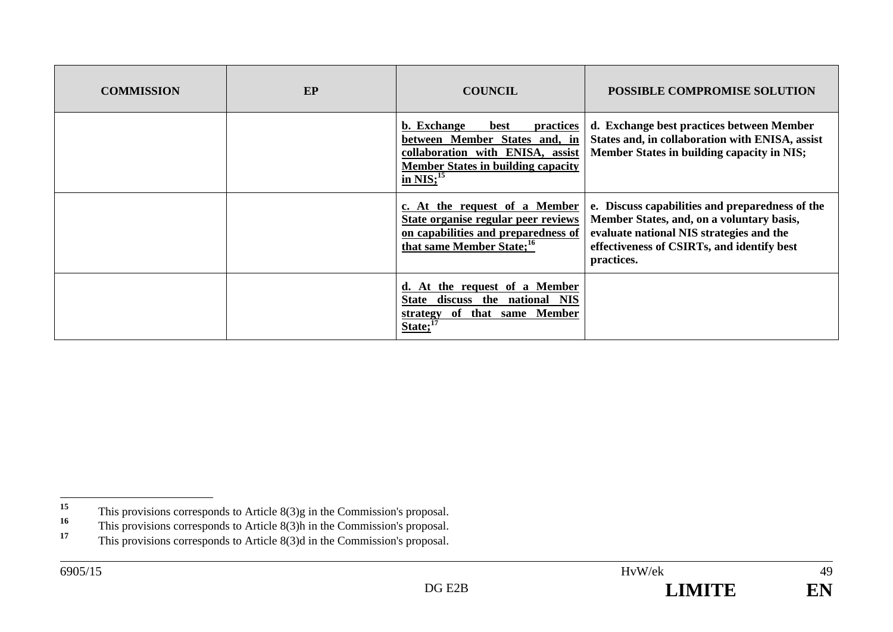| <b>COMMISSION</b> | EP | <b>COUNCIL</b>                                                                                                                                                              | <b>POSSIBLE COMPROMISE SOLUTION</b>                                                                                                                                                                  |
|-------------------|----|-----------------------------------------------------------------------------------------------------------------------------------------------------------------------------|------------------------------------------------------------------------------------------------------------------------------------------------------------------------------------------------------|
|                   |    | b. Exchange<br><b>practices</b><br>best<br>between Member States and, in<br>collaboration with ENISA, assist<br><b>Member States in building capacity</b><br>in $NIS;^{15}$ | d. Exchange best practices between Member<br>States and, in collaboration with ENISA, assist<br>Member States in building capacity in NIS;                                                           |
|                   |    | c. At the request of a Member<br>State organise regular peer reviews<br>on capabilities and preparedness of<br>that same Member State; <sup>16</sup>                        | e. Discuss capabilities and preparedness of the<br>Member States, and, on a voluntary basis,<br>evaluate national NIS strategies and the<br>effectiveness of CSIRTs, and identify best<br>practices. |
|                   |    | d. At the request of a Member<br>discuss the national NIS<br>State<br>of that same Member<br>strategy<br>$State;^{17}$                                                      |                                                                                                                                                                                                      |

<sup>&</sup>lt;sup>15</sup> This provisions corresponds to Article 8(3)g in the Commission's proposal.<br> **16** This provisions corresponds to Article 8(3)h in the Commission's proposal.

**<sup>16</sup>** This provisions corresponds to Article 8(3)h in the Commission's proposal.

**<sup>17</sup>** This provisions corresponds to Article 8(3)d in the Commission's proposal.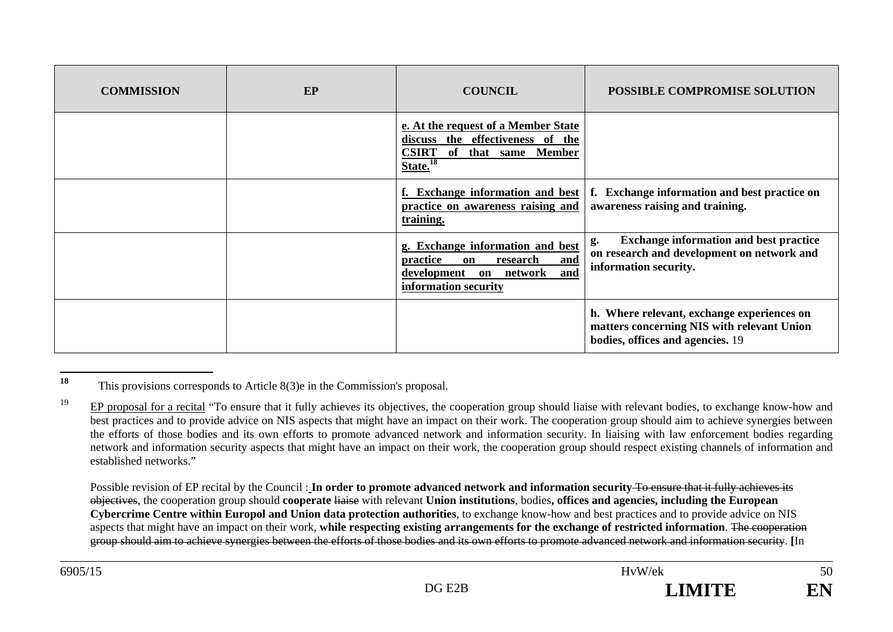| <b>COMMISSION</b> | <b>EP</b> | <b>COUNCIL</b>                                                                                                                                    | POSSIBLE COMPROMISE SOLUTION                                                                                                 |
|-------------------|-----------|---------------------------------------------------------------------------------------------------------------------------------------------------|------------------------------------------------------------------------------------------------------------------------------|
|                   |           | e. At the request of a Member State<br>discuss the effectiveness of the<br><b>CSIRT</b><br>of that same Member<br>$\overline{\text{State.}}^{18}$ |                                                                                                                              |
|                   |           | f. Exchange information and best<br>practice on awareness raising and<br>training.                                                                | f. Exchange information and best practice on<br>awareness raising and training.                                              |
|                   |           | g. Exchange information and best<br>and<br>practice<br>research<br>on<br>development on<br>network<br>and<br>information security                 | <b>Exchange information and best practice</b><br>g.<br>on research and development on network and<br>information security.   |
|                   |           |                                                                                                                                                   | h. Where relevant, exchange experiences on<br>matters concerning NIS with relevant Union<br>bodies, offices and agencies. 19 |

**<sup>18</sup>** This provisions corresponds to Article 8(3)e in the Commission's proposal.

<sup>19</sup> EP proposal for a recital "To ensure that it fully achieves its objectives, the cooperation group should liaise with relevant bodies, to exchange know-how and best practices and to provide advice on NIS aspects that might have an impact on their work. The cooperation group should aim to achieve synergies between the efforts of those bodies and its own efforts to promote advanced network and information security. In liaising with law enforcement bodies regarding network and information security aspects that might have an impact on their work, the cooperation group should respect existing channels of information and established networks."

Possible revision of EP recital by the Council: In order to promote advanced network and information security To ensure that it fully achieves its objectives, the cooperation group should **cooperate** liaise with relevant **Union institutions**, bodies**, offices and agencies, including the European Cybercrime Centre within Europol and Union data protection authorities**, to exchange know-how and best practices and to provide advice on NIS aspects that might have an impact on their work, **while respecting existing arrangements for the exchange of restricted information**. The cooperation group should aim to achieve synergies between the efforts of those bodies and its own efforts to promote advanced network and information security. **[**In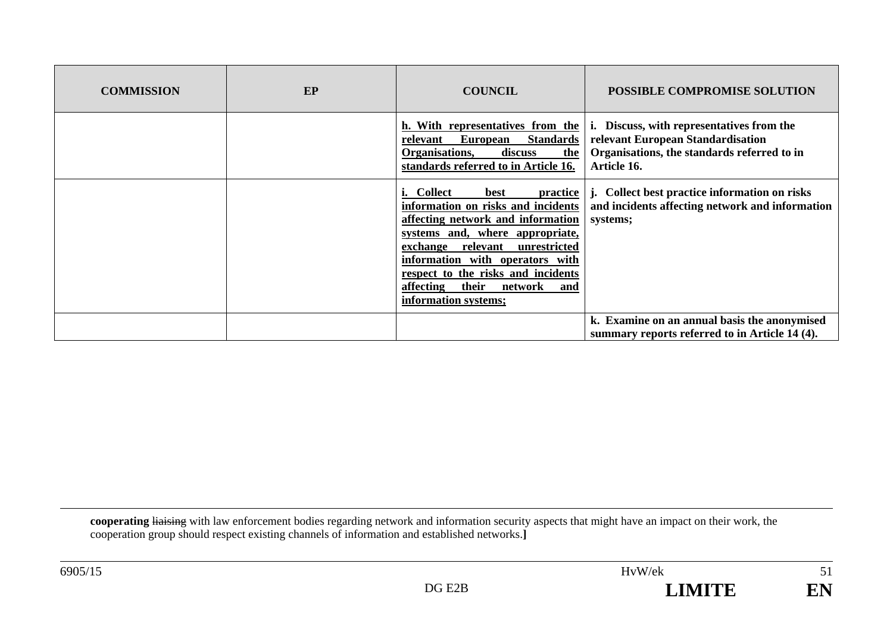| <b>COMMISSION</b> | EP | <b>COUNCIL</b>                                                                                                                                                                                                                                                                                                                              | <b>POSSIBLE COMPROMISE SOLUTION</b>                                                                                                             |
|-------------------|----|---------------------------------------------------------------------------------------------------------------------------------------------------------------------------------------------------------------------------------------------------------------------------------------------------------------------------------------------|-------------------------------------------------------------------------------------------------------------------------------------------------|
|                   |    | h. With representatives from the<br><b>Standards</b><br><b>European</b><br>relevant<br>Organisations,<br>discuss<br>the<br>standards referred to in Article 16.                                                                                                                                                                             | Discuss, with representatives from the<br>i.<br>relevant European Standardisation<br>Organisations, the standards referred to in<br>Article 16. |
|                   |    | <i>i.</i> Collect<br>best<br><b>practice</b><br>information on risks and incidents<br>affecting network and information<br>systems and, where appropriate,<br>unrestricted<br>relevant<br>exchange<br>information with operators with<br>respect to the risks and incidents<br>their<br>affecting<br>network<br>and<br>information systems; | Collect best practice information on risks<br>j.<br>and incidents affecting network and information<br>systems;                                 |
|                   |    |                                                                                                                                                                                                                                                                                                                                             | k. Examine on an annual basis the anonymised<br>summary reports referred to in Article 14 (4).                                                  |

**cooperating** liaising with law enforcement bodies regarding network and information security aspects that might have an impact on their work, the cooperation group should respect existing channels of information and established networks.**]**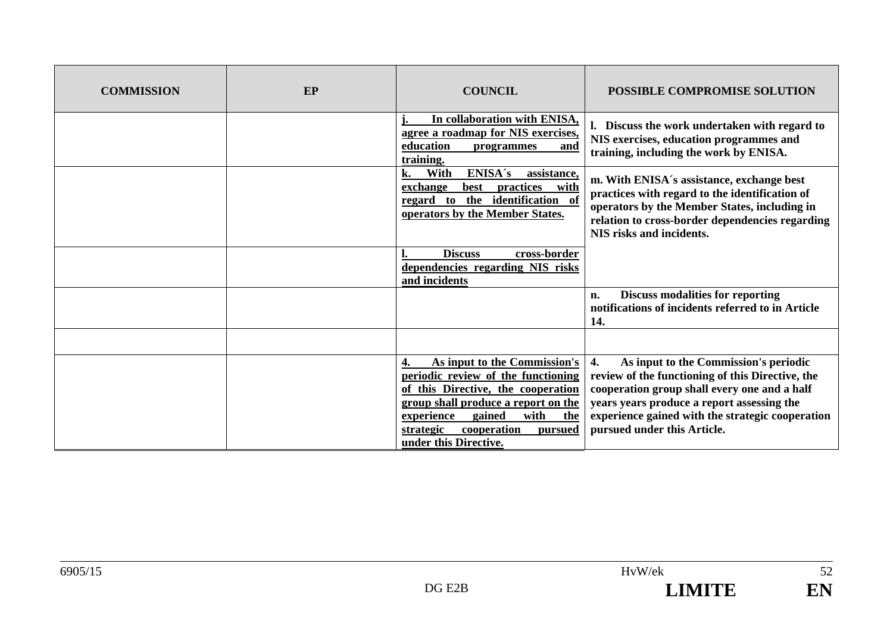| <b>COMMISSION</b> | EP | <b>COUNCIL</b>                                                                                                                                                                                                                                         | POSSIBLE COMPROMISE SOLUTION                                                                                                                                                                                                                                                                   |
|-------------------|----|--------------------------------------------------------------------------------------------------------------------------------------------------------------------------------------------------------------------------------------------------------|------------------------------------------------------------------------------------------------------------------------------------------------------------------------------------------------------------------------------------------------------------------------------------------------|
|                   |    | In collaboration with ENISA,<br>agree a roadmap for NIS exercises,<br>education<br>programmes<br>and<br>training.                                                                                                                                      | l. Discuss the work undertaken with regard to<br>NIS exercises, education programmes and<br>training, including the work by ENISA.                                                                                                                                                             |
|                   |    | ENISA's<br>With<br>assistance,<br>k.<br>practices with<br>exchange<br>best<br>identification of<br>the<br>regard to<br>operators by the Member States.                                                                                                 | m. With ENISA's assistance, exchange best<br>practices with regard to the identification of<br>operators by the Member States, including in<br>relation to cross-border dependencies regarding<br><b>NIS risks and incidents.</b>                                                              |
|                   |    | <b>Discuss</b><br>cross-border<br>dependencies regarding NIS risks<br>and incidents                                                                                                                                                                    |                                                                                                                                                                                                                                                                                                |
|                   |    |                                                                                                                                                                                                                                                        | <b>Discuss modalities for reporting</b><br>n.<br>notifications of incidents referred to in Article<br>14.                                                                                                                                                                                      |
|                   |    |                                                                                                                                                                                                                                                        |                                                                                                                                                                                                                                                                                                |
|                   |    | As input to the Commission's<br>periodic review of the functioning<br>of this Directive, the cooperation<br>group shall produce a report on the<br>gained<br>with<br>experience<br>the<br>cooperation<br>strategic<br>pursued<br>under this Directive. | As input to the Commission's periodic<br>$\overline{4}$ .<br>review of the functioning of this Directive, the<br>cooperation group shall every one and a half<br>years years produce a report assessing the<br>experience gained with the strategic cooperation<br>pursued under this Article. |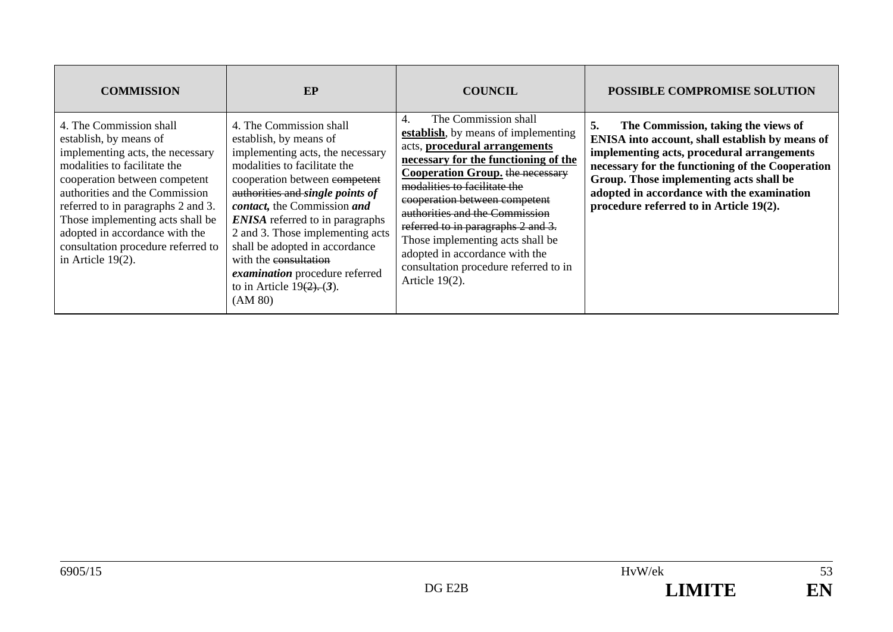| <b>COMMISSION</b>                                                                                                                                                                                                                                                                                                                                                  | EP                                                                                                                                                                                                                                                                                                                                                                                                                                              | <b>COUNCIL</b>                                                                                                                                                                                                                                                                                                                                                                                                                                                  | <b>POSSIBLE COMPROMISE SOLUTION</b>                                                                                                                                                                                                                                                                                                |
|--------------------------------------------------------------------------------------------------------------------------------------------------------------------------------------------------------------------------------------------------------------------------------------------------------------------------------------------------------------------|-------------------------------------------------------------------------------------------------------------------------------------------------------------------------------------------------------------------------------------------------------------------------------------------------------------------------------------------------------------------------------------------------------------------------------------------------|-----------------------------------------------------------------------------------------------------------------------------------------------------------------------------------------------------------------------------------------------------------------------------------------------------------------------------------------------------------------------------------------------------------------------------------------------------------------|------------------------------------------------------------------------------------------------------------------------------------------------------------------------------------------------------------------------------------------------------------------------------------------------------------------------------------|
| 4. The Commission shall<br>establish, by means of<br>implementing acts, the necessary<br>modalities to facilitate the<br>cooperation between competent<br>authorities and the Commission<br>referred to in paragraphs 2 and 3.<br>Those implementing acts shall be<br>adopted in accordance with the<br>consultation procedure referred to<br>in Article $19(2)$ . | 4. The Commission shall<br>establish, by means of<br>implementing acts, the necessary<br>modalities to facilitate the<br>cooperation between competent<br>authorities and single points of<br>contact, the Commission and<br><b>ENISA</b> referred to in paragraphs<br>2 and 3. Those implementing acts<br>shall be adopted in accordance<br>with the consultation<br>examination procedure referred<br>to in Article $19(2)$ . (3).<br>(AM 80) | The Commission shall<br>4.<br>establish, by means of implementing<br>acts, procedural arrangements<br>necessary for the functioning of the<br><b>Cooperation Group.</b> the necessary<br>modalities to facilitate the<br>cooperation between competent<br>authorities and the Commission<br>referred to in paragraphs 2 and 3.<br>Those implementing acts shall be<br>adopted in accordance with the<br>consultation procedure referred to in<br>Article 19(2). | 5.<br>The Commission, taking the views of<br>ENISA into account, shall establish by means of<br>implementing acts, procedural arrangements<br>necessary for the functioning of the Cooperation<br>Group. Those implementing acts shall be<br>adopted in accordance with the examination<br>procedure referred to in Article 19(2). |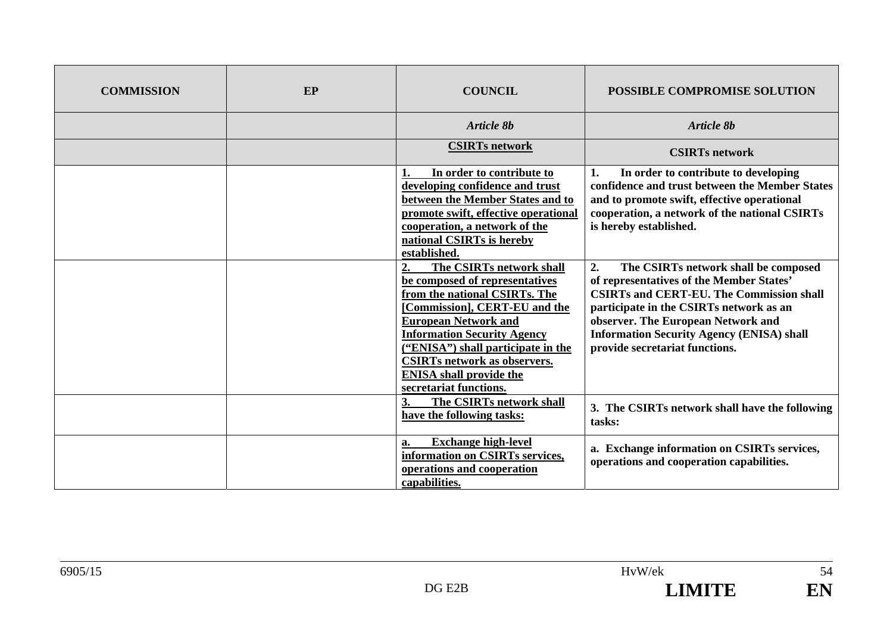| <b>COMMISSION</b> | EP | <b>COUNCIL</b>                                                                                                                                                                                                                                                                                                                                   | POSSIBLE COMPROMISE SOLUTION                                                                                                                                                                                                                                                                                     |
|-------------------|----|--------------------------------------------------------------------------------------------------------------------------------------------------------------------------------------------------------------------------------------------------------------------------------------------------------------------------------------------------|------------------------------------------------------------------------------------------------------------------------------------------------------------------------------------------------------------------------------------------------------------------------------------------------------------------|
|                   |    | Article 8b                                                                                                                                                                                                                                                                                                                                       | <b>Article 8b</b>                                                                                                                                                                                                                                                                                                |
|                   |    | <b>CSIRTs network</b>                                                                                                                                                                                                                                                                                                                            | <b>CSIRTs network</b>                                                                                                                                                                                                                                                                                            |
|                   |    | In order to contribute to<br>1.<br>developing confidence and trust<br>between the Member States and to<br>promote swift, effective operational<br>cooperation, a network of the<br>national CSIRTs is hereby<br>established.                                                                                                                     | In order to contribute to developing<br>1.<br>confidence and trust between the Member States<br>and to promote swift, effective operational<br>cooperation, a network of the national CSIRTs<br>is hereby established.                                                                                           |
|                   |    | The CSIRTs network shall<br>2.<br>be composed of representatives<br>from the national CSIRTs. The<br>[Commission], CERT-EU and the<br><b>European Network and</b><br><b>Information Security Agency</b><br>("ENISA") shall participate in the<br><b>CSIRTs network as observers.</b><br><b>ENISA</b> shall provide the<br>secretariat functions. | 2.<br>The CSIRTs network shall be composed<br>of representatives of the Member States'<br><b>CSIRTs and CERT-EU. The Commission shall</b><br>participate in the CSIRTs network as an<br>observer. The European Network and<br><b>Information Security Agency (ENISA) shall</b><br>provide secretariat functions. |
|                   |    | The CSIRTs network shall<br>3.<br>have the following tasks:                                                                                                                                                                                                                                                                                      | 3. The CSIRTs network shall have the following<br>tasks:                                                                                                                                                                                                                                                         |
|                   |    | <b>Exchange high-level</b><br>a.<br>information on CSIRTs services,<br>operations and cooperation<br>capabilities.                                                                                                                                                                                                                               | a. Exchange information on CSIRTs services,<br>operations and cooperation capabilities.                                                                                                                                                                                                                          |



54

EN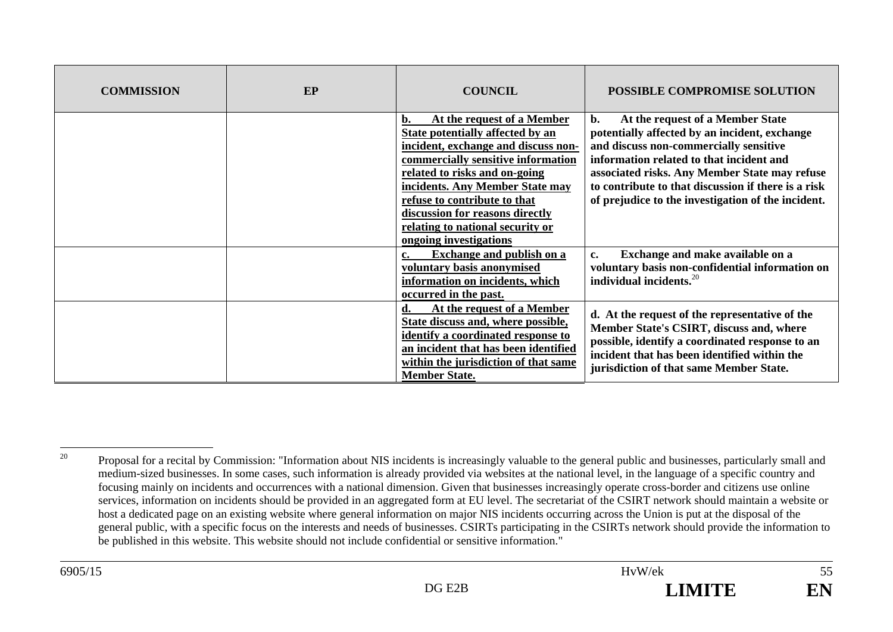| <b>COMMISSION</b> | EP | <b>COUNCIL</b>                                                                                                                                                                                                                                                                                                                                         | <b>POSSIBLE COMPROMISE SOLUTION</b>                                                                                                                                                                                                                                                                                                            |
|-------------------|----|--------------------------------------------------------------------------------------------------------------------------------------------------------------------------------------------------------------------------------------------------------------------------------------------------------------------------------------------------------|------------------------------------------------------------------------------------------------------------------------------------------------------------------------------------------------------------------------------------------------------------------------------------------------------------------------------------------------|
|                   |    | At the request of a Member<br>b.<br>State potentially affected by an<br>incident, exchange and discuss non-<br>commercially sensitive information<br>related to risks and on-going<br>incidents. Any Member State may<br>refuse to contribute to that<br>discussion for reasons directly<br>relating to national security or<br>ongoing investigations | $b$ .<br>At the request of a Member State<br>potentially affected by an incident, exchange<br>and discuss non-commercially sensitive<br>information related to that incident and<br>associated risks. Any Member State may refuse<br>to contribute to that discussion if there is a risk<br>of prejudice to the investigation of the incident. |
|                   |    | <b>Exchange and publish on a</b><br>c.<br>voluntary basis anonymised<br>information on incidents, which<br>occurred in the past.                                                                                                                                                                                                                       | Exchange and make available on a<br>c.<br>voluntary basis non-confidential information on<br>individual incidents. <sup>20</sup>                                                                                                                                                                                                               |
|                   |    | At the request of a Member<br>d.<br>State discuss and, where possible,<br>identify a coordinated response to<br>an incident that has been identified<br>within the jurisdiction of that same<br><b>Member State.</b>                                                                                                                                   | d. At the request of the representative of the<br>Member State's CSIRT, discuss and, where<br>possible, identify a coordinated response to an<br>incident that has been identified within the<br>jurisdiction of that same Member State.                                                                                                       |

<sup>&</sup>lt;sup>20</sup> Proposal for a recital by Commission: "Information about NIS incidents is increasingly valuable to the general public and businesses, particularly small and medium-sized businesses. In some cases, such information is already provided via websites at the national level, in the language of a specific country and focusing mainly on incidents and occurrences with a national dimension. Given that businesses increasingly operate cross-border and citizens use online services, information on incidents should be provided in an aggregated form at EU level. The secretariat of the CSIRT network should maintain a website or host a dedicated page on an existing website where general information on major NIS incidents occurring across the Union is put at the disposal of the general public, with a specific focus on the interests and needs of businesses. CSIRTs participating in the CSIRTs network should provide the information to be published in this website. This website should not include confidential or sensitive information."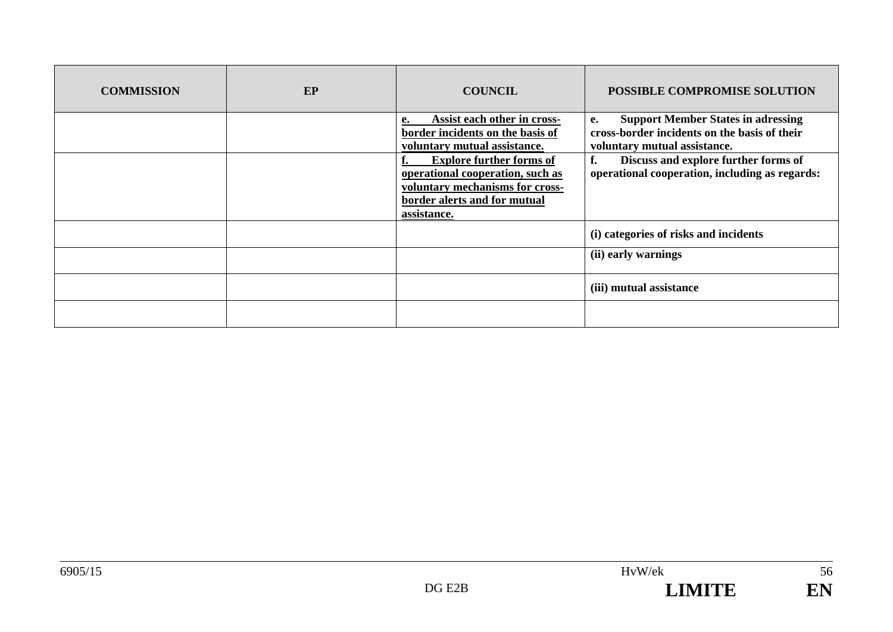| <b>COMMISSION</b> | EP | <b>COUNCIL</b>                                                                                                                                        | POSSIBLE COMPROMISE SOLUTION                                                                                                           |
|-------------------|----|-------------------------------------------------------------------------------------------------------------------------------------------------------|----------------------------------------------------------------------------------------------------------------------------------------|
|                   |    | Assist each other in cross-<br>е.<br>border incidents on the basis of<br>voluntary mutual assistance.                                                 | <b>Support Member States in adressing</b><br><b>e.</b><br>cross-border incidents on the basis of their<br>voluntary mutual assistance. |
|                   |    | <b>Explore further forms of</b><br>operational cooperation, such as<br>voluntary mechanisms for cross-<br>border alerts and for mutual<br>assistance. | f.<br>Discuss and explore further forms of<br>operational cooperation, including as regards:                                           |
|                   |    |                                                                                                                                                       | (i) categories of risks and incidents                                                                                                  |
|                   |    |                                                                                                                                                       | (ii) early warnings                                                                                                                    |
|                   |    |                                                                                                                                                       | (iii) mutual assistance                                                                                                                |
|                   |    |                                                                                                                                                       |                                                                                                                                        |

 $\overline{56}$ 

EN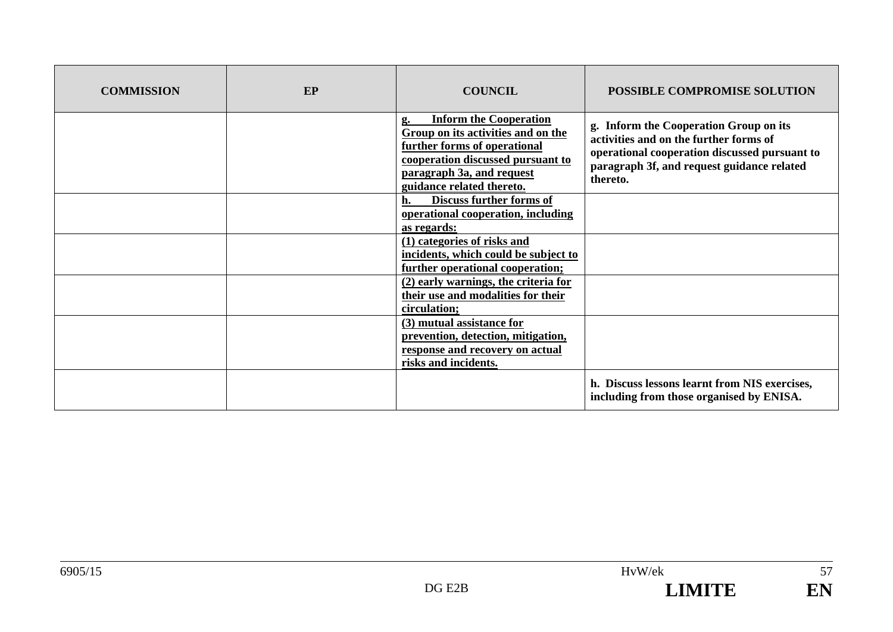| <b>COMMISSION</b> | EP | <b>COUNCIL</b>                                                                                                                                                                                           | <b>POSSIBLE COMPROMISE SOLUTION</b>                                                                                                                                                         |
|-------------------|----|----------------------------------------------------------------------------------------------------------------------------------------------------------------------------------------------------------|---------------------------------------------------------------------------------------------------------------------------------------------------------------------------------------------|
|                   |    | <b>Inform the Cooperation</b><br>g.<br>Group on its activities and on the<br>further forms of operational<br>cooperation discussed pursuant to<br>paragraph 3a, and request<br>guidance related thereto. | g. Inform the Cooperation Group on its<br>activities and on the further forms of<br>operational cooperation discussed pursuant to<br>paragraph 3f, and request guidance related<br>thereto. |
|                   |    | Discuss further forms of<br>h.<br>operational cooperation, including<br>as regards:                                                                                                                      |                                                                                                                                                                                             |
|                   |    | (1) categories of risks and<br>incidents, which could be subject to<br>further operational cooperation;                                                                                                  |                                                                                                                                                                                             |
|                   |    | (2) early warnings, the criteria for<br>their use and modalities for their<br>circulation;                                                                                                               |                                                                                                                                                                                             |
|                   |    | (3) mutual assistance for<br>prevention, detection, mitigation,<br>response and recovery on actual<br>risks and incidents.                                                                               |                                                                                                                                                                                             |
|                   |    |                                                                                                                                                                                                          | h. Discuss lessons learnt from NIS exercises,<br>including from those organised by ENISA.                                                                                                   |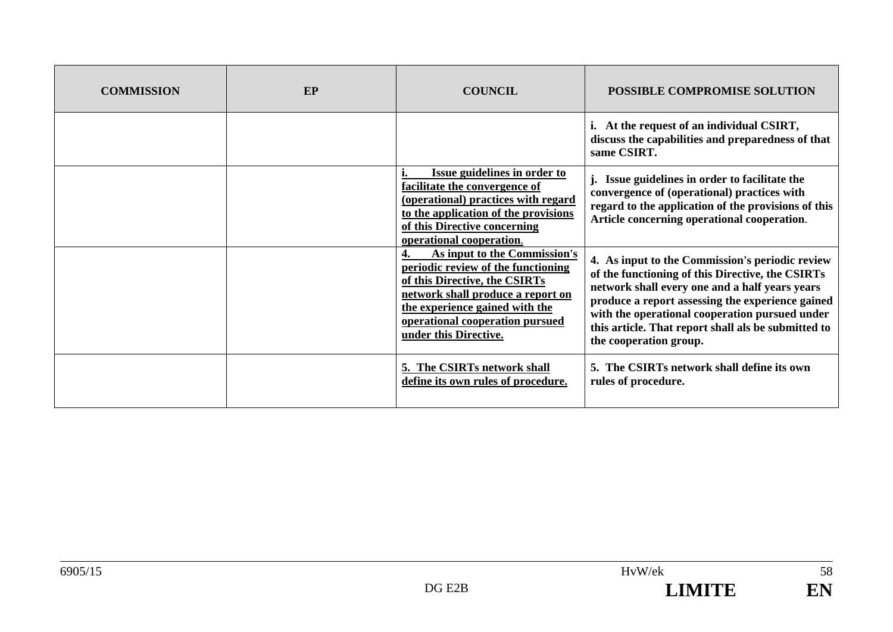| <b>COMMISSION</b> | EP | <b>COUNCIL</b>                                                                                                                                                                                                                         | POSSIBLE COMPROMISE SOLUTION                                                                                                                                                                                                                                                                                                                 |
|-------------------|----|----------------------------------------------------------------------------------------------------------------------------------------------------------------------------------------------------------------------------------------|----------------------------------------------------------------------------------------------------------------------------------------------------------------------------------------------------------------------------------------------------------------------------------------------------------------------------------------------|
|                   |    |                                                                                                                                                                                                                                        | i. At the request of an individual CSIRT,<br>discuss the capabilities and preparedness of that<br>same CSIRT.                                                                                                                                                                                                                                |
|                   |    | Issue guidelines in order to<br>facilitate the convergence of<br>(operational) practices with regard<br>to the application of the provisions<br>of this Directive concerning<br>operational cooperation.                               | j. Issue guidelines in order to facilitate the<br>convergence of (operational) practices with<br>regard to the application of the provisions of this<br>Article concerning operational cooperation.                                                                                                                                          |
|                   |    | As input to the Commission's<br>periodic review of the functioning<br>of this Directive, the CSIRTs<br>network shall produce a report on<br>the experience gained with the<br>operational cooperation pursued<br>under this Directive. | 4. As input to the Commission's periodic review<br>of the functioning of this Directive, the CSIRTs<br>network shall every one and a half years years<br>produce a report assessing the experience gained<br>with the operational cooperation pursued under<br>this article. That report shall als be submitted to<br>the cooperation group. |
|                   |    | 5. The CSIRTs network shall<br>define its own rules of procedure.                                                                                                                                                                      | 5. The CSIRTs network shall define its own<br>rules of procedure.                                                                                                                                                                                                                                                                            |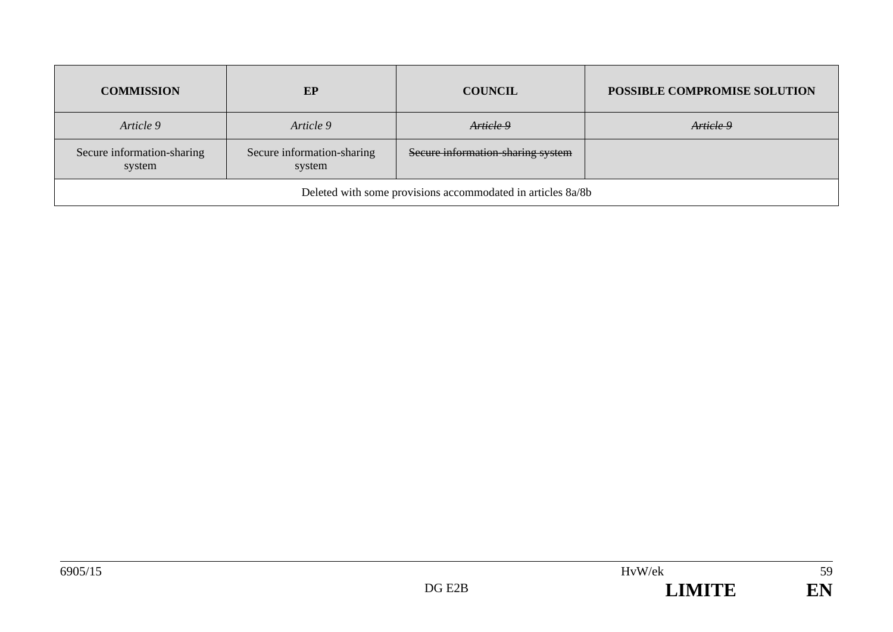| <b>COMMISSION</b>                                           | EP                                   | <b>COUNCIL</b>                    | POSSIBLE COMPROMISE SOLUTION |
|-------------------------------------------------------------|--------------------------------------|-----------------------------------|------------------------------|
| Article 9                                                   | Article 9                            | Article 9                         | Article 9                    |
| Secure information-sharing<br>system                        | Secure information-sharing<br>system | Secure information-sharing system |                              |
| Deleted with some provisions accommodated in articles 8a/8b |                                      |                                   |                              |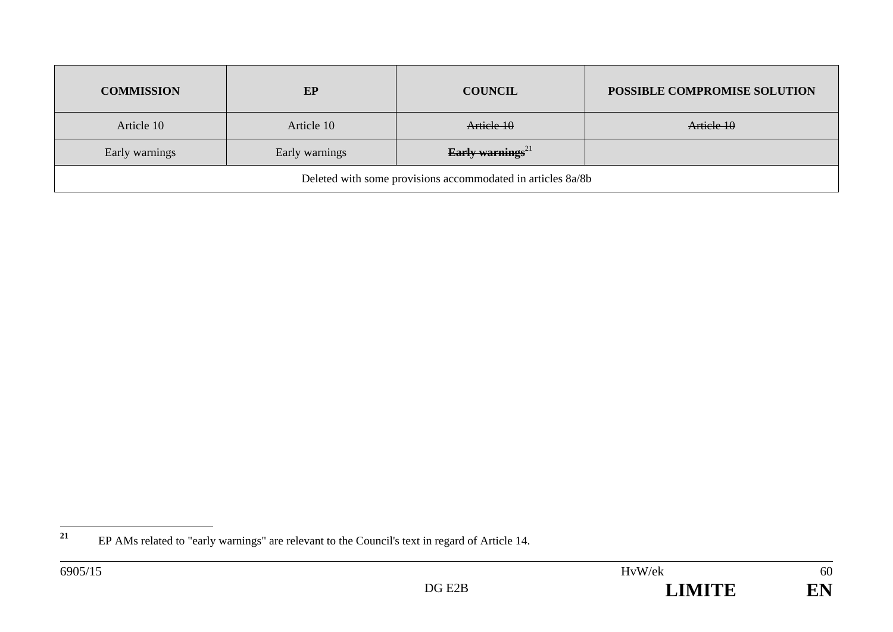| <b>COMMISSION</b>                                           | EP             | <b>COUNCIL</b>               | POSSIBLE COMPROMISE SOLUTION |
|-------------------------------------------------------------|----------------|------------------------------|------------------------------|
| Article 10                                                  | Article 10     | Article 10                   | Article 10                   |
| Early warnings                                              | Early warnings | Early warnings <sup>21</sup> |                              |
| Deleted with some provisions accommodated in articles 8a/8b |                |                              |                              |



<sup>&</sup>lt;sup>21</sup> EP AMs related to "early warnings" are relevant to the Council's text in regard of Article 14.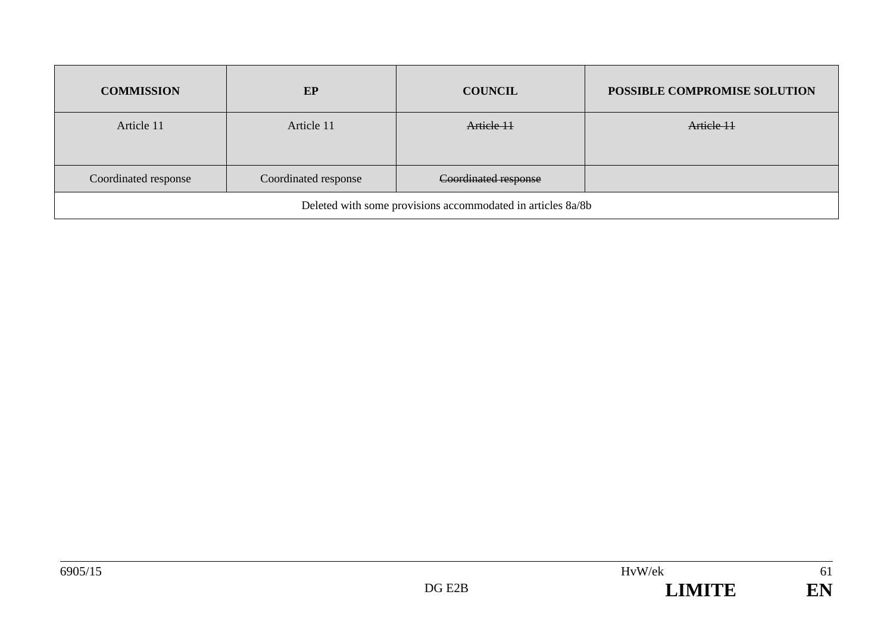| <b>COMMISSION</b>                                           | EP                   | <b>COUNCIL</b>       | POSSIBLE COMPROMISE SOLUTION |
|-------------------------------------------------------------|----------------------|----------------------|------------------------------|
| Article 11                                                  | Article 11           | Article 11           | Article 11                   |
| Coordinated response                                        | Coordinated response | Coordinated response |                              |
| Deleted with some provisions accommodated in articles 8a/8b |                      |                      |                              |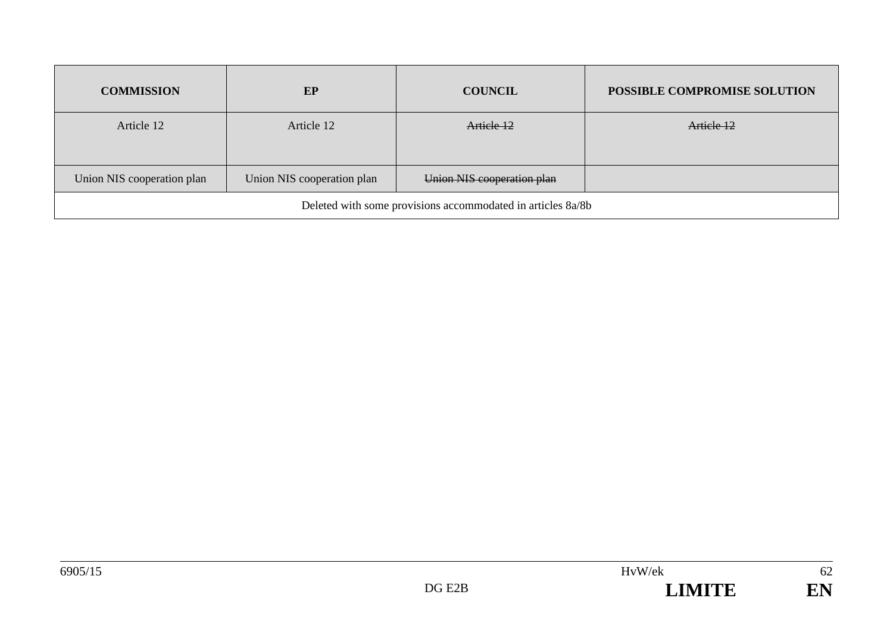| <b>COMMISSION</b>                                           | EP                         | <b>COUNCIL</b>             | POSSIBLE COMPROMISE SOLUTION |
|-------------------------------------------------------------|----------------------------|----------------------------|------------------------------|
| Article 12                                                  | Article 12                 | Article 12                 | Article 12                   |
| Union NIS cooperation plan                                  | Union NIS cooperation plan | Union NIS cooperation plan |                              |
| Deleted with some provisions accommodated in articles 8a/8b |                            |                            |                              |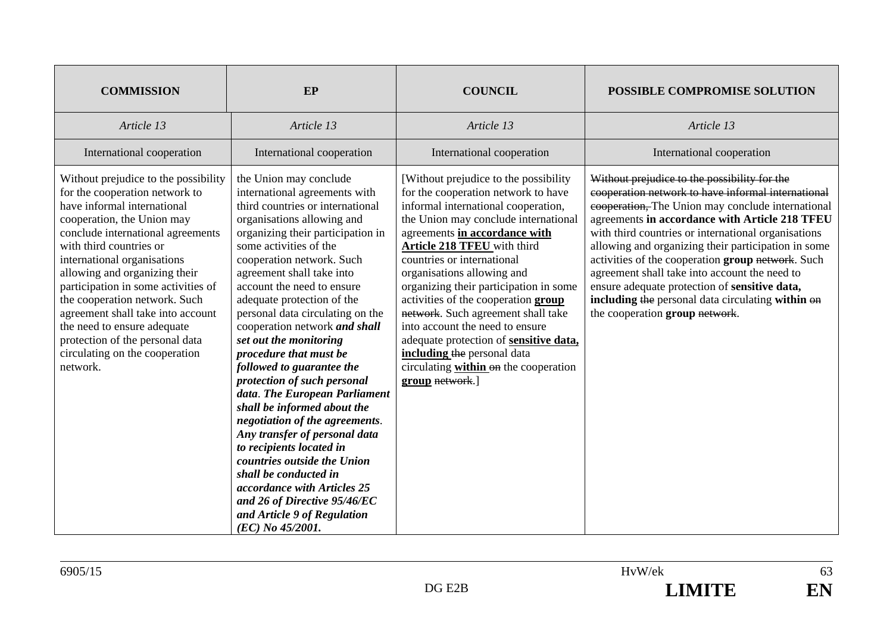| <b>COMMISSION</b>                                                                                                                                                                                                                                                                                                                                                                                                                                                                                | EP                                                                                                                                                                                                                                                                                                                                                                                                                                                                                                                                                                                                                                                                                                                                                                                                                                           | <b>COUNCIL</b>                                                                                                                                                                                                                                                                                                                                                                                                                                                                                                                                                                                 | POSSIBLE COMPROMISE SOLUTION                                                                                                                                                                                                                                                                                                                                                                                                                                                                                                                                          |
|--------------------------------------------------------------------------------------------------------------------------------------------------------------------------------------------------------------------------------------------------------------------------------------------------------------------------------------------------------------------------------------------------------------------------------------------------------------------------------------------------|----------------------------------------------------------------------------------------------------------------------------------------------------------------------------------------------------------------------------------------------------------------------------------------------------------------------------------------------------------------------------------------------------------------------------------------------------------------------------------------------------------------------------------------------------------------------------------------------------------------------------------------------------------------------------------------------------------------------------------------------------------------------------------------------------------------------------------------------|------------------------------------------------------------------------------------------------------------------------------------------------------------------------------------------------------------------------------------------------------------------------------------------------------------------------------------------------------------------------------------------------------------------------------------------------------------------------------------------------------------------------------------------------------------------------------------------------|-----------------------------------------------------------------------------------------------------------------------------------------------------------------------------------------------------------------------------------------------------------------------------------------------------------------------------------------------------------------------------------------------------------------------------------------------------------------------------------------------------------------------------------------------------------------------|
| Article 13                                                                                                                                                                                                                                                                                                                                                                                                                                                                                       | Article 13                                                                                                                                                                                                                                                                                                                                                                                                                                                                                                                                                                                                                                                                                                                                                                                                                                   | Article 13                                                                                                                                                                                                                                                                                                                                                                                                                                                                                                                                                                                     | Article 13                                                                                                                                                                                                                                                                                                                                                                                                                                                                                                                                                            |
| International cooperation                                                                                                                                                                                                                                                                                                                                                                                                                                                                        | International cooperation                                                                                                                                                                                                                                                                                                                                                                                                                                                                                                                                                                                                                                                                                                                                                                                                                    | International cooperation                                                                                                                                                                                                                                                                                                                                                                                                                                                                                                                                                                      | International cooperation                                                                                                                                                                                                                                                                                                                                                                                                                                                                                                                                             |
| Without prejudice to the possibility<br>for the cooperation network to<br>have informal international<br>cooperation, the Union may<br>conclude international agreements<br>with third countries or<br>international organisations<br>allowing and organizing their<br>participation in some activities of<br>the cooperation network. Such<br>agreement shall take into account<br>the need to ensure adequate<br>protection of the personal data<br>circulating on the cooperation<br>network. | the Union may conclude<br>international agreements with<br>third countries or international<br>organisations allowing and<br>organizing their participation in<br>some activities of the<br>cooperation network. Such<br>agreement shall take into<br>account the need to ensure<br>adequate protection of the<br>personal data circulating on the<br>cooperation network and shall<br>set out the monitoring<br>procedure that must be<br>followed to guarantee the<br>protection of such personal<br>data. The European Parliament<br>shall be informed about the<br>negotiation of the agreements.<br>Any transfer of personal data<br>to recipients located in<br>countries outside the Union<br>shall be conducted in<br>accordance with Articles 25<br>and 26 of Directive 95/46/EC<br>and Article 9 of Regulation<br>(EC) No 45/2001. | [Without prejudice to the possibility]<br>for the cooperation network to have<br>informal international cooperation,<br>the Union may conclude international<br>agreements in accordance with<br><b>Article 218 TFEU</b> with third<br>countries or international<br>organisations allowing and<br>organizing their participation in some<br>activities of the cooperation group<br>network. Such agreement shall take<br>into account the need to ensure<br>adequate protection of sensitive data,<br>including the personal data<br>circulating within on the cooperation<br>group network.] | Without prejudice to the possibility for the<br>cooperation network to have informal international<br>eooperation, The Union may conclude international<br>agreements in accordance with Article 218 TFEU<br>with third countries or international organisations<br>allowing and organizing their participation in some<br>activities of the cooperation group network. Such<br>agreement shall take into account the need to<br>ensure adequate protection of sensitive data,<br>including the personal data circulating within on<br>the cooperation group network. |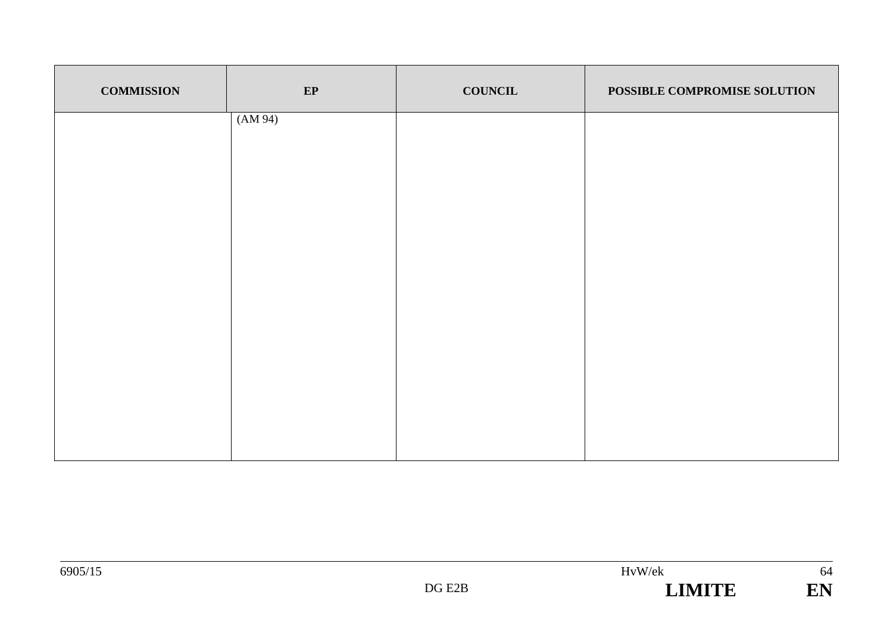| <b>COMMISSION</b> | EP      | <b>COUNCIL</b> | POSSIBLE COMPROMISE SOLUTION |
|-------------------|---------|----------------|------------------------------|
|                   | (AM 94) |                |                              |
|                   |         |                |                              |
|                   |         |                |                              |
|                   |         |                |                              |
|                   |         |                |                              |
|                   |         |                |                              |
|                   |         |                |                              |
|                   |         |                |                              |

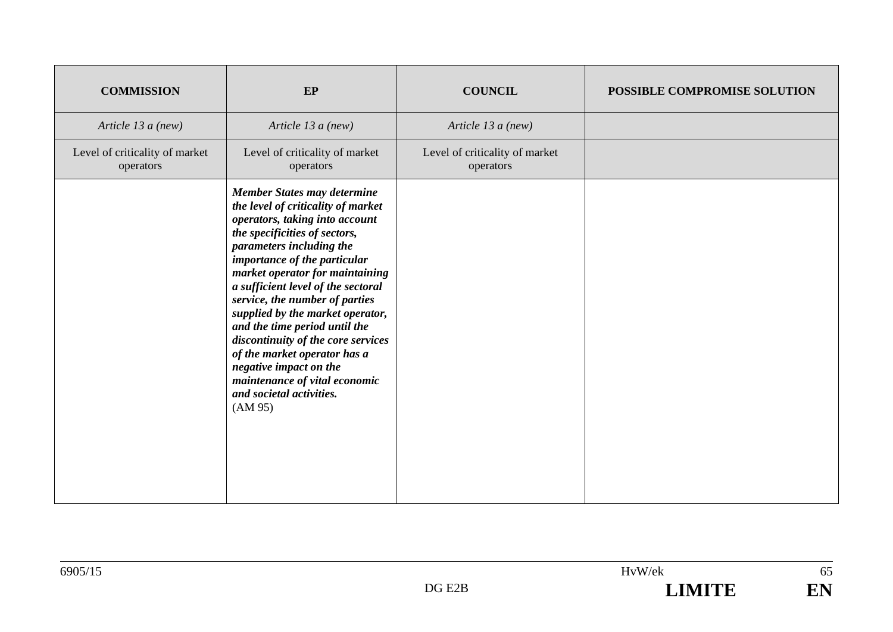| <b>COMMISSION</b>                           | EP                                                                                                                                                                                                                                                                                                                                                                                                                                                                                                                                                              | <b>COUNCIL</b>                              | POSSIBLE COMPROMISE SOLUTION |
|---------------------------------------------|-----------------------------------------------------------------------------------------------------------------------------------------------------------------------------------------------------------------------------------------------------------------------------------------------------------------------------------------------------------------------------------------------------------------------------------------------------------------------------------------------------------------------------------------------------------------|---------------------------------------------|------------------------------|
| Article 13 a (new)                          | Article 13 a (new)                                                                                                                                                                                                                                                                                                                                                                                                                                                                                                                                              | Article 13 a (new)                          |                              |
| Level of criticality of market<br>operators | Level of criticality of market<br>operators                                                                                                                                                                                                                                                                                                                                                                                                                                                                                                                     | Level of criticality of market<br>operators |                              |
|                                             | <b>Member States may determine</b><br>the level of criticality of market<br>operators, taking into account<br>the specificities of sectors,<br>parameters including the<br>importance of the particular<br>market operator for maintaining<br>a sufficient level of the sectoral<br>service, the number of parties<br>supplied by the market operator,<br>and the time period until the<br>discontinuity of the core services<br>of the market operator has a<br>negative impact on the<br>maintenance of vital economic<br>and societal activities.<br>(AM 95) |                                             |                              |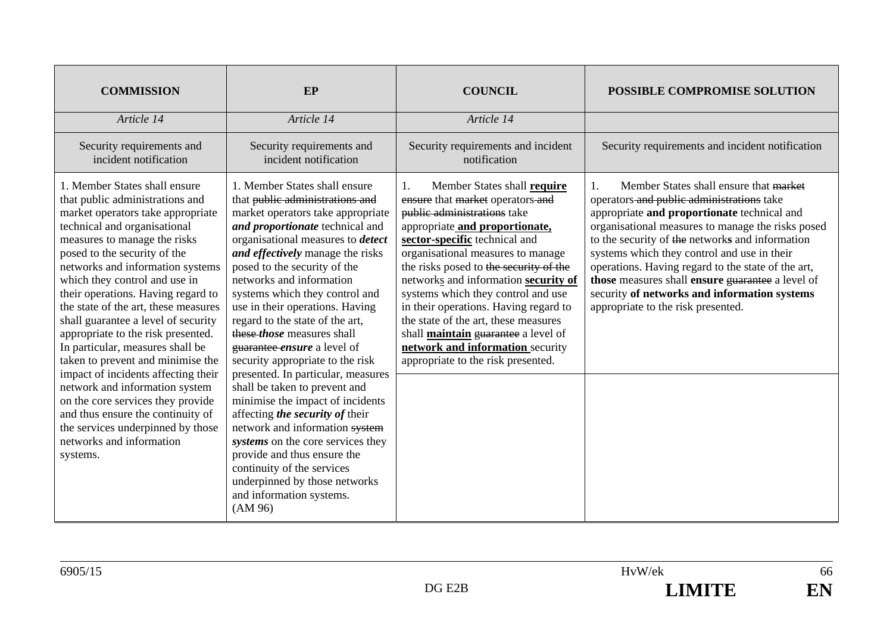| <b>COMMISSION</b>                                                                                                                                                                                                                                                                                                                                                                                                                                                                                                                                                                                                                                                                                                                              | EP                                                                                                                                                                                                                                                                                                                                                                                                                                                                                                                                                                                                                                                                                                                                                                                                                                                             | <b>COUNCIL</b>                                                                                                                                                                                                                                                                                                                                                                                                                                                                                                                         | <b>POSSIBLE COMPROMISE SOLUTION</b>                                                                                                                                                                                                                                                                                                                                                                                                                                                             |
|------------------------------------------------------------------------------------------------------------------------------------------------------------------------------------------------------------------------------------------------------------------------------------------------------------------------------------------------------------------------------------------------------------------------------------------------------------------------------------------------------------------------------------------------------------------------------------------------------------------------------------------------------------------------------------------------------------------------------------------------|----------------------------------------------------------------------------------------------------------------------------------------------------------------------------------------------------------------------------------------------------------------------------------------------------------------------------------------------------------------------------------------------------------------------------------------------------------------------------------------------------------------------------------------------------------------------------------------------------------------------------------------------------------------------------------------------------------------------------------------------------------------------------------------------------------------------------------------------------------------|----------------------------------------------------------------------------------------------------------------------------------------------------------------------------------------------------------------------------------------------------------------------------------------------------------------------------------------------------------------------------------------------------------------------------------------------------------------------------------------------------------------------------------------|-------------------------------------------------------------------------------------------------------------------------------------------------------------------------------------------------------------------------------------------------------------------------------------------------------------------------------------------------------------------------------------------------------------------------------------------------------------------------------------------------|
| Article 14                                                                                                                                                                                                                                                                                                                                                                                                                                                                                                                                                                                                                                                                                                                                     | Article 14                                                                                                                                                                                                                                                                                                                                                                                                                                                                                                                                                                                                                                                                                                                                                                                                                                                     | Article 14                                                                                                                                                                                                                                                                                                                                                                                                                                                                                                                             |                                                                                                                                                                                                                                                                                                                                                                                                                                                                                                 |
| Security requirements and<br>incident notification                                                                                                                                                                                                                                                                                                                                                                                                                                                                                                                                                                                                                                                                                             | Security requirements and<br>incident notification                                                                                                                                                                                                                                                                                                                                                                                                                                                                                                                                                                                                                                                                                                                                                                                                             | Security requirements and incident<br>notification                                                                                                                                                                                                                                                                                                                                                                                                                                                                                     | Security requirements and incident notification                                                                                                                                                                                                                                                                                                                                                                                                                                                 |
| 1. Member States shall ensure<br>that public administrations and<br>market operators take appropriate<br>technical and organisational<br>measures to manage the risks<br>posed to the security of the<br>networks and information systems<br>which they control and use in<br>their operations. Having regard to<br>the state of the art, these measures<br>shall guarantee a level of security<br>appropriate to the risk presented.<br>In particular, measures shall be<br>taken to prevent and minimise the<br>impact of incidents affecting their<br>network and information system<br>on the core services they provide<br>and thus ensure the continuity of<br>the services underpinned by those<br>networks and information<br>systems. | 1. Member States shall ensure<br>that public administrations and<br>market operators take appropriate<br>and proportionate technical and<br>organisational measures to <i>detect</i><br>and effectively manage the risks<br>posed to the security of the<br>networks and information<br>systems which they control and<br>use in their operations. Having<br>regard to the state of the art,<br>these <i>those</i> measures shall<br>guarantee ensure a level of<br>security appropriate to the risk<br>presented. In particular, measures<br>shall be taken to prevent and<br>minimise the impact of incidents<br>affecting the security of their<br>network and information system<br>systems on the core services they<br>provide and thus ensure the<br>continuity of the services<br>underpinned by those networks<br>and information systems.<br>(AM 96) | Member States shall require<br>1.<br>ensure that market operators-and<br>public administrations take<br>appropriate and proportionate,<br>sector-specific technical and<br>organisational measures to manage<br>the risks posed to the security of the<br>networks and information security of<br>systems which they control and use<br>in their operations. Having regard to<br>the state of the art, these measures<br>shall maintain guarantee a level of<br>network and information security<br>appropriate to the risk presented. | Member States shall ensure that market<br>1.<br>operators and public administrations take<br>appropriate and proportionate technical and<br>organisational measures to manage the risks posed<br>to the security of the networks and information<br>systems which they control and use in their<br>operations. Having regard to the state of the art,<br>those measures shall ensure guarantee a level of<br>security of networks and information systems<br>appropriate to the risk presented. |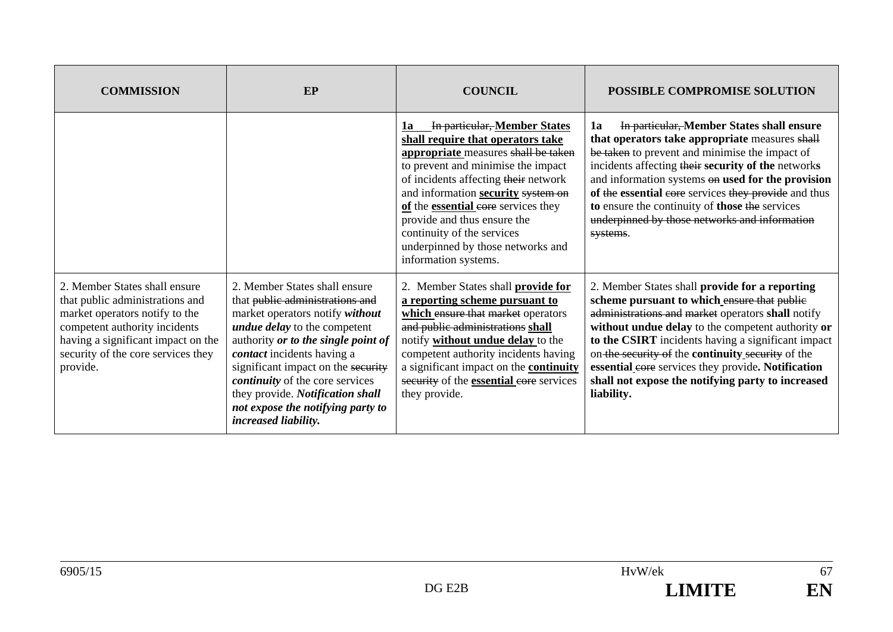| <b>COMMISSION</b>                                                                                                                                                                                                           | EP                                                                                                                                                                                                                                                                                                                                                                                               | <b>COUNCIL</b>                                                                                                                                                                                                                                                                                                                                                                                      | POSSIBLE COMPROMISE SOLUTION                                                                                                                                                                                                                                                                                                                                                                                                                |
|-----------------------------------------------------------------------------------------------------------------------------------------------------------------------------------------------------------------------------|--------------------------------------------------------------------------------------------------------------------------------------------------------------------------------------------------------------------------------------------------------------------------------------------------------------------------------------------------------------------------------------------------|-----------------------------------------------------------------------------------------------------------------------------------------------------------------------------------------------------------------------------------------------------------------------------------------------------------------------------------------------------------------------------------------------------|---------------------------------------------------------------------------------------------------------------------------------------------------------------------------------------------------------------------------------------------------------------------------------------------------------------------------------------------------------------------------------------------------------------------------------------------|
|                                                                                                                                                                                                                             |                                                                                                                                                                                                                                                                                                                                                                                                  | In particular, Member States<br>1a<br>shall require that operators take<br>appropriate measures shall be taken<br>to prevent and minimise the impact<br>of incidents affecting their network<br>and information security system on<br>of the essential eore services they<br>provide and thus ensure the<br>continuity of the services<br>underpinned by those networks and<br>information systems. | In particular, Member States shall ensure<br>1a<br>that operators take appropriate measures shall<br>be taken to prevent and minimise the impact of<br>incidents affecting their security of the networks<br>and information systems on used for the provision<br>of the essential core services they provide and thus<br>to ensure the continuity of those the services<br>underpinned by those networks and information<br>systems.       |
| 2. Member States shall ensure<br>that public administrations and<br>market operators notify to the<br>competent authority incidents<br>having a significant impact on the<br>security of the core services they<br>provide. | 2. Member States shall ensure<br>that public administrations and<br>market operators notify without<br><i>undue delay</i> to the competent<br>authority or to the single point of<br>contact incidents having a<br>significant impact on the security<br><i>continuity</i> of the core services<br>they provide. Notification shall<br>not expose the notifying party to<br>increased liability. | 2. Member States shall <b>provide for</b><br>a reporting scheme pursuant to<br>which ensure that market operators<br>and public administrations shall<br>notify without undue delay to the<br>competent authority incidents having<br>a significant impact on the <b>continuity</b><br>security of the <b>essential</b> core services<br>they provide.                                              | 2. Member States shall provide for a reporting<br>scheme pursuant to which ensure that public<br>administrations and market operators shall notify<br>without undue delay to the competent authority or<br>to the CSIRT incidents having a significant impact<br>on the security of the continuity security of the<br>essential eore services they provide. Notification<br>shall not expose the notifying party to increased<br>liability. |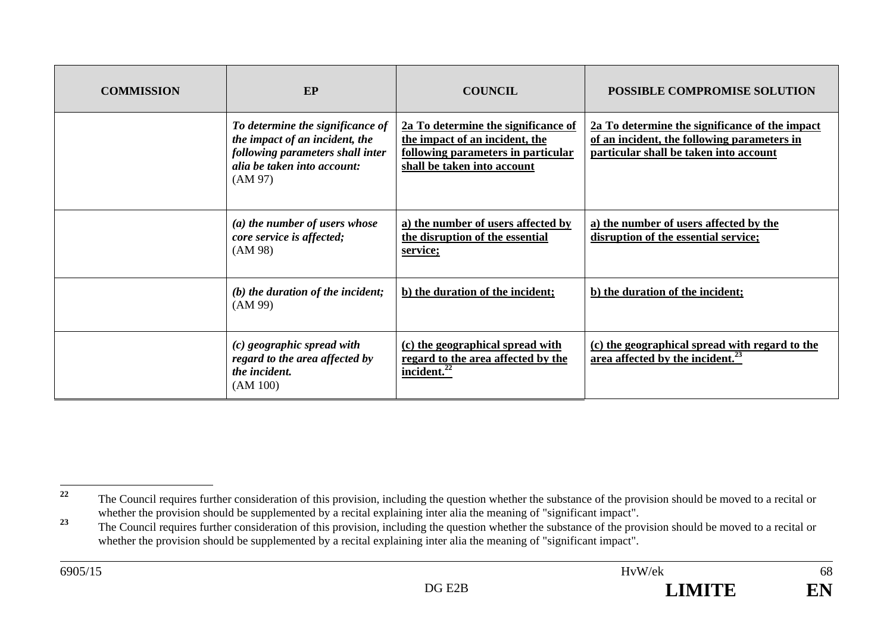| <b>COMMISSION</b> | EP                                                                                                                                               | <b>COUNCIL</b>                                                                                                                             | POSSIBLE COMPROMISE SOLUTION                                                                                                            |
|-------------------|--------------------------------------------------------------------------------------------------------------------------------------------------|--------------------------------------------------------------------------------------------------------------------------------------------|-----------------------------------------------------------------------------------------------------------------------------------------|
|                   | To determine the significance of<br>the impact of an incident, the<br>following parameters shall inter<br>alia be taken into account:<br>(AM 97) | 2a To determine the significance of<br>the impact of an incident, the<br>following parameters in particular<br>shall be taken into account | 2a To determine the significance of the impact<br>of an incident, the following parameters in<br>particular shall be taken into account |
|                   | (a) the number of users whose<br>core service is affected;<br>(AM 98)                                                                            | a) the number of users affected by<br>the disruption of the essential<br>service;                                                          | a) the number of users affected by the<br>disruption of the essential service;                                                          |
|                   | $(b)$ the duration of the incident;<br>(AM 99)                                                                                                   | b) the duration of the incident;                                                                                                           | b) the duration of the incident;                                                                                                        |
|                   | $(c)$ geographic spread with<br>regard to the area affected by<br>the incident.<br>(AM 100)                                                      | (c) the geographical spread with<br>regard to the area affected by the<br>incident. <sup>22</sup>                                          | (c) the geographical spread with regard to the<br>area affected by the incident. $^{23}$                                                |

<sup>&</sup>lt;sup>22</sup> The Council requires further consideration of this provision, including the question whether the substance of the provision should be moved to a recital or whether the provision should be supplemented by a recital explaining inter alia the meaning of "significant impact".

<sup>&</sup>lt;sup>23</sup> The Council requires further consideration of this provision, including the question whether the substance of the provision should be moved to a recital or whether the provision should be supplemented by a recital explaining inter alia the meaning of "significant impact".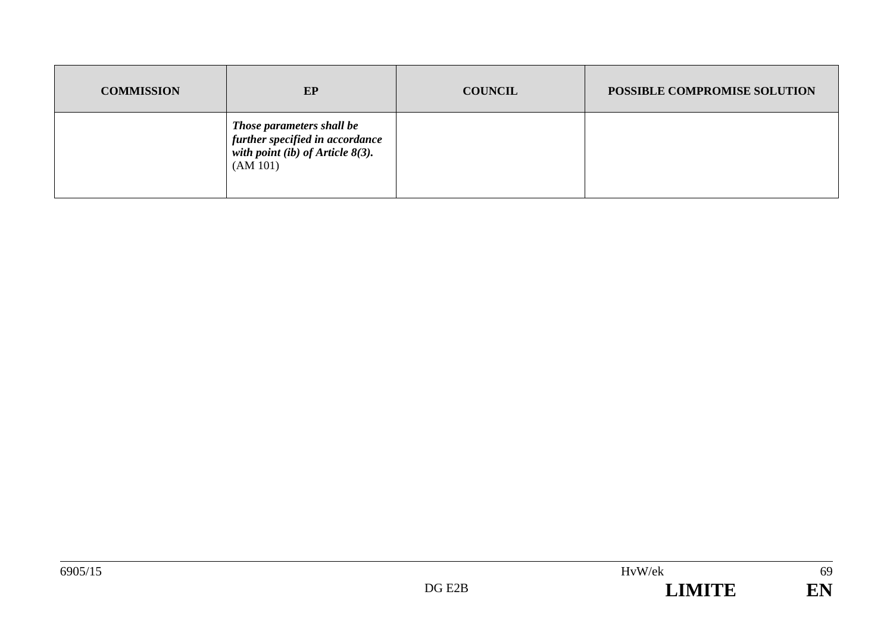| <b>COMMISSION</b> | EP                                                                                                              | <b>COUNCIL</b> | POSSIBLE COMPROMISE SOLUTION |
|-------------------|-----------------------------------------------------------------------------------------------------------------|----------------|------------------------------|
|                   | Those parameters shall be<br>further specified in accordance<br>with point (ib) of Article $8(3)$ .<br>(AM 101) |                |                              |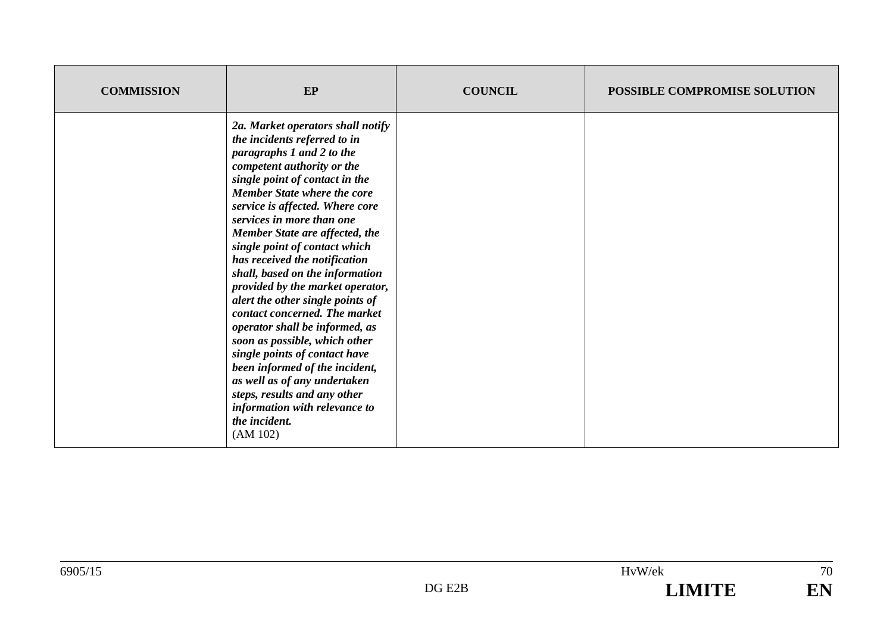| <b>COMMISSION</b> | EP                                                                                                                                                                                                                                                                                                                                                                                                                                                                                                                                                                                                                                                                                                                                                                                       | <b>COUNCIL</b> | POSSIBLE COMPROMISE SOLUTION |
|-------------------|------------------------------------------------------------------------------------------------------------------------------------------------------------------------------------------------------------------------------------------------------------------------------------------------------------------------------------------------------------------------------------------------------------------------------------------------------------------------------------------------------------------------------------------------------------------------------------------------------------------------------------------------------------------------------------------------------------------------------------------------------------------------------------------|----------------|------------------------------|
|                   | 2a. Market operators shall notify<br>the incidents referred to in<br>paragraphs 1 and 2 to the<br>competent authority or the<br>single point of contact in the<br><b>Member State where the core</b><br>service is affected. Where core<br>services in more than one<br>Member State are affected, the<br>single point of contact which<br>has received the notification<br>shall, based on the information<br>provided by the market operator,<br>alert the other single points of<br>contact concerned. The market<br>operator shall be informed, as<br>soon as possible, which other<br>single points of contact have<br>been informed of the incident,<br>as well as of any undertaken<br>steps, results and any other<br>information with relevance to<br>the incident.<br>(AM 102) |                |                              |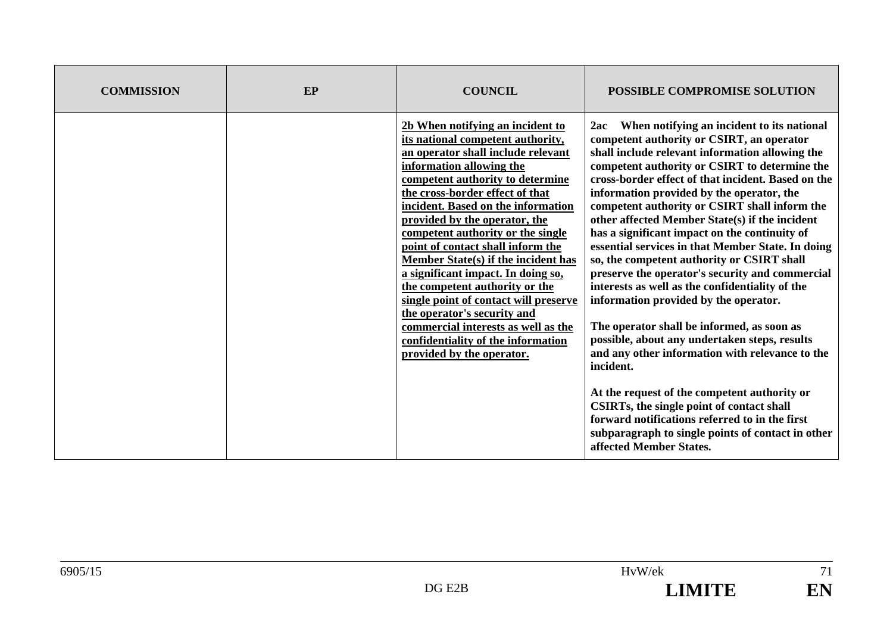| <b>COMMISSION</b> | <b>EP</b> | <b>COUNCIL</b>                                                                                                                                                                                                                                                                                                                                                                                                                                                                                                                                                                                                                                                   | <b>POSSIBLE COMPROMISE SOLUTION</b>                                                                                                                                                                                                                                                                                                                                                                                                                                                                                                                                                                                                                                                                                                                                                                                                                                                                                                                                                                                                                                                                       |
|-------------------|-----------|------------------------------------------------------------------------------------------------------------------------------------------------------------------------------------------------------------------------------------------------------------------------------------------------------------------------------------------------------------------------------------------------------------------------------------------------------------------------------------------------------------------------------------------------------------------------------------------------------------------------------------------------------------------|-----------------------------------------------------------------------------------------------------------------------------------------------------------------------------------------------------------------------------------------------------------------------------------------------------------------------------------------------------------------------------------------------------------------------------------------------------------------------------------------------------------------------------------------------------------------------------------------------------------------------------------------------------------------------------------------------------------------------------------------------------------------------------------------------------------------------------------------------------------------------------------------------------------------------------------------------------------------------------------------------------------------------------------------------------------------------------------------------------------|
|                   |           | 2b When notifying an incident to<br>its national competent authority,<br>an operator shall include relevant<br>information allowing the<br>competent authority to determine<br>the cross-border effect of that<br>incident. Based on the information<br>provided by the operator, the<br>competent authority or the single<br>point of contact shall inform the<br>Member State(s) if the incident has<br>a significant impact. In doing so,<br>the competent authority or the<br>single point of contact will preserve<br>the operator's security and<br>commercial interests as well as the<br>confidentiality of the information<br>provided by the operator. | When notifying an incident to its national<br>2ac<br>competent authority or CSIRT, an operator<br>shall include relevant information allowing the<br>competent authority or CSIRT to determine the<br>cross-border effect of that incident. Based on the<br>information provided by the operator, the<br>competent authority or CSIRT shall inform the<br>other affected Member State(s) if the incident<br>has a significant impact on the continuity of<br>essential services in that Member State. In doing<br>so, the competent authority or CSIRT shall<br>preserve the operator's security and commercial<br>interests as well as the confidentiality of the<br>information provided by the operator.<br>The operator shall be informed, as soon as<br>possible, about any undertaken steps, results<br>and any other information with relevance to the<br>incident.<br>At the request of the competent authority or<br>CSIRTs, the single point of contact shall<br>forward notifications referred to in the first<br>subparagraph to single points of contact in other<br>affected Member States. |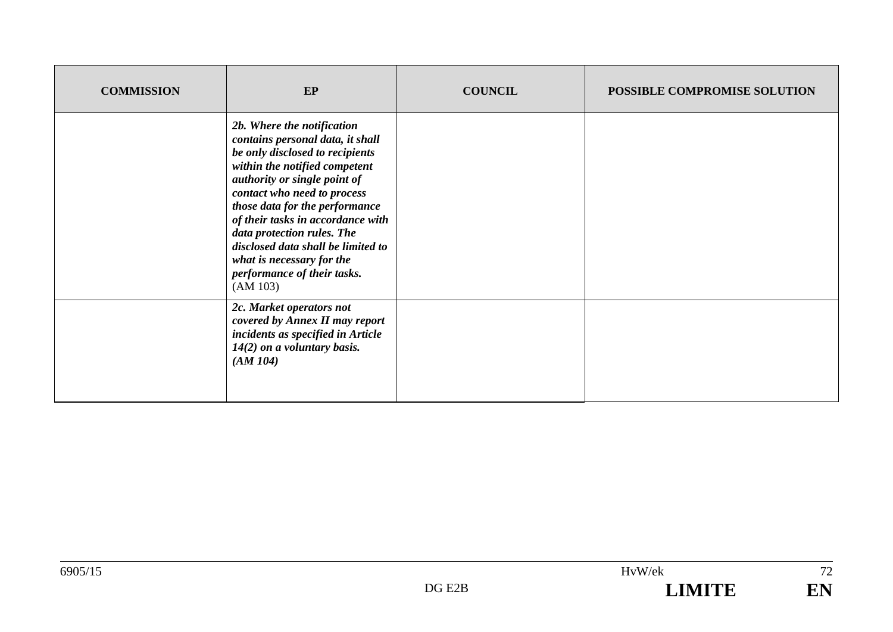| <b>COMMISSION</b> | EP                                                                                                                                                                                                                                                                                                                                                                                                                   | <b>COUNCIL</b> | POSSIBLE COMPROMISE SOLUTION |
|-------------------|----------------------------------------------------------------------------------------------------------------------------------------------------------------------------------------------------------------------------------------------------------------------------------------------------------------------------------------------------------------------------------------------------------------------|----------------|------------------------------|
|                   | 2b. Where the notification<br>contains personal data, it shall<br>be only disclosed to recipients<br>within the notified competent<br>authority or single point of<br>contact who need to process<br>those data for the performance<br>of their tasks in accordance with<br>data protection rules. The<br>disclosed data shall be limited to<br>what is necessary for the<br>performance of their tasks.<br>(AM 103) |                |                              |
|                   | 2c. Market operators not<br>covered by Annex II may report<br>incidents as specified in Article<br>$14(2)$ on a voluntary basis.<br>(AM104)                                                                                                                                                                                                                                                                          |                |                              |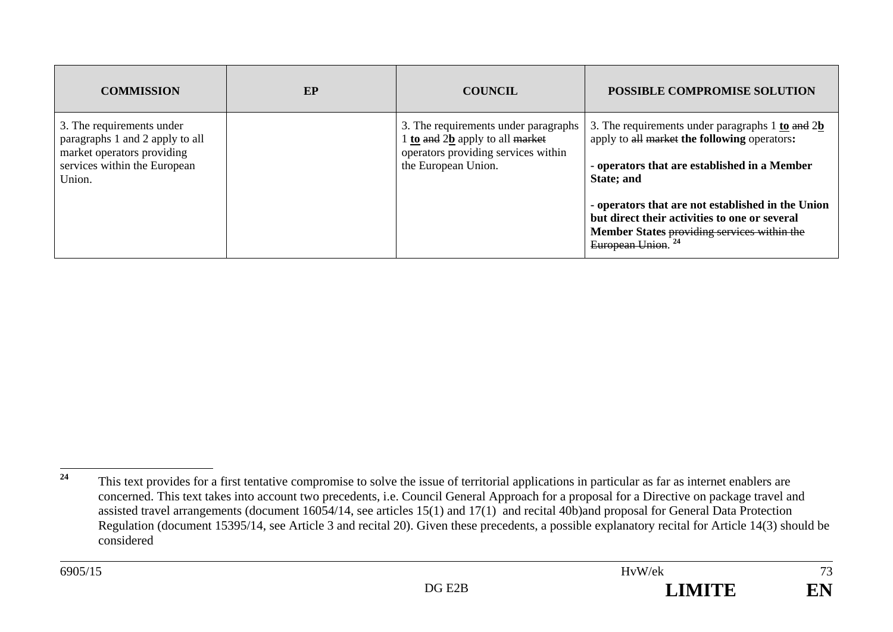| <b>COMMISSION</b>                                                                                                                    | EP | <b>COUNCIL</b>                                                                                                                        | <b>POSSIBLE COMPROMISE SOLUTION</b>                                                                                                                                                                                                                                                                                                                                                             |
|--------------------------------------------------------------------------------------------------------------------------------------|----|---------------------------------------------------------------------------------------------------------------------------------------|-------------------------------------------------------------------------------------------------------------------------------------------------------------------------------------------------------------------------------------------------------------------------------------------------------------------------------------------------------------------------------------------------|
| 3. The requirements under<br>paragraphs 1 and 2 apply to all<br>market operators providing<br>services within the European<br>Union. |    | 3. The requirements under paragraphs<br>1 to and 2b apply to all market<br>operators providing services within<br>the European Union. | 3. The requirements under paragraphs $1 \underline{\text{to}}$ and $2 \underline{\text{b}}$<br>apply to all market the following operators:<br>- operators that are established in a Member<br>State; and<br>- operators that are not established in the Union<br>but direct their activities to one or several<br>Member States providing services within the<br>European Union. <sup>24</sup> |

73

EN

<sup>&</sup>lt;sup>24</sup> This text provides for a first tentative compromise to solve the issue of territorial applications in particular as far as internet enablers are concerned. This text takes into account two precedents, i.e. Council General Approach for a proposal for a Directive on package travel and assisted travel arrangements (document 16054/14, see articles 15(1) and 17(1) and recital 40b)and proposal for General Data Protection Regulation (document 15395/14, see Article 3 and recital 20). Given these precedents, a possible explanatory recital for Article 14(3) should be considered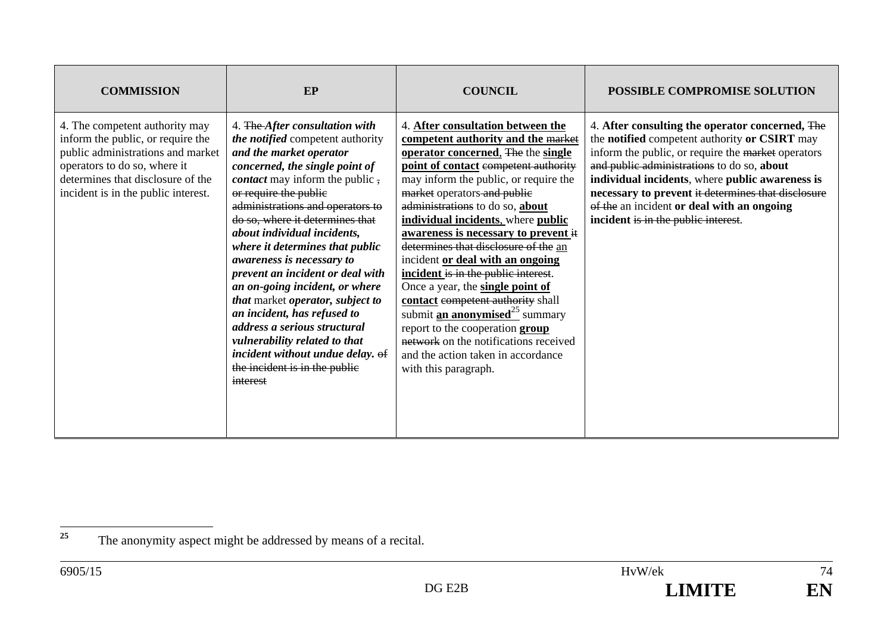| <b>COMMISSION</b>                                                                                                                                                                                                    | EP                                                                                                                                                                                                                                                                                                                                                                                                                                                                                                                                                                                                                                                                 | <b>COUNCIL</b>                                                                                                                                                                                                                                                                                                                                                                                                                                                                                                                                                                                                                                                                                                                                   | <b>POSSIBLE COMPROMISE SOLUTION</b>                                                                                                                                                                                                                                                                                                                                                                |
|----------------------------------------------------------------------------------------------------------------------------------------------------------------------------------------------------------------------|--------------------------------------------------------------------------------------------------------------------------------------------------------------------------------------------------------------------------------------------------------------------------------------------------------------------------------------------------------------------------------------------------------------------------------------------------------------------------------------------------------------------------------------------------------------------------------------------------------------------------------------------------------------------|--------------------------------------------------------------------------------------------------------------------------------------------------------------------------------------------------------------------------------------------------------------------------------------------------------------------------------------------------------------------------------------------------------------------------------------------------------------------------------------------------------------------------------------------------------------------------------------------------------------------------------------------------------------------------------------------------------------------------------------------------|----------------------------------------------------------------------------------------------------------------------------------------------------------------------------------------------------------------------------------------------------------------------------------------------------------------------------------------------------------------------------------------------------|
| 4. The competent authority may<br>inform the public, or require the<br>public administrations and market<br>operators to do so, where it<br>determines that disclosure of the<br>incident is in the public interest. | 4. The After consultation with<br>the notified competent authority<br>and the market operator<br>concerned, the single point of<br><i>contact</i> may inform the public,<br>or require the public<br>administrations and operators to<br>do so, where it determines that<br>about individual incidents,<br>where it determines that public<br>awareness is necessary to<br>prevent an incident or deal with<br>an on-going incident, or where<br>that market operator, subject to<br>an incident, has refused to<br>address a serious structural<br>vulnerability related to that<br>incident without undue delay. of<br>the incident is in the public<br>interest | 4. After consultation between the<br>competent authority and the market<br>operator concerned, The the single<br>point of contact competent authority<br>may inform the public, or require the<br>market operators and public<br>administrations to do so, about<br>individual incidents, where public<br>awareness is necessary to prevent it<br>determines that disclosure of the an<br>incident or deal with an ongoing<br>incident is in the public interest.<br>Once a year, the single point of<br>contact competent authority shall<br>submit <b><u>an anonymised</u></b> <sup>25</sup> summary<br>report to the cooperation group<br>network on the notifications received<br>and the action taken in accordance<br>with this paragraph. | 4. After consulting the operator concerned, The<br>the notified competent authority or CSIRT may<br>inform the public, or require the market operators<br>and public administrations to do so, about<br>individual incidents, where public awareness is<br>necessary to prevent it determines that disclosure<br>of the an incident or deal with an ongoing<br>incident is in the public interest. |

74 EN

<sup>&</sup>lt;sup>25</sup> The anonymity aspect might be addressed by means of a recital.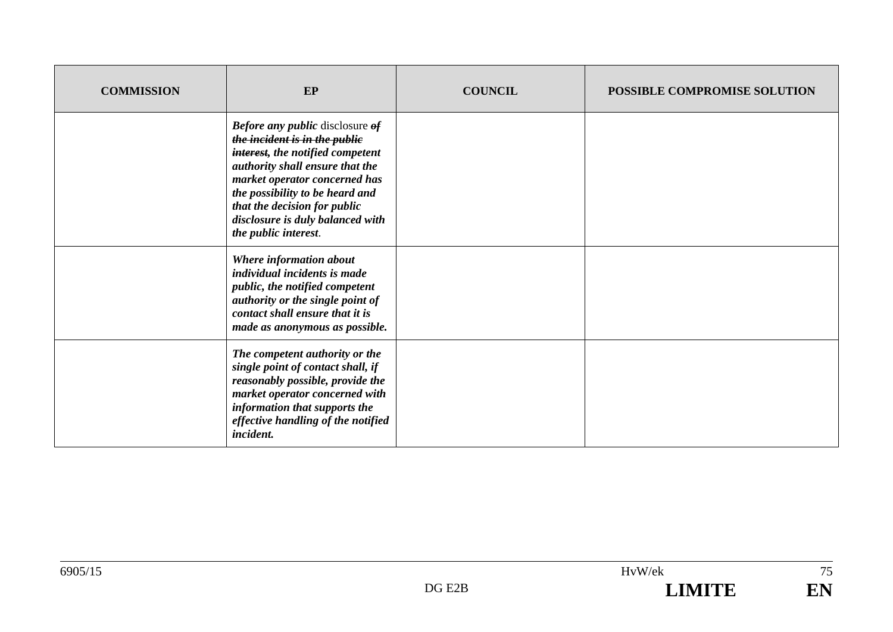| <b>COMMISSION</b> | EP                                                                                                                                                                                                                                                                                                             | <b>COUNCIL</b> | POSSIBLE COMPROMISE SOLUTION |
|-------------------|----------------------------------------------------------------------------------------------------------------------------------------------------------------------------------------------------------------------------------------------------------------------------------------------------------------|----------------|------------------------------|
|                   | <b>Before any public disclosure of</b><br>the incident is in the publie<br>interest, the notified competent<br>authority shall ensure that the<br>market operator concerned has<br>the possibility to be heard and<br>that the decision for public<br>disclosure is duly balanced with<br>the public interest. |                |                              |
|                   | Where information about<br><i>individual incidents is made</i><br>public, the notified competent<br>authority or the single point of<br>contact shall ensure that it is<br>made as anonymous as possible.                                                                                                      |                |                              |
|                   | The competent authority or the<br>single point of contact shall, if<br>reasonably possible, provide the<br>market operator concerned with<br>information that supports the<br>effective handling of the notified<br>incident.                                                                                  |                |                              |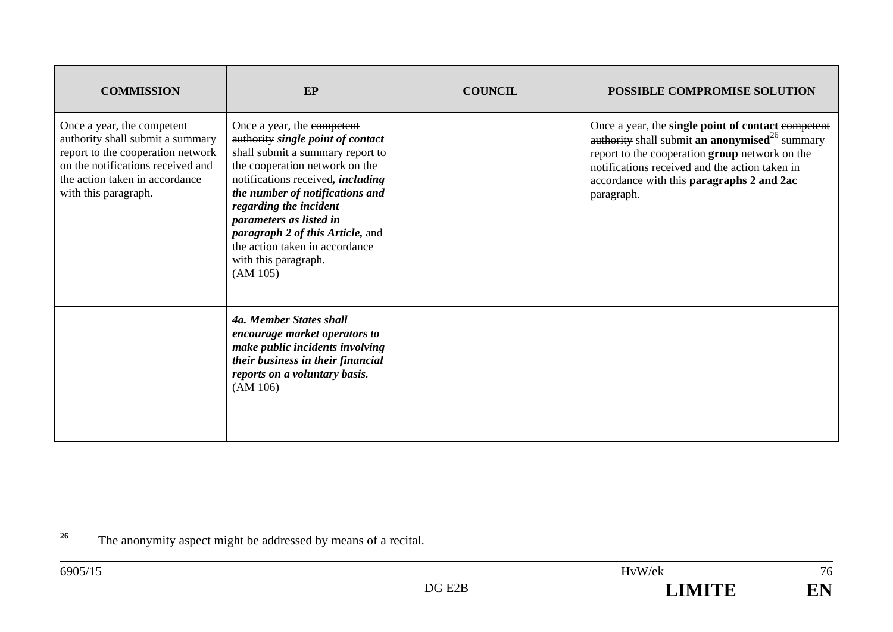| <b>COMMISSION</b>                                                                                                                                                                                  | EP                                                                                                                                                                                                                                                                                                                                                                                         | <b>COUNCIL</b> | <b>POSSIBLE COMPROMISE SOLUTION</b>                                                                                                                                                                                                                                             |
|----------------------------------------------------------------------------------------------------------------------------------------------------------------------------------------------------|--------------------------------------------------------------------------------------------------------------------------------------------------------------------------------------------------------------------------------------------------------------------------------------------------------------------------------------------------------------------------------------------|----------------|---------------------------------------------------------------------------------------------------------------------------------------------------------------------------------------------------------------------------------------------------------------------------------|
| Once a year, the competent<br>authority shall submit a summary<br>report to the cooperation network<br>on the notifications received and<br>the action taken in accordance<br>with this paragraph. | Once a year, the competent<br>authority single point of contact<br>shall submit a summary report to<br>the cooperation network on the<br>notifications received, <i>including</i><br>the number of notifications and<br>regarding the incident<br>parameters as listed in<br><i>paragraph 2 of this Article, and</i><br>the action taken in accordance<br>with this paragraph.<br>(AM 105) |                | Once a year, the single point of contact competent<br>authority shall submit an anonymised <sup>26</sup> summary<br>report to the cooperation group network on the<br>notifications received and the action taken in<br>accordance with this paragraphs 2 and 2ac<br>paragraph. |
|                                                                                                                                                                                                    | 4a. Member States shall<br>encourage market operators to<br>make public incidents involving<br>their business in their financial<br>reports on a voluntary basis.<br>(AM 106)                                                                                                                                                                                                              |                |                                                                                                                                                                                                                                                                                 |



<sup>&</sup>lt;sup>26</sup> The anonymity aspect might be addressed by means of a recital.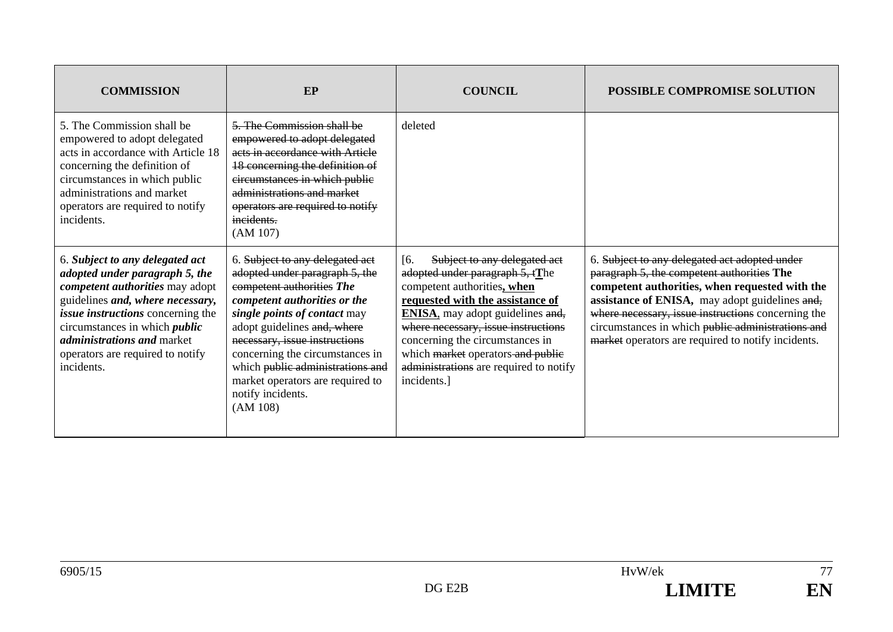| <b>COMMISSION</b>                                                                                                                                                                                                                                                                                                          | EP                                                                                                                                                                                                                                                                                                                                                                         | <b>COUNCIL</b>                                                                                                                                                                                                                                                                                                                                                | <b>POSSIBLE COMPROMISE SOLUTION</b>                                                                                                                                                                                                                                                                                                                              |
|----------------------------------------------------------------------------------------------------------------------------------------------------------------------------------------------------------------------------------------------------------------------------------------------------------------------------|----------------------------------------------------------------------------------------------------------------------------------------------------------------------------------------------------------------------------------------------------------------------------------------------------------------------------------------------------------------------------|---------------------------------------------------------------------------------------------------------------------------------------------------------------------------------------------------------------------------------------------------------------------------------------------------------------------------------------------------------------|------------------------------------------------------------------------------------------------------------------------------------------------------------------------------------------------------------------------------------------------------------------------------------------------------------------------------------------------------------------|
| 5. The Commission shall be<br>empowered to adopt delegated<br>acts in accordance with Article 18<br>concerning the definition of<br>circumstances in which public<br>administrations and market<br>operators are required to notify<br>incidents.                                                                          | 5. The Commission shall be<br>empowered to adopt delegated<br>acts in accordance with Article<br>18 concerning the definition of<br>circumstances in which public<br>administrations and market<br>operators are required to notify<br>incidents.<br>(AM 107)                                                                                                              | deleted                                                                                                                                                                                                                                                                                                                                                       |                                                                                                                                                                                                                                                                                                                                                                  |
| 6. Subject to any delegated act<br>adopted under paragraph 5, the<br><i>competent authorities</i> may adopt<br>guidelines and, where necessary,<br><i>issue instructions</i> concerning the<br>circumstances in which <i>public</i><br><i>administrations and market</i><br>operators are required to notify<br>incidents. | 6. Subject to any delegated act<br>adopted under paragraph 5, the<br>competent authorities The<br>competent authorities or the<br>single points of contact may<br>adopt guidelines and, where<br>necessary, issue instructions<br>concerning the circumstances in<br>which public administrations and<br>market operators are required to<br>notify incidents.<br>(AM 108) | [6]<br>Subject to any delegated act<br>adopted under paragraph 5, tThe<br>competent authorities, when<br>requested with the assistance of<br><b>ENISA</b> , may adopt guidelines and,<br>where necessary, issue instructions<br>concerning the circumstances in<br>which market operators and public<br>administrations are required to notify<br>incidents.] | 6. Subject to any delegated act adopted under<br>paragraph 5, the competent authorities The<br>competent authorities, when requested with the<br>assistance of ENISA, may adopt guidelines and,<br>where necessary, issue instructions concerning the<br>circumstances in which public administrations and<br>market operators are required to notify incidents. |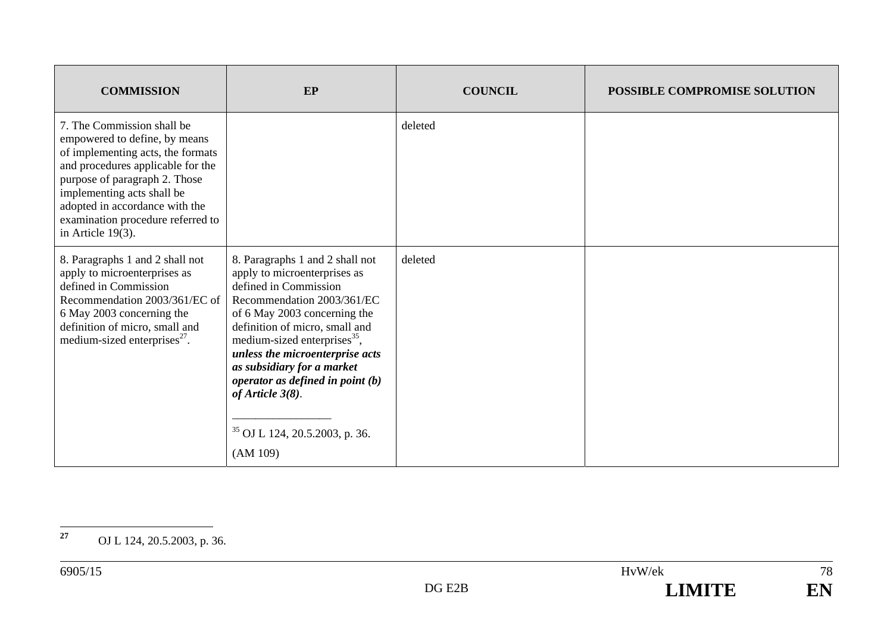| <b>COMMISSION</b>                                                                                                                                                                                                                                                                                   | EP                                                                                                                                                                                                                                                                                                                                                                                                                 | <b>COUNCIL</b> | <b>POSSIBLE COMPROMISE SOLUTION</b> |
|-----------------------------------------------------------------------------------------------------------------------------------------------------------------------------------------------------------------------------------------------------------------------------------------------------|--------------------------------------------------------------------------------------------------------------------------------------------------------------------------------------------------------------------------------------------------------------------------------------------------------------------------------------------------------------------------------------------------------------------|----------------|-------------------------------------|
| 7. The Commission shall be<br>empowered to define, by means<br>of implementing acts, the formats<br>and procedures applicable for the<br>purpose of paragraph 2. Those<br>implementing acts shall be<br>adopted in accordance with the<br>examination procedure referred to<br>in Article $19(3)$ . |                                                                                                                                                                                                                                                                                                                                                                                                                    | deleted        |                                     |
| 8. Paragraphs 1 and 2 shall not<br>apply to microenterprises as<br>defined in Commission<br>Recommendation 2003/361/EC of<br>6 May 2003 concerning the<br>definition of micro, small and<br>medium-sized enterprises <sup>27</sup> .                                                                | 8. Paragraphs 1 and 2 shall not<br>apply to microenterprises as<br>defined in Commission<br>Recommendation 2003/361/EC<br>of 6 May 2003 concerning the<br>definition of micro, small and<br>medium-sized enterprises <sup>35</sup> ,<br>unless the microenterprise acts<br>as subsidiary for a market<br>operator as defined in point $(b)$<br>of Article $3(8)$ .<br>$35$ OJ L 124, 20.5.2003, p. 36.<br>(AM 109) | deleted        |                                     |

**<sup>27</sup>** OJ L 124, 20.5.2003, p. 36.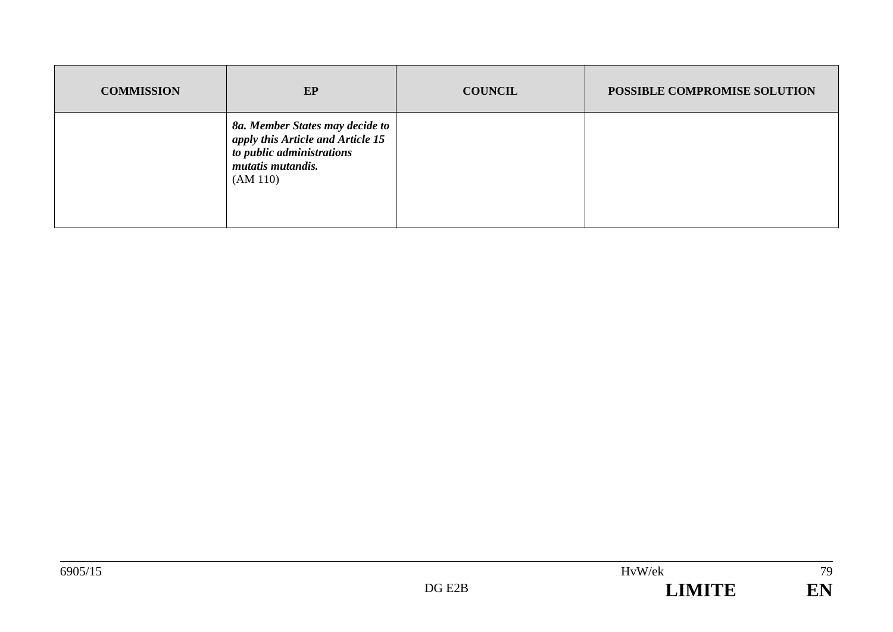| <b>COMMISSION</b> | EP                                                                                                                                 | <b>COUNCIL</b> | POSSIBLE COMPROMISE SOLUTION |
|-------------------|------------------------------------------------------------------------------------------------------------------------------------|----------------|------------------------------|
|                   | 8a. Member States may decide to<br>apply this Article and Article 15<br>to public administrations<br>mutatis mutandis.<br>(AM 110) |                |                              |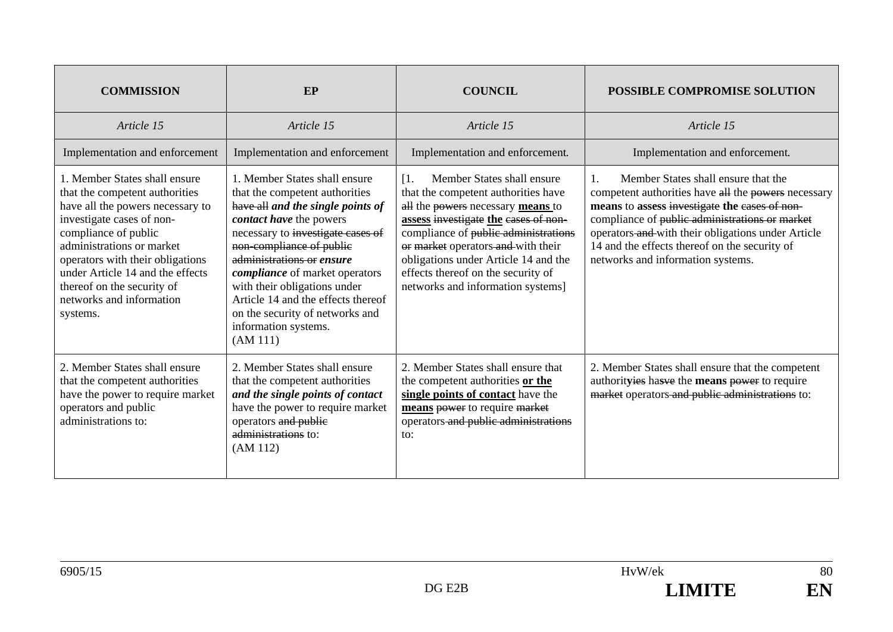| <b>COMMISSION</b>                                                                                                                                                                                                                                                                                                                   | EP                                                                                                                                                                                                                                                                                                                                                                                                                  | <b>COUNCIL</b>                                                                                                                                                                                                                                                                                                                                                  | <b>POSSIBLE COMPROMISE SOLUTION</b>                                                                                                                                                                                                                                                                                                                         |
|-------------------------------------------------------------------------------------------------------------------------------------------------------------------------------------------------------------------------------------------------------------------------------------------------------------------------------------|---------------------------------------------------------------------------------------------------------------------------------------------------------------------------------------------------------------------------------------------------------------------------------------------------------------------------------------------------------------------------------------------------------------------|-----------------------------------------------------------------------------------------------------------------------------------------------------------------------------------------------------------------------------------------------------------------------------------------------------------------------------------------------------------------|-------------------------------------------------------------------------------------------------------------------------------------------------------------------------------------------------------------------------------------------------------------------------------------------------------------------------------------------------------------|
| Article 15                                                                                                                                                                                                                                                                                                                          | Article 15                                                                                                                                                                                                                                                                                                                                                                                                          | Article 15                                                                                                                                                                                                                                                                                                                                                      | Article 15                                                                                                                                                                                                                                                                                                                                                  |
| Implementation and enforcement                                                                                                                                                                                                                                                                                                      | Implementation and enforcement                                                                                                                                                                                                                                                                                                                                                                                      | Implementation and enforcement.                                                                                                                                                                                                                                                                                                                                 | Implementation and enforcement.                                                                                                                                                                                                                                                                                                                             |
| 1. Member States shall ensure<br>that the competent authorities<br>have all the powers necessary to<br>investigate cases of non-<br>compliance of public<br>administrations or market<br>operators with their obligations<br>under Article 14 and the effects<br>thereof on the security of<br>networks and information<br>systems. | 1. Member States shall ensure<br>that the competent authorities<br>have all and the single points of<br>contact have the powers<br>necessary to investigate cases of<br>non-compliance of public<br>administrations or ensure<br><i>compliance</i> of market operators<br>with their obligations under<br>Article 14 and the effects thereof<br>on the security of networks and<br>information systems.<br>(AM 111) | Member States shall ensure<br>$\mathbf{I}$<br>that the competent authorities have<br>all the powers necessary means to<br>assess investigate the eases of non-<br>compliance of public administrations<br>or market operators and with their<br>obligations under Article 14 and the<br>effects thereof on the security of<br>networks and information systems] | Member States shall ensure that the<br>$\mathbf{1}$ .<br>competent authorities have all the powers necessary<br>means to assess investigate the eases of non-<br>compliance of public administrations or market<br>operators and with their obligations under Article<br>14 and the effects thereof on the security of<br>networks and information systems. |
| 2. Member States shall ensure<br>that the competent authorities<br>have the power to require market<br>operators and public<br>administrations to:                                                                                                                                                                                  | 2. Member States shall ensure<br>that the competent authorities<br>and the single points of contact<br>have the power to require market<br>operators and public<br>administrations to:<br>(AM 112)                                                                                                                                                                                                                  | 2. Member States shall ensure that<br>the competent authorities or the<br>single points of contact have the<br>means power to require market<br>operators-and public administrations<br>to:                                                                                                                                                                     | 2. Member States shall ensure that the competent<br>authorityies hasve the means power to require<br>market operators and public administrations to:                                                                                                                                                                                                        |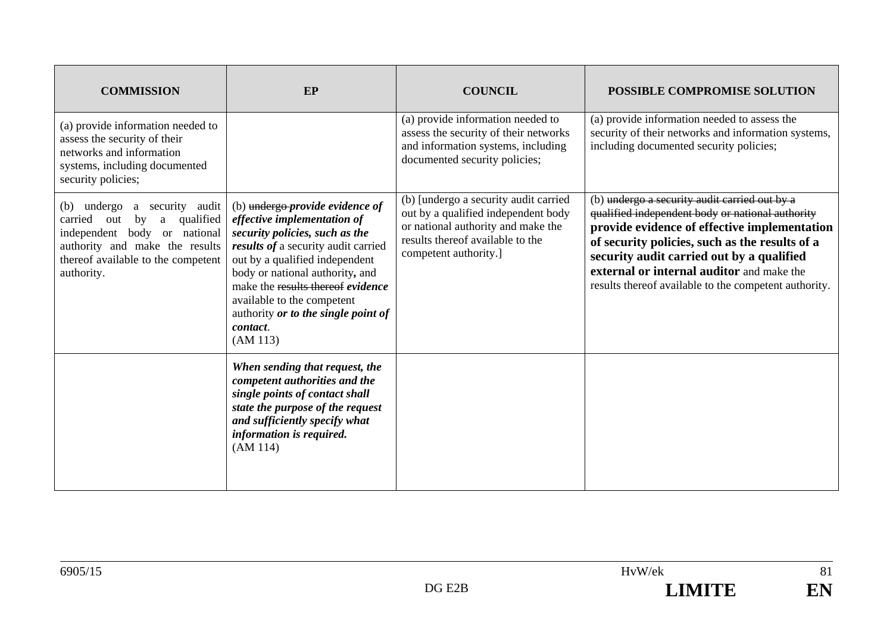| <b>COMMISSION</b>                                                                                                                                                                               | EP                                                                                                                                                                                                                                                                                                                                             | <b>COUNCIL</b>                                                                                                                                                                  | POSSIBLE COMPROMISE SOLUTION                                                                                                                                                                                                                                                                                                                           |
|-------------------------------------------------------------------------------------------------------------------------------------------------------------------------------------------------|------------------------------------------------------------------------------------------------------------------------------------------------------------------------------------------------------------------------------------------------------------------------------------------------------------------------------------------------|---------------------------------------------------------------------------------------------------------------------------------------------------------------------------------|--------------------------------------------------------------------------------------------------------------------------------------------------------------------------------------------------------------------------------------------------------------------------------------------------------------------------------------------------------|
| (a) provide information needed to<br>assess the security of their<br>networks and information<br>systems, including documented<br>security policies;                                            |                                                                                                                                                                                                                                                                                                                                                | (a) provide information needed to<br>assess the security of their networks<br>and information systems, including<br>documented security policies;                               | (a) provide information needed to assess the<br>security of their networks and information systems,<br>including documented security policies;                                                                                                                                                                                                         |
| a security audit<br>(b) undergo<br>qualified<br>out<br>by<br>carried<br>a<br>independent body or national<br>authority and make the results<br>thereof available to the competent<br>authority. | (b) undergo-provide evidence of<br>effective implementation of<br>security policies, such as the<br>results of a security audit carried<br>out by a qualified independent<br>body or national authority, and<br>make the results thereof evidence<br>available to the competent<br>authority or to the single point of<br>contact.<br>(AM 113) | (b) [undergo a security audit carried<br>out by a qualified independent body<br>or national authority and make the<br>results thereof available to the<br>competent authority.] | (b) undergo a security audit carried out by a<br>qualified independent body or national authority<br>provide evidence of effective implementation<br>of security policies, such as the results of a<br>security audit carried out by a qualified<br>external or internal auditor and make the<br>results thereof available to the competent authority. |
|                                                                                                                                                                                                 | When sending that request, the<br>competent authorities and the<br>single points of contact shall<br>state the purpose of the request<br>and sufficiently specify what<br>information is required.<br>(AM 114)                                                                                                                                 |                                                                                                                                                                                 |                                                                                                                                                                                                                                                                                                                                                        |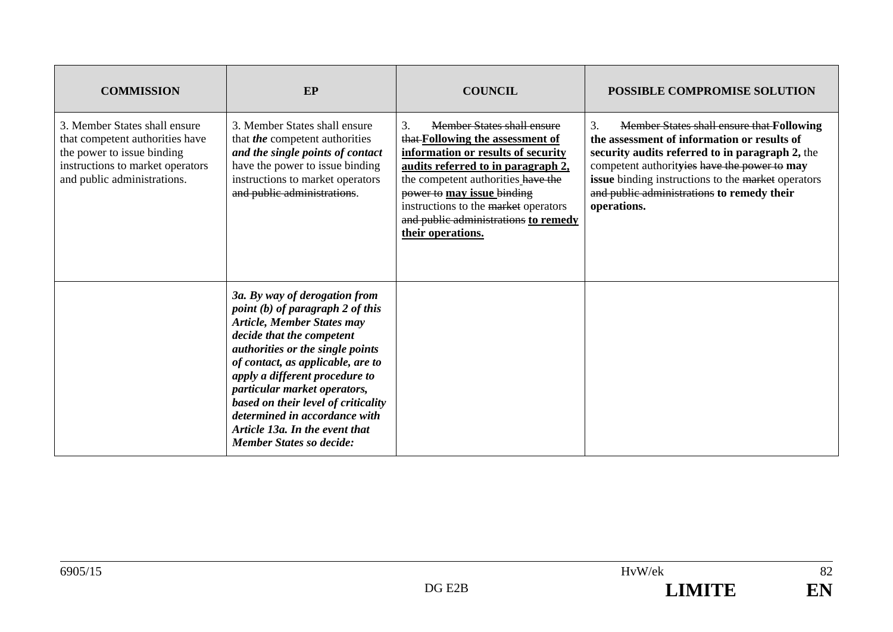| <b>COMMISSION</b>                                                                                                                                                 | <b>EP</b>                                                                                                                                                                                                                                                                                                                                                                                                                     | <b>COUNCIL</b>                                                                                                                                                                                                                                                                                                            | <b>POSSIBLE COMPROMISE SOLUTION</b>                                                                                                                                                                                                                                                                                         |
|-------------------------------------------------------------------------------------------------------------------------------------------------------------------|-------------------------------------------------------------------------------------------------------------------------------------------------------------------------------------------------------------------------------------------------------------------------------------------------------------------------------------------------------------------------------------------------------------------------------|---------------------------------------------------------------------------------------------------------------------------------------------------------------------------------------------------------------------------------------------------------------------------------------------------------------------------|-----------------------------------------------------------------------------------------------------------------------------------------------------------------------------------------------------------------------------------------------------------------------------------------------------------------------------|
| 3. Member States shall ensure<br>that competent authorities have<br>the power to issue binding<br>instructions to market operators<br>and public administrations. | 3. Member States shall ensure<br>that <i>the</i> competent authorities<br>and the single points of contact<br>have the power to issue binding<br>instructions to market operators<br>and public administrations.                                                                                                                                                                                                              | Member States shall ensure<br>3.<br>that-Following the assessment of<br>information or results of security<br>audits referred to in paragraph 2,<br>the competent authorities have the<br>power to may issue binding<br>instructions to the market operators<br>and public administrations to remedy<br>their operations. | <b>Member States shall ensure that Following</b><br>3.<br>the assessment of information or results of<br>security audits referred to in paragraph 2, the<br>competent authorityies have the power to may<br>issue binding instructions to the market operators<br>and public administrations to remedy their<br>operations. |
|                                                                                                                                                                   | 3a. By way of derogation from<br>point $(b)$ of paragraph 2 of this<br><b>Article, Member States may</b><br>decide that the competent<br>authorities or the single points<br>of contact, as applicable, are to<br>apply a different procedure to<br>particular market operators,<br>based on their level of criticality<br>determined in accordance with<br>Article 13a. In the event that<br><b>Member States so decide:</b> |                                                                                                                                                                                                                                                                                                                           |                                                                                                                                                                                                                                                                                                                             |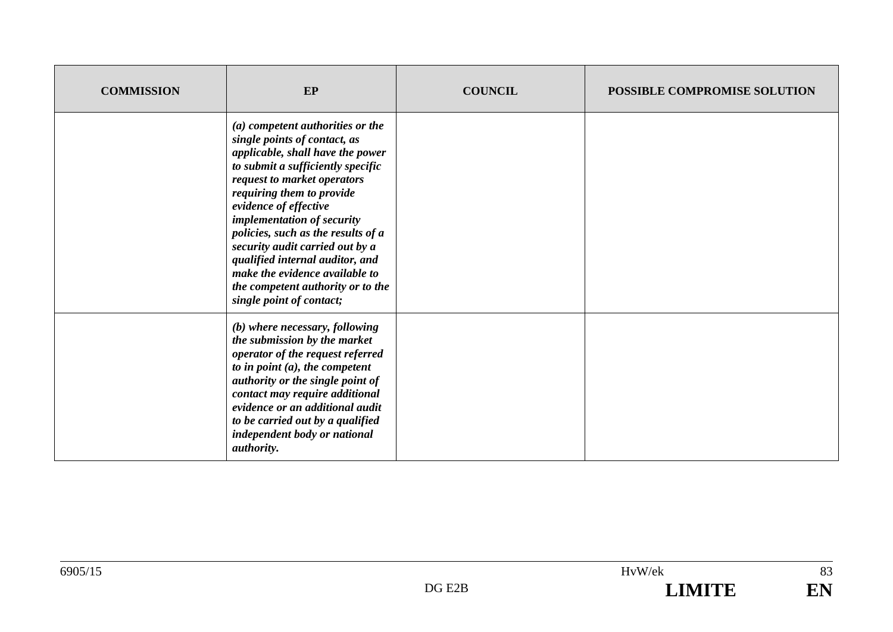| <b>COMMISSION</b> | EP                                                                                                                                                                                                                                                                                                                                                                                                                                                                          | <b>COUNCIL</b> | <b>POSSIBLE COMPROMISE SOLUTION</b> |
|-------------------|-----------------------------------------------------------------------------------------------------------------------------------------------------------------------------------------------------------------------------------------------------------------------------------------------------------------------------------------------------------------------------------------------------------------------------------------------------------------------------|----------------|-------------------------------------|
|                   | (a) competent authorities or the<br>single points of contact, as<br>applicable, shall have the power<br>to submit a sufficiently specific<br>request to market operators<br>requiring them to provide<br>evidence of effective<br>implementation of security<br>policies, such as the results of a<br>security audit carried out by a<br>qualified internal auditor, and<br>make the evidence available to<br>the competent authority or to the<br>single point of contact; |                |                                     |
|                   | (b) where necessary, following<br>the submission by the market<br>operator of the request referred<br>to in point $(a)$ , the competent<br>authority or the single point of<br>contact may require additional<br>evidence or an additional audit<br>to be carried out by a qualified<br>independent body or national<br>authority.                                                                                                                                          |                |                                     |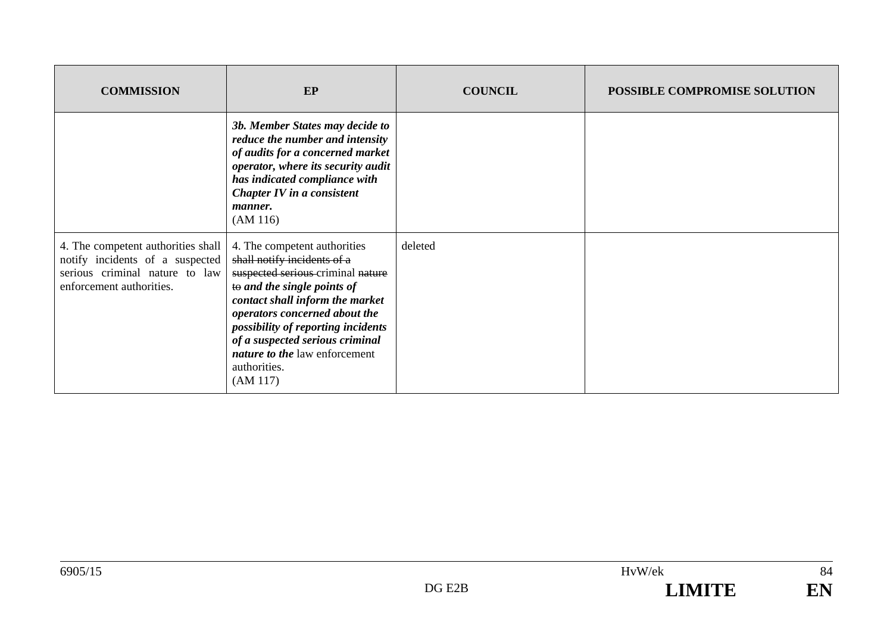| <b>COMMISSION</b>                                                                                                                   | EP                                                                                                                                                                                                                                                                                                                                               | <b>COUNCIL</b> | POSSIBLE COMPROMISE SOLUTION |
|-------------------------------------------------------------------------------------------------------------------------------------|--------------------------------------------------------------------------------------------------------------------------------------------------------------------------------------------------------------------------------------------------------------------------------------------------------------------------------------------------|----------------|------------------------------|
|                                                                                                                                     | 3b. Member States may decide to<br>reduce the number and intensity<br>of audits for a concerned market<br>operator, where its security audit<br>has indicated compliance with<br>Chapter IV in a consistent<br><i>manner.</i><br>(AM 116)                                                                                                        |                |                              |
| 4. The competent authorities shall<br>notify incidents of a suspected<br>serious criminal nature to law<br>enforcement authorities. | 4. The competent authorities<br>shall notify incidents of a<br>suspected serious criminal nature<br>to and the single points of<br>contact shall inform the market<br>operators concerned about the<br>possibility of reporting incidents<br>of a suspected serious criminal<br><i>nature to the law enforcement</i><br>authorities.<br>(AM 117) | deleted        |                              |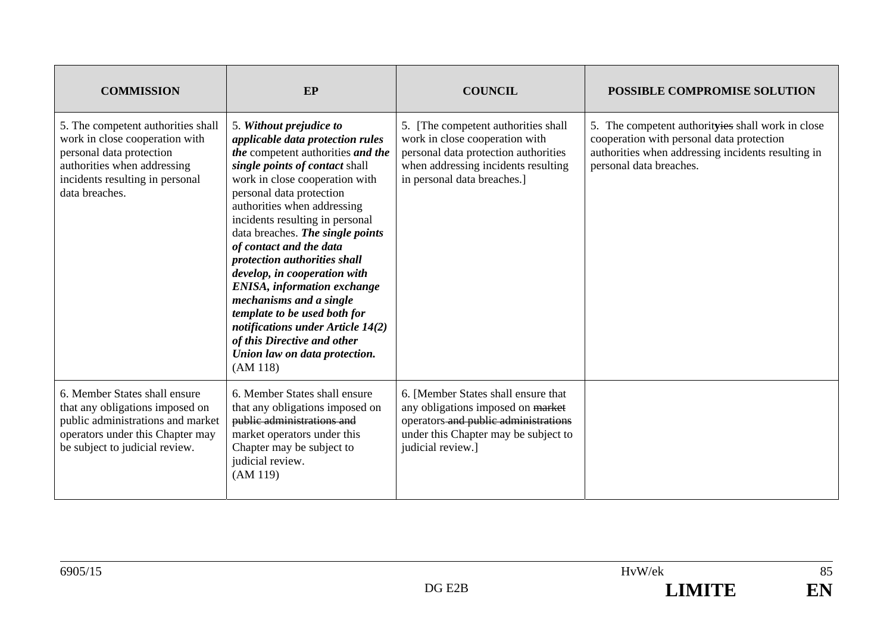| <b>COMMISSION</b>                                                                                                                                                                    | EP                                                                                                                                                                                                                                                                                                                                                                                                                                                                                                                                                                                                                   | <b>COUNCIL</b>                                                                                                                                                                      | POSSIBLE COMPROMISE SOLUTION                                                                                                                                                    |
|--------------------------------------------------------------------------------------------------------------------------------------------------------------------------------------|----------------------------------------------------------------------------------------------------------------------------------------------------------------------------------------------------------------------------------------------------------------------------------------------------------------------------------------------------------------------------------------------------------------------------------------------------------------------------------------------------------------------------------------------------------------------------------------------------------------------|-------------------------------------------------------------------------------------------------------------------------------------------------------------------------------------|---------------------------------------------------------------------------------------------------------------------------------------------------------------------------------|
| 5. The competent authorities shall<br>work in close cooperation with<br>personal data protection<br>authorities when addressing<br>incidents resulting in personal<br>data breaches. | 5. Without prejudice to<br>applicable data protection rules<br>the competent authorities and the<br>single points of contact shall<br>work in close cooperation with<br>personal data protection<br>authorities when addressing<br>incidents resulting in personal<br>data breaches. The single points<br>of contact and the data<br>protection authorities shall<br>develop, in cooperation with<br><b>ENISA</b> , information exchange<br>mechanisms and a single<br>template to be used both for<br>notifications under Article 14(2)<br>of this Directive and other<br>Union law on data protection.<br>(AM 118) | 5. [The competent authorities shall<br>work in close cooperation with<br>personal data protection authorities<br>when addressing incidents resulting<br>in personal data breaches.] | 5. The competent authorityies shall work in close<br>cooperation with personal data protection<br>authorities when addressing incidents resulting in<br>personal data breaches. |
| 6. Member States shall ensure<br>that any obligations imposed on<br>public administrations and market<br>operators under this Chapter may<br>be subject to judicial review.          | 6. Member States shall ensure<br>that any obligations imposed on<br>public administrations and<br>market operators under this<br>Chapter may be subject to<br>judicial review.<br>(AM 119)                                                                                                                                                                                                                                                                                                                                                                                                                           | 6. [Member States shall ensure that<br>any obligations imposed on market<br>operators and public administrations<br>under this Chapter may be subject to<br>judicial review.]       |                                                                                                                                                                                 |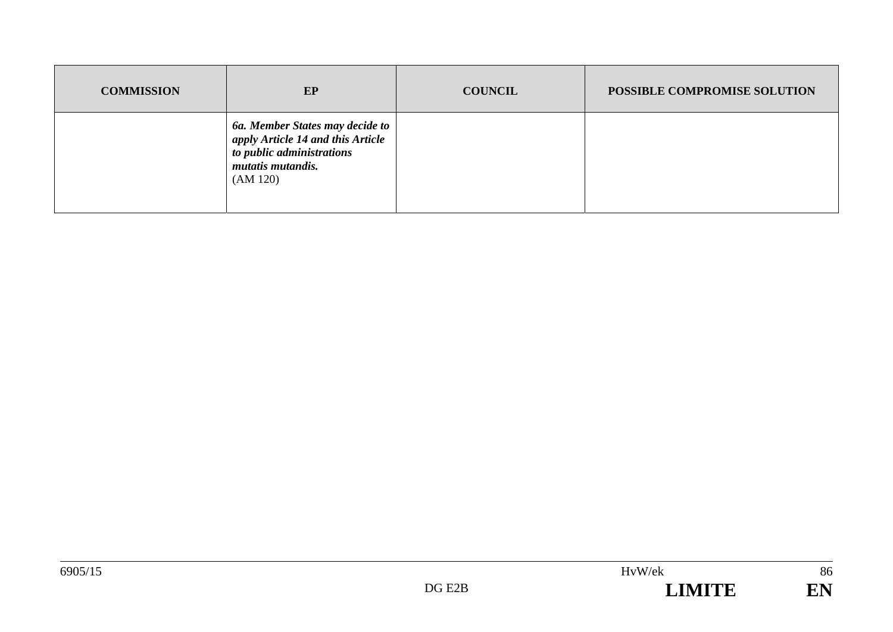| <b>COMMISSION</b> | EP                                                                                                                                 | <b>COUNCIL</b> | POSSIBLE COMPROMISE SOLUTION |
|-------------------|------------------------------------------------------------------------------------------------------------------------------------|----------------|------------------------------|
|                   | 6a. Member States may decide to<br>apply Article 14 and this Article<br>to public administrations<br>mutatis mutandis.<br>(AM 120) |                |                              |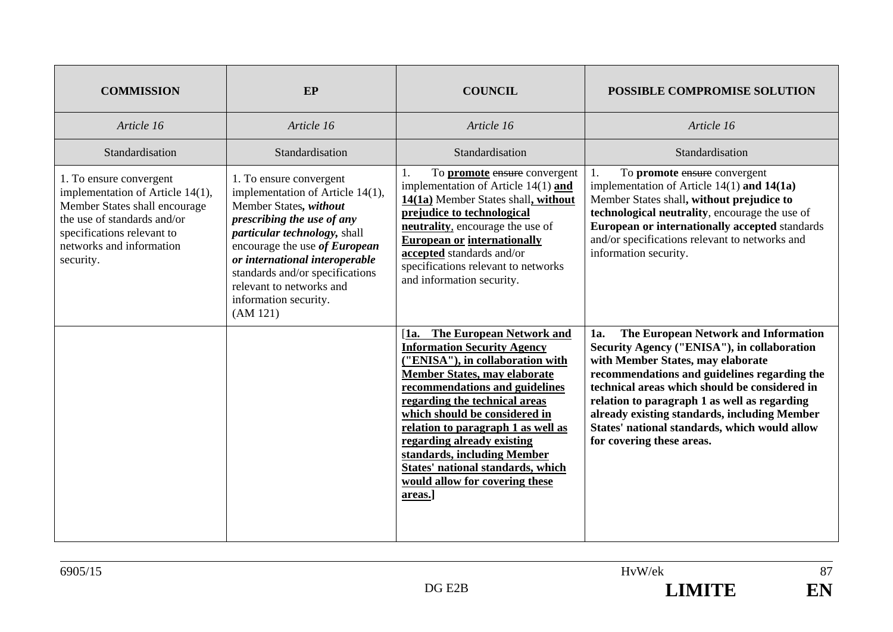| <b>COMMISSION</b>                                                                                                                                                                                  | EP                                                                                                                                                                                                                                                                                                                         | <b>COUNCIL</b>                                                                                                                                                                                                                                                                                                                                                                                                                            | POSSIBLE COMPROMISE SOLUTION                                                                                                                                                                                                                                                                                                                                                                                   |
|----------------------------------------------------------------------------------------------------------------------------------------------------------------------------------------------------|----------------------------------------------------------------------------------------------------------------------------------------------------------------------------------------------------------------------------------------------------------------------------------------------------------------------------|-------------------------------------------------------------------------------------------------------------------------------------------------------------------------------------------------------------------------------------------------------------------------------------------------------------------------------------------------------------------------------------------------------------------------------------------|----------------------------------------------------------------------------------------------------------------------------------------------------------------------------------------------------------------------------------------------------------------------------------------------------------------------------------------------------------------------------------------------------------------|
| Article 16                                                                                                                                                                                         | Article 16                                                                                                                                                                                                                                                                                                                 | Article 16                                                                                                                                                                                                                                                                                                                                                                                                                                | Article 16                                                                                                                                                                                                                                                                                                                                                                                                     |
| Standardisation                                                                                                                                                                                    | Standardisation                                                                                                                                                                                                                                                                                                            | Standardisation                                                                                                                                                                                                                                                                                                                                                                                                                           | Standardisation                                                                                                                                                                                                                                                                                                                                                                                                |
| 1. To ensure convergent<br>implementation of Article 14(1),<br>Member States shall encourage<br>the use of standards and/or<br>specifications relevant to<br>networks and information<br>security. | 1. To ensure convergent<br>implementation of Article 14(1),<br>Member States, without<br>prescribing the use of any<br>particular technology, shall<br>encourage the use of European<br>or international interoperable<br>standards and/or specifications<br>relevant to networks and<br>information security.<br>(AM 121) | To <b>promote</b> ensure convergent<br>1.<br>implementation of Article $14(1)$ and<br>14(1a) Member States shall, without<br>prejudice to technological<br>neutrality, encourage the use of<br><b>European or internationally</b><br>accepted standards and/or<br>specifications relevant to networks<br>and information security.                                                                                                        | To promote ensure convergent<br>1.<br>implementation of Article $14(1)$ and $14(1a)$<br>Member States shall, without prejudice to<br>technological neutrality, encourage the use of<br><b>European or internationally accepted standards</b><br>and/or specifications relevant to networks and<br>information security.                                                                                        |
|                                                                                                                                                                                                    |                                                                                                                                                                                                                                                                                                                            | The European Network and<br>[1a.<br><b>Information Security Agency</b><br>("ENISA"), in collaboration with<br><b>Member States, may elaborate</b><br>recommendations and guidelines<br>regarding the technical areas<br>which should be considered in<br>relation to paragraph 1 as well as<br>regarding already existing<br>standards, including Member<br>States' national standards, which<br>would allow for covering these<br>areas. | The European Network and Information<br>1a.<br>Security Agency ("ENISA"), in collaboration<br>with Member States, may elaborate<br>recommendations and guidelines regarding the<br>technical areas which should be considered in<br>relation to paragraph 1 as well as regarding<br>already existing standards, including Member<br>States' national standards, which would allow<br>for covering these areas. |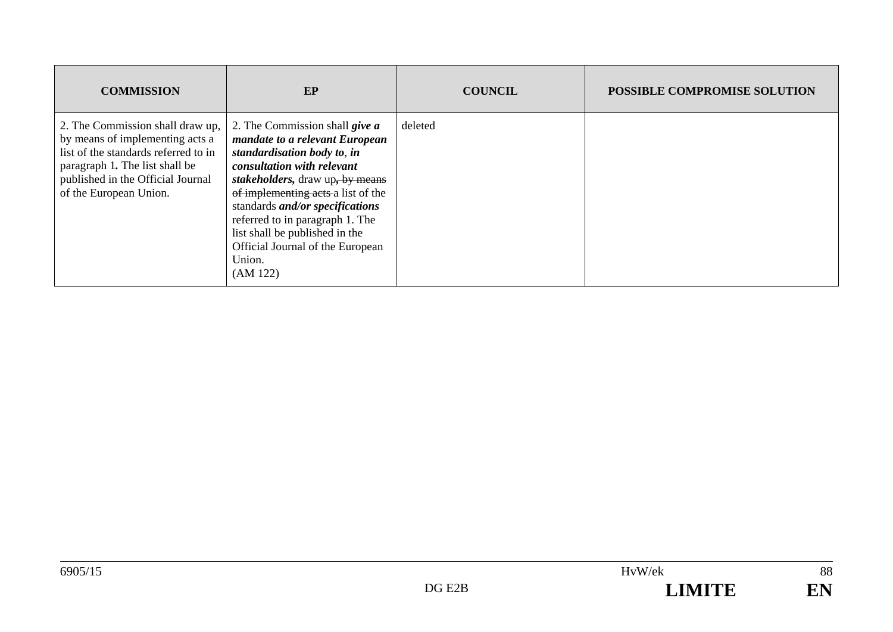| <b>COMMISSION</b>                                                                                                                                                                                            | EP                                                                                                                                                                                                                                                                                                                                                                              | <b>COUNCIL</b> | <b>POSSIBLE COMPROMISE SOLUTION</b> |
|--------------------------------------------------------------------------------------------------------------------------------------------------------------------------------------------------------------|---------------------------------------------------------------------------------------------------------------------------------------------------------------------------------------------------------------------------------------------------------------------------------------------------------------------------------------------------------------------------------|----------------|-------------------------------------|
| 2. The Commission shall draw up,<br>by means of implementing acts a<br>list of the standards referred to in<br>paragraph 1. The list shall be<br>published in the Official Journal<br>of the European Union. | 2. The Commission shall give a<br>mandate to a relevant European<br>standardisation body to, in<br>consultation with relevant<br>stakeholders, draw up, by means<br>of implementing acts a list of the<br>standards <i>and/or specifications</i><br>referred to in paragraph 1. The<br>list shall be published in the<br>Official Journal of the European<br>Union.<br>(AM 122) | deleted        |                                     |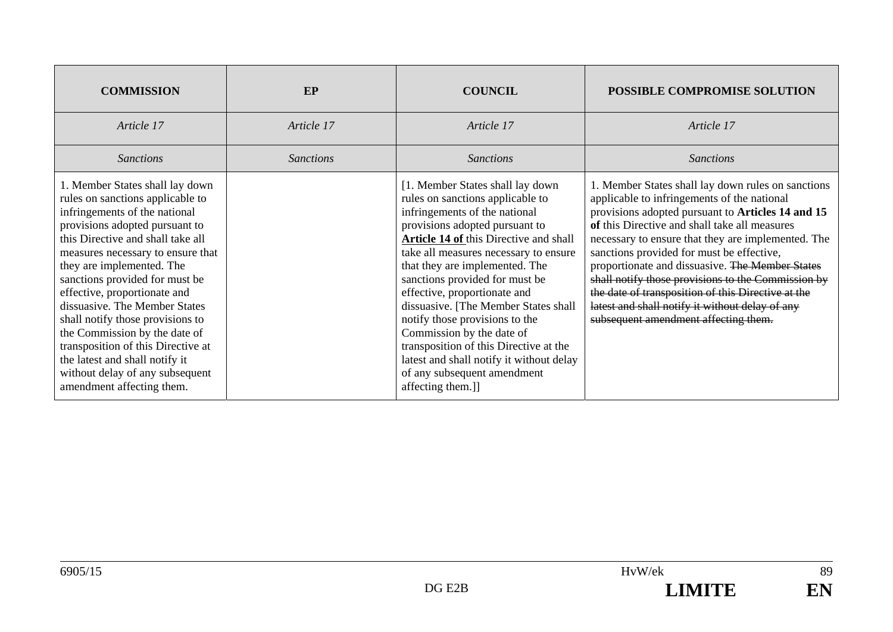| <b>COMMISSION</b>                                                                                                                                                                                                                                                                                                                                                                                                                                                                                                                                             | EP               | <b>COUNCIL</b>                                                                                                                                                                                                                                                                                                                                                                                                                                                                                                                                                                  | POSSIBLE COMPROMISE SOLUTION                                                                                                                                                                                                                                                                                                                                                                                                                                                                                                                                         |
|---------------------------------------------------------------------------------------------------------------------------------------------------------------------------------------------------------------------------------------------------------------------------------------------------------------------------------------------------------------------------------------------------------------------------------------------------------------------------------------------------------------------------------------------------------------|------------------|---------------------------------------------------------------------------------------------------------------------------------------------------------------------------------------------------------------------------------------------------------------------------------------------------------------------------------------------------------------------------------------------------------------------------------------------------------------------------------------------------------------------------------------------------------------------------------|----------------------------------------------------------------------------------------------------------------------------------------------------------------------------------------------------------------------------------------------------------------------------------------------------------------------------------------------------------------------------------------------------------------------------------------------------------------------------------------------------------------------------------------------------------------------|
| Article 17                                                                                                                                                                                                                                                                                                                                                                                                                                                                                                                                                    | Article 17       | Article 17                                                                                                                                                                                                                                                                                                                                                                                                                                                                                                                                                                      | Article 17                                                                                                                                                                                                                                                                                                                                                                                                                                                                                                                                                           |
| <b>Sanctions</b>                                                                                                                                                                                                                                                                                                                                                                                                                                                                                                                                              | <b>Sanctions</b> | <i>Sanctions</i>                                                                                                                                                                                                                                                                                                                                                                                                                                                                                                                                                                | <b>Sanctions</b>                                                                                                                                                                                                                                                                                                                                                                                                                                                                                                                                                     |
| 1. Member States shall lay down<br>rules on sanctions applicable to<br>infringements of the national<br>provisions adopted pursuant to<br>this Directive and shall take all<br>measures necessary to ensure that<br>they are implemented. The<br>sanctions provided for must be<br>effective, proportionate and<br>dissuasive. The Member States<br>shall notify those provisions to<br>the Commission by the date of<br>transposition of this Directive at<br>the latest and shall notify it<br>without delay of any subsequent<br>amendment affecting them. |                  | [1. Member States shall lay down<br>rules on sanctions applicable to<br>infringements of the national<br>provisions adopted pursuant to<br>Article 14 of this Directive and shall<br>take all measures necessary to ensure<br>that they are implemented. The<br>sanctions provided for must be<br>effective, proportionate and<br>dissuasive. [The Member States shall<br>notify those provisions to the<br>Commission by the date of<br>transposition of this Directive at the<br>latest and shall notify it without delay<br>of any subsequent amendment<br>affecting them.]] | 1. Member States shall lay down rules on sanctions<br>applicable to infringements of the national<br>provisions adopted pursuant to Articles 14 and 15<br>of this Directive and shall take all measures<br>necessary to ensure that they are implemented. The<br>sanctions provided for must be effective,<br>proportionate and dissuasive. The Member States<br>shall notify those provisions to the Commission by<br>the date of transposition of this Directive at the<br>latest and shall notify it without delay of any<br>subsequent amendment affecting them. |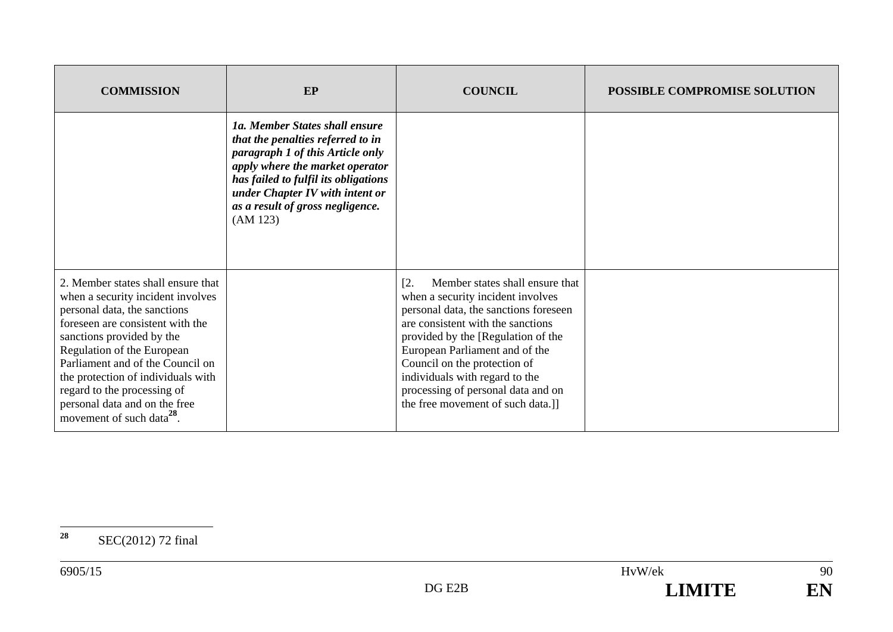| <b>COMMISSION</b>                                                                                                                                                                                                                                                                                                                                                                         | <b>EP</b>                                                                                                                                                                                                                                                             | <b>COUNCIL</b>                                                                                                                                                                                                                                                                                                                                                                 | POSSIBLE COMPROMISE SOLUTION |
|-------------------------------------------------------------------------------------------------------------------------------------------------------------------------------------------------------------------------------------------------------------------------------------------------------------------------------------------------------------------------------------------|-----------------------------------------------------------------------------------------------------------------------------------------------------------------------------------------------------------------------------------------------------------------------|--------------------------------------------------------------------------------------------------------------------------------------------------------------------------------------------------------------------------------------------------------------------------------------------------------------------------------------------------------------------------------|------------------------------|
|                                                                                                                                                                                                                                                                                                                                                                                           | 1a. Member States shall ensure<br>that the penalties referred to in<br>paragraph 1 of this Article only<br>apply where the market operator<br>has failed to fulfil its obligations<br>under Chapter IV with intent or<br>as a result of gross negligence.<br>(AM 123) |                                                                                                                                                                                                                                                                                                                                                                                |                              |
| 2. Member states shall ensure that<br>when a security incident involves<br>personal data, the sanctions<br>foreseen are consistent with the<br>sanctions provided by the<br>Regulation of the European<br>Parliament and of the Council on<br>the protection of individuals with<br>regard to the processing of<br>personal data and on the free<br>movement of such data <sup>28</sup> . |                                                                                                                                                                                                                                                                       | Member states shall ensure that<br>[2.<br>when a security incident involves<br>personal data, the sanctions foreseen<br>are consistent with the sanctions<br>provided by the [Regulation of the<br>European Parliament and of the<br>Council on the protection of<br>individuals with regard to the<br>processing of personal data and on<br>the free movement of such data.]] |                              |

**<sup>28</sup>** SEC(2012) 72 final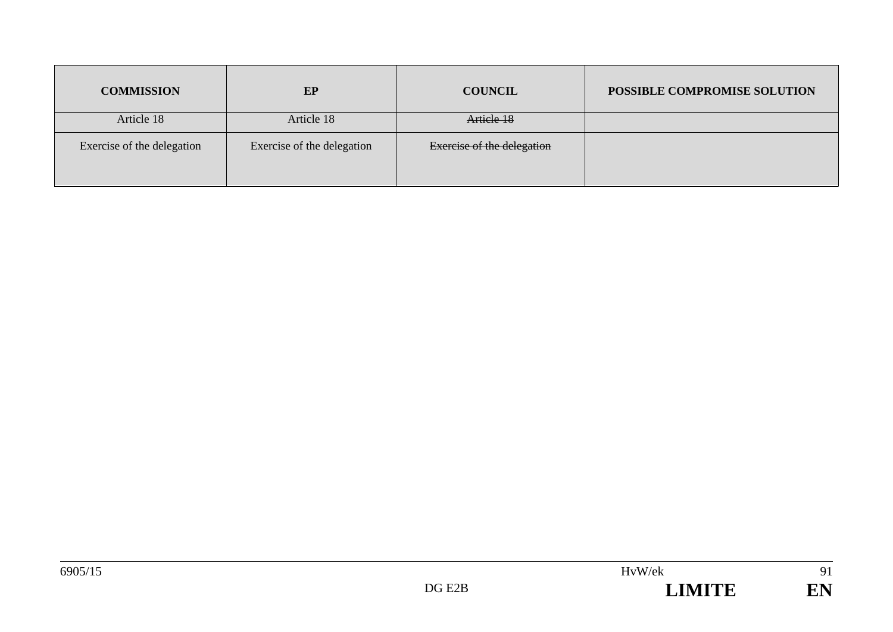| <b>COMMISSION</b>          | EP                         | <b>COUNCIL</b>                    | POSSIBLE COMPROMISE SOLUTION |
|----------------------------|----------------------------|-----------------------------------|------------------------------|
| Article 18                 | Article 18                 | Article 18                        |                              |
| Exercise of the delegation | Exercise of the delegation | <b>Exercise of the delegation</b> |                              |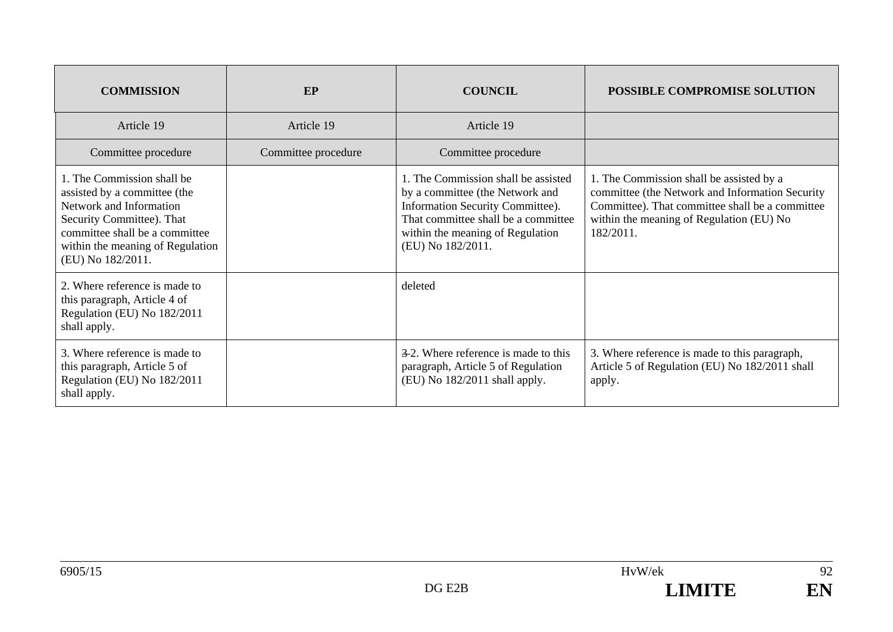| <b>COMMISSION</b>                                                                                                                                                                                             | EP                  | <b>COUNCIL</b>                                                                                                                                                                                             | <b>POSSIBLE COMPROMISE SOLUTION</b>                                                                                                                                                                     |
|---------------------------------------------------------------------------------------------------------------------------------------------------------------------------------------------------------------|---------------------|------------------------------------------------------------------------------------------------------------------------------------------------------------------------------------------------------------|---------------------------------------------------------------------------------------------------------------------------------------------------------------------------------------------------------|
| Article 19                                                                                                                                                                                                    | Article 19          | Article 19                                                                                                                                                                                                 |                                                                                                                                                                                                         |
| Committee procedure                                                                                                                                                                                           | Committee procedure | Committee procedure                                                                                                                                                                                        |                                                                                                                                                                                                         |
| 1. The Commission shall be<br>assisted by a committee (the<br>Network and Information<br>Security Committee). That<br>committee shall be a committee<br>within the meaning of Regulation<br>(EU) No 182/2011. |                     | 1. The Commission shall be assisted<br>by a committee (the Network and<br>Information Security Committee).<br>That committee shall be a committee<br>within the meaning of Regulation<br>(EU) No 182/2011. | 1. The Commission shall be assisted by a<br>committee (the Network and Information Security<br>Committee). That committee shall be a committee<br>within the meaning of Regulation (EU) No<br>182/2011. |
| 2. Where reference is made to<br>this paragraph, Article 4 of<br>Regulation (EU) No 182/2011<br>shall apply.                                                                                                  |                     | deleted                                                                                                                                                                                                    |                                                                                                                                                                                                         |
| 3. Where reference is made to<br>this paragraph, Article 5 of<br>Regulation (EU) No 182/2011<br>shall apply.                                                                                                  |                     | 3-2. Where reference is made to this<br>paragraph, Article 5 of Regulation<br>(EU) No 182/2011 shall apply.                                                                                                | 3. Where reference is made to this paragraph,<br>Article 5 of Regulation (EU) No 182/2011 shall<br>apply.                                                                                               |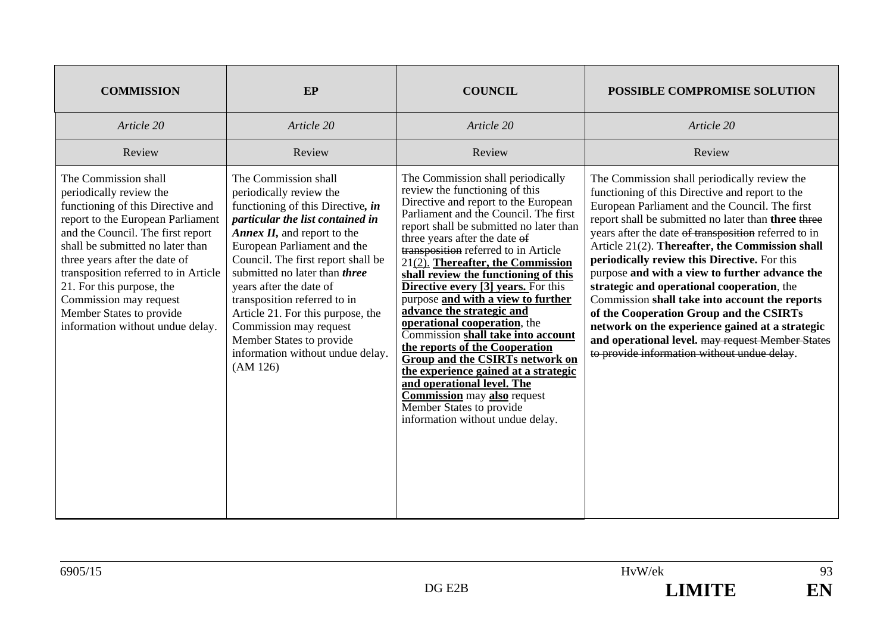| <b>COMMISSION</b>                                                                                                                                                                                                                                                                                                                                                                                  | EP                                                                                                                                                                                                                                                                                                                                                                                                                                                                            | <b>COUNCIL</b>                                                                                                                                                                                                                                                                                                                                                                                                                                                                                                                                                                                                                                                                                                                                                                                          | <b>POSSIBLE COMPROMISE SOLUTION</b>                                                                                                                                                                                                                                                                                                                                                                                                                                                                                                                                                                                                                                                                                    |
|----------------------------------------------------------------------------------------------------------------------------------------------------------------------------------------------------------------------------------------------------------------------------------------------------------------------------------------------------------------------------------------------------|-------------------------------------------------------------------------------------------------------------------------------------------------------------------------------------------------------------------------------------------------------------------------------------------------------------------------------------------------------------------------------------------------------------------------------------------------------------------------------|---------------------------------------------------------------------------------------------------------------------------------------------------------------------------------------------------------------------------------------------------------------------------------------------------------------------------------------------------------------------------------------------------------------------------------------------------------------------------------------------------------------------------------------------------------------------------------------------------------------------------------------------------------------------------------------------------------------------------------------------------------------------------------------------------------|------------------------------------------------------------------------------------------------------------------------------------------------------------------------------------------------------------------------------------------------------------------------------------------------------------------------------------------------------------------------------------------------------------------------------------------------------------------------------------------------------------------------------------------------------------------------------------------------------------------------------------------------------------------------------------------------------------------------|
| Article 20                                                                                                                                                                                                                                                                                                                                                                                         | Article 20                                                                                                                                                                                                                                                                                                                                                                                                                                                                    | Article 20                                                                                                                                                                                                                                                                                                                                                                                                                                                                                                                                                                                                                                                                                                                                                                                              | Article 20                                                                                                                                                                                                                                                                                                                                                                                                                                                                                                                                                                                                                                                                                                             |
| Review                                                                                                                                                                                                                                                                                                                                                                                             | Review                                                                                                                                                                                                                                                                                                                                                                                                                                                                        | Review                                                                                                                                                                                                                                                                                                                                                                                                                                                                                                                                                                                                                                                                                                                                                                                                  | Review                                                                                                                                                                                                                                                                                                                                                                                                                                                                                                                                                                                                                                                                                                                 |
| The Commission shall<br>periodically review the<br>functioning of this Directive and<br>report to the European Parliament<br>and the Council. The first report<br>shall be submitted no later than<br>three years after the date of<br>transposition referred to in Article<br>21. For this purpose, the<br>Commission may request<br>Member States to provide<br>information without undue delay. | The Commission shall<br>periodically review the<br>functioning of this Directive, in<br>particular the list contained in<br>Annex $II$ , and report to the<br>European Parliament and the<br>Council. The first report shall be<br>submitted no later than <i>three</i><br>years after the date of<br>transposition referred to in<br>Article 21. For this purpose, the<br>Commission may request<br>Member States to provide<br>information without undue delay.<br>(AM 126) | The Commission shall periodically<br>review the functioning of this<br>Directive and report to the European<br>Parliament and the Council. The first<br>report shall be submitted no later than<br>three years after the date of<br>transposition referred to in Article<br>$21(2)$ . Thereafter, the Commission<br>shall review the functioning of this<br><b>Directive every [3] years.</b> For this<br>purpose and with a view to further<br>advance the strategic and<br>operational cooperation, the<br>Commission shall take into account<br>the reports of the Cooperation<br><b>Group and the CSIRTs network on</b><br>the experience gained at a strategic<br>and operational level. The<br><b>Commission</b> may also request<br>Member States to provide<br>information without undue delay. | The Commission shall periodically review the<br>functioning of this Directive and report to the<br>European Parliament and the Council. The first<br>report shall be submitted no later than three three<br>years after the date of transposition referred to in<br>Article 21(2). Thereafter, the Commission shall<br>periodically review this Directive. For this<br>purpose and with a view to further advance the<br>strategic and operational cooperation, the<br>Commission shall take into account the reports<br>of the Cooperation Group and the CSIRTs<br>network on the experience gained at a strategic<br>and operational level. may request Member States<br>to provide information without undue delay. |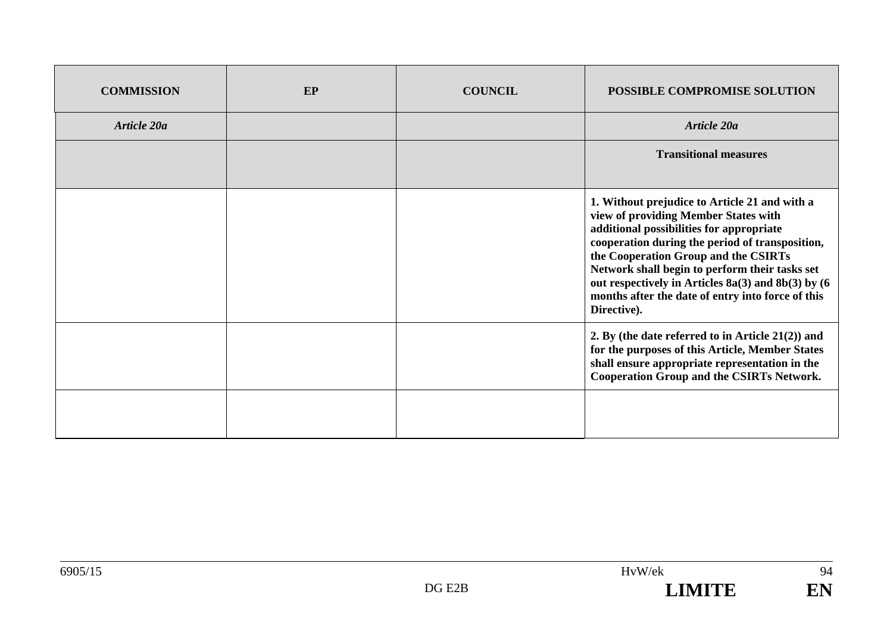| <b>COMMISSION</b> | EP | <b>COUNCIL</b> | <b>POSSIBLE COMPROMISE SOLUTION</b>                                                                                                                                                                                                                                                                                                                                                                      |
|-------------------|----|----------------|----------------------------------------------------------------------------------------------------------------------------------------------------------------------------------------------------------------------------------------------------------------------------------------------------------------------------------------------------------------------------------------------------------|
| Article 20a       |    |                | Article 20a                                                                                                                                                                                                                                                                                                                                                                                              |
|                   |    |                | <b>Transitional measures</b>                                                                                                                                                                                                                                                                                                                                                                             |
|                   |    |                | 1. Without prejudice to Article 21 and with a<br>view of providing Member States with<br>additional possibilities for appropriate<br>cooperation during the period of transposition,<br>the Cooperation Group and the CSIRTs<br>Network shall begin to perform their tasks set<br>out respectively in Articles 8a(3) and 8b(3) by (6<br>months after the date of entry into force of this<br>Directive). |
|                   |    |                | 2. By (the date referred to in Article $21(2)$ ) and<br>for the purposes of this Article, Member States<br>shall ensure appropriate representation in the<br><b>Cooperation Group and the CSIRTs Network.</b>                                                                                                                                                                                            |
|                   |    |                |                                                                                                                                                                                                                                                                                                                                                                                                          |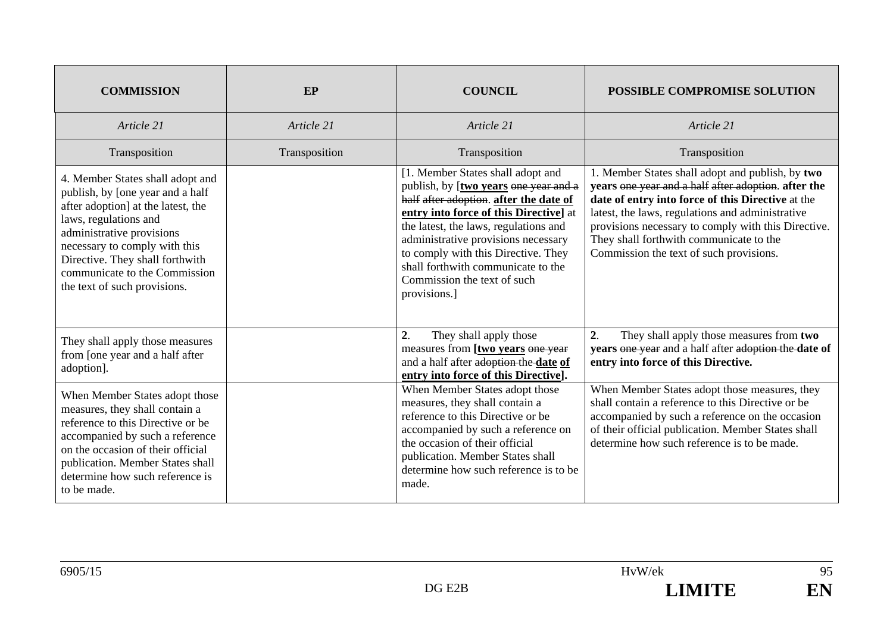| <b>COMMISSION</b>                                                                                                                                                                                                                                                                                     | EP            | <b>COUNCIL</b>                                                                                                                                                                                                                                                                                                                                                            | POSSIBLE COMPROMISE SOLUTION                                                                                                                                                                                                                                                                                                                                  |
|-------------------------------------------------------------------------------------------------------------------------------------------------------------------------------------------------------------------------------------------------------------------------------------------------------|---------------|---------------------------------------------------------------------------------------------------------------------------------------------------------------------------------------------------------------------------------------------------------------------------------------------------------------------------------------------------------------------------|---------------------------------------------------------------------------------------------------------------------------------------------------------------------------------------------------------------------------------------------------------------------------------------------------------------------------------------------------------------|
| Article 21                                                                                                                                                                                                                                                                                            | Article 21    | Article 21                                                                                                                                                                                                                                                                                                                                                                | Article 21                                                                                                                                                                                                                                                                                                                                                    |
| Transposition                                                                                                                                                                                                                                                                                         | Transposition | Transposition                                                                                                                                                                                                                                                                                                                                                             | Transposition                                                                                                                                                                                                                                                                                                                                                 |
| 4. Member States shall adopt and<br>publish, by [one year and a half<br>after adoption] at the latest, the<br>laws, regulations and<br>administrative provisions<br>necessary to comply with this<br>Directive. They shall forthwith<br>communicate to the Commission<br>the text of such provisions. |               | [1. Member States shall adopt and<br>publish, by [two years one year and a<br>half after adoption. after the date of<br>entry into force of this Directive] at<br>the latest, the laws, regulations and<br>administrative provisions necessary<br>to comply with this Directive. They<br>shall forthwith communicate to the<br>Commission the text of such<br>provisions. | 1. Member States shall adopt and publish, by two<br>years one year and a half after adoption. after the<br>date of entry into force of this Directive at the<br>latest, the laws, regulations and administrative<br>provisions necessary to comply with this Directive.<br>They shall forthwith communicate to the<br>Commission the text of such provisions. |
| They shall apply those measures<br>from [one year and a half after<br>adoption].                                                                                                                                                                                                                      |               | 2.<br>They shall apply those<br>measures from [two years one year<br>and a half after adoption the date of<br>entry into force of this Directive].                                                                                                                                                                                                                        | 2.<br>They shall apply those measures from two<br>years one year and a half after adoption the date of<br>entry into force of this Directive.                                                                                                                                                                                                                 |
| When Member States adopt those<br>measures, they shall contain a<br>reference to this Directive or be<br>accompanied by such a reference<br>on the occasion of their official<br>publication. Member States shall<br>determine how such reference is<br>to be made.                                   |               | When Member States adopt those<br>measures, they shall contain a<br>reference to this Directive or be<br>accompanied by such a reference on<br>the occasion of their official<br>publication. Member States shall<br>determine how such reference is to be<br>made.                                                                                                       | When Member States adopt those measures, they<br>shall contain a reference to this Directive or be<br>accompanied by such a reference on the occasion<br>of their official publication. Member States shall<br>determine how such reference is to be made.                                                                                                    |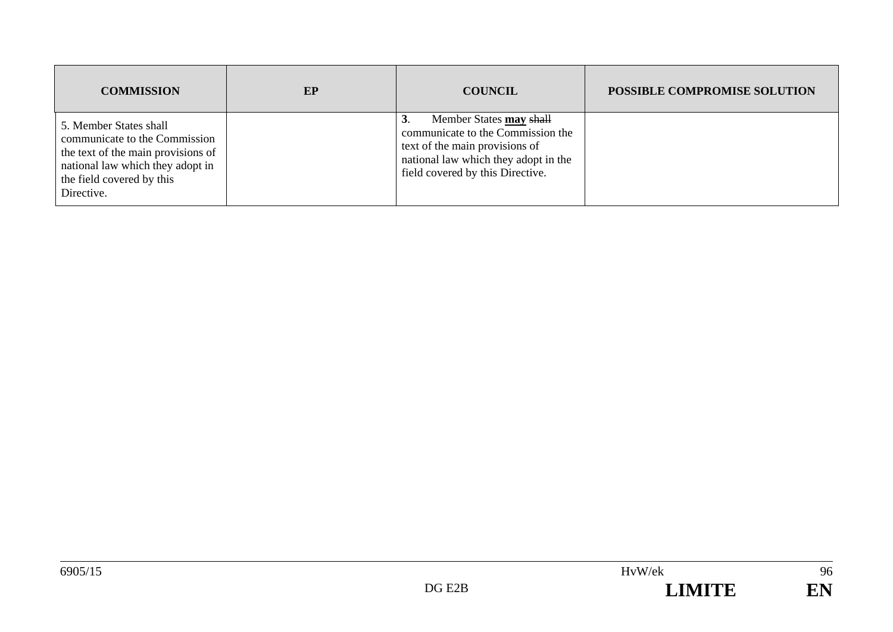| <b>COMMISSION</b>                                                                                                                                                            | EP | <b>COUNCIL</b>                                                                                                                                                                   | POSSIBLE COMPROMISE SOLUTION |
|------------------------------------------------------------------------------------------------------------------------------------------------------------------------------|----|----------------------------------------------------------------------------------------------------------------------------------------------------------------------------------|------------------------------|
| 5. Member States shall<br>communicate to the Commission<br>the text of the main provisions of<br>national law which they adopt in<br>the field covered by this<br>Directive. |    | Member States may shall<br>3.<br>communicate to the Commission the<br>text of the main provisions of<br>national law which they adopt in the<br>field covered by this Directive. |                              |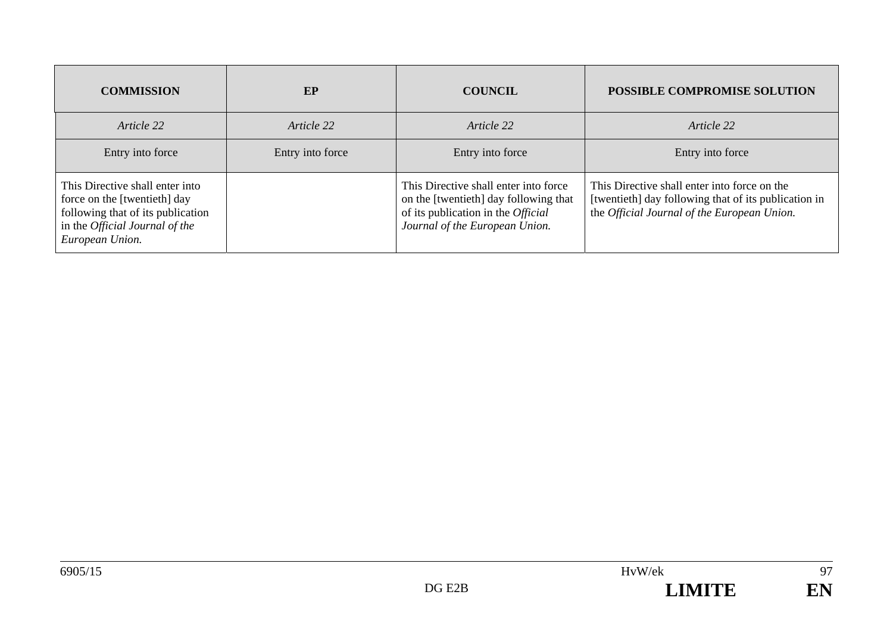| <b>COMMISSION</b>                                                                                                                                         | <b>EP</b>        | <b>COUNCIL</b>                                                                                                                                                | POSSIBLE COMPROMISE SOLUTION                                                                                                                        |
|-----------------------------------------------------------------------------------------------------------------------------------------------------------|------------------|---------------------------------------------------------------------------------------------------------------------------------------------------------------|-----------------------------------------------------------------------------------------------------------------------------------------------------|
| Article 22                                                                                                                                                | Article 22       | Article 22                                                                                                                                                    | Article 22                                                                                                                                          |
| Entry into force                                                                                                                                          | Entry into force | Entry into force                                                                                                                                              | Entry into force                                                                                                                                    |
| This Directive shall enter into<br>force on the [twentieth] day<br>following that of its publication<br>in the Official Journal of the<br>European Union. |                  | This Directive shall enter into force<br>on the [twentieth] day following that<br>of its publication in the <i>Official</i><br>Journal of the European Union. | This Directive shall enter into force on the<br>[twentieth] day following that of its publication in<br>the Official Journal of the European Union. |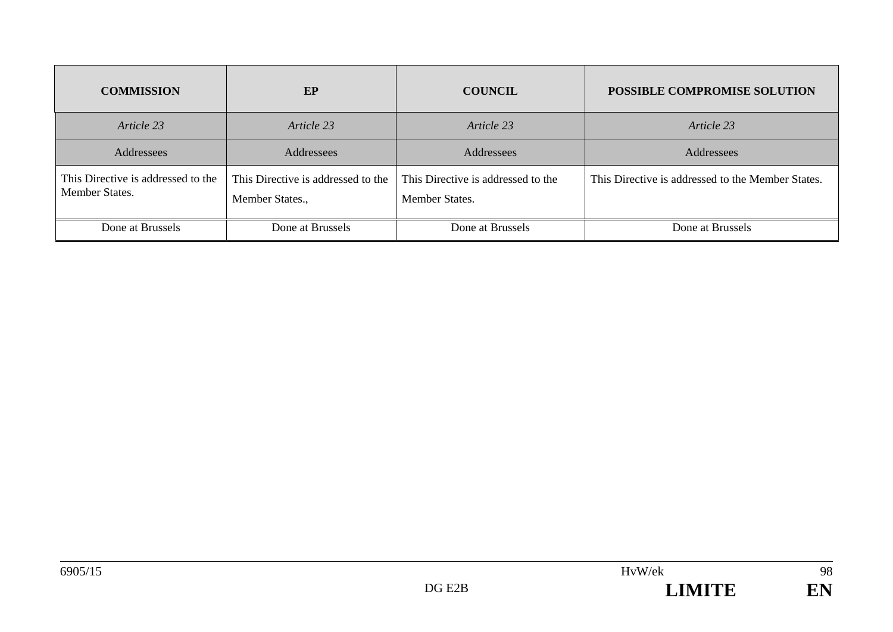| <b>COMMISSION</b>                                    | EP                                                    | <b>COUNCIL</b>                                       | POSSIBLE COMPROMISE SOLUTION                      |
|------------------------------------------------------|-------------------------------------------------------|------------------------------------------------------|---------------------------------------------------|
| Article 23                                           | Article 23                                            | Article 23                                           | Article 23                                        |
| Addressees                                           | Addressees                                            | Addressees                                           | Addressees                                        |
| This Directive is addressed to the<br>Member States. | This Directive is addressed to the<br>Member States., | This Directive is addressed to the<br>Member States. | This Directive is addressed to the Member States. |
| Done at Brussels                                     | Done at Brussels                                      | Done at Brussels                                     | Done at Brussels                                  |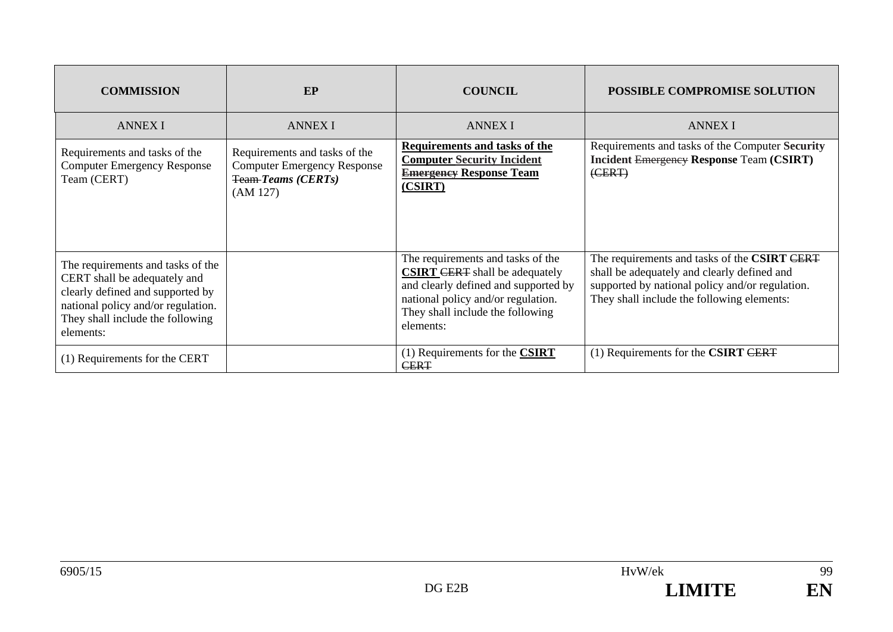| <b>COMMISSION</b>                                                                                                                                                                            | EP                                                                                                           | <b>COUNCIL</b>                                                                                                                                                                                            | <b>POSSIBLE COMPROMISE SOLUTION</b>                                                                                                                                                          |
|----------------------------------------------------------------------------------------------------------------------------------------------------------------------------------------------|--------------------------------------------------------------------------------------------------------------|-----------------------------------------------------------------------------------------------------------------------------------------------------------------------------------------------------------|----------------------------------------------------------------------------------------------------------------------------------------------------------------------------------------------|
| <b>ANNEX I</b>                                                                                                                                                                               | <b>ANNEX I</b>                                                                                               | <b>ANNEX I</b>                                                                                                                                                                                            | <b>ANNEX I</b>                                                                                                                                                                               |
| Requirements and tasks of the<br><b>Computer Emergency Response</b><br>Team (CERT)                                                                                                           | Requirements and tasks of the<br><b>Computer Emergency Response</b><br><b>Team-Teams (CERTs)</b><br>(AM 127) | Requirements and tasks of the<br><b>Computer Security Incident</b><br><b>Emergency Response Team</b><br>(CSIRT)                                                                                           | Requirements and tasks of the Computer Security<br><b>Incident Emergency Response Team (CSIRT)</b><br>(EERT)                                                                                 |
| The requirements and tasks of the<br>CERT shall be adequately and<br>clearly defined and supported by<br>national policy and/or regulation.<br>They shall include the following<br>elements: |                                                                                                              | The requirements and tasks of the<br><b>CSIRT CERT</b> shall be adequately<br>and clearly defined and supported by<br>national policy and/or regulation.<br>They shall include the following<br>elements: | The requirements and tasks of the CSIRT CERT<br>shall be adequately and clearly defined and<br>supported by national policy and/or regulation.<br>They shall include the following elements: |
| (1) Requirements for the CERT                                                                                                                                                                |                                                                                                              | $(1)$ Requirements for the <b>CSIRT</b><br><b>CERT</b>                                                                                                                                                    | $(1)$ Requirements for the CSIRT CERT                                                                                                                                                        |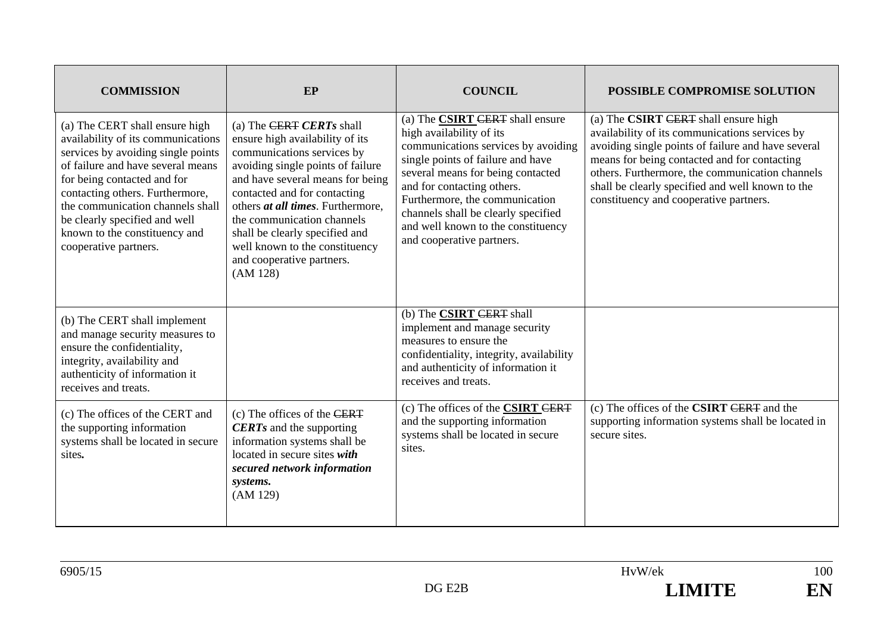| <b>COMMISSION</b>                                                                                                                                                                                                                                                                                                                                | EP                                                                                                                                                                                                                                                                                                                                                                                 | <b>COUNCIL</b>                                                                                                                                                                                                                                                                                                                                         | POSSIBLE COMPROMISE SOLUTION                                                                                                                                                                                                                                                                                                                  |
|--------------------------------------------------------------------------------------------------------------------------------------------------------------------------------------------------------------------------------------------------------------------------------------------------------------------------------------------------|------------------------------------------------------------------------------------------------------------------------------------------------------------------------------------------------------------------------------------------------------------------------------------------------------------------------------------------------------------------------------------|--------------------------------------------------------------------------------------------------------------------------------------------------------------------------------------------------------------------------------------------------------------------------------------------------------------------------------------------------------|-----------------------------------------------------------------------------------------------------------------------------------------------------------------------------------------------------------------------------------------------------------------------------------------------------------------------------------------------|
| (a) The CERT shall ensure high<br>availability of its communications<br>services by avoiding single points<br>of failure and have several means<br>for being contacted and for<br>contacting others. Furthermore,<br>the communication channels shall<br>be clearly specified and well<br>known to the constituency and<br>cooperative partners. | (a) The CERT CERTs shall<br>ensure high availability of its<br>communications services by<br>avoiding single points of failure<br>and have several means for being<br>contacted and for contacting<br>others at all times. Furthermore,<br>the communication channels<br>shall be clearly specified and<br>well known to the constituency<br>and cooperative partners.<br>(AM 128) | (a) The CSIRT CERT shall ensure<br>high availability of its<br>communications services by avoiding<br>single points of failure and have<br>several means for being contacted<br>and for contacting others.<br>Furthermore, the communication<br>channels shall be clearly specified<br>and well known to the constituency<br>and cooperative partners. | (a) The CSIRT CERT shall ensure high<br>availability of its communications services by<br>avoiding single points of failure and have several<br>means for being contacted and for contacting<br>others. Furthermore, the communication channels<br>shall be clearly specified and well known to the<br>constituency and cooperative partners. |
| (b) The CERT shall implement<br>and manage security measures to<br>ensure the confidentiality,<br>integrity, availability and<br>authenticity of information it<br>receives and treats.                                                                                                                                                          |                                                                                                                                                                                                                                                                                                                                                                                    | (b) The <b>CSIRT</b> CERT shall<br>implement and manage security<br>measures to ensure the<br>confidentiality, integrity, availability<br>and authenticity of information it<br>receives and treats.                                                                                                                                                   |                                                                                                                                                                                                                                                                                                                                               |
| (c) The offices of the CERT and<br>the supporting information<br>systems shall be located in secure<br>sites.                                                                                                                                                                                                                                    | $(c)$ The offices of the CERT<br><b>CERTs</b> and the supporting<br>information systems shall be<br>located in secure sites with<br>secured network information<br>systems.<br>(AM 129)                                                                                                                                                                                            | (c) The offices of the <b>CSIRT CERT</b><br>and the supporting information<br>systems shall be located in secure<br>sites.                                                                                                                                                                                                                             | (c) The offices of the <b>CSIRT</b> CERT and the<br>supporting information systems shall be located in<br>secure sites.                                                                                                                                                                                                                       |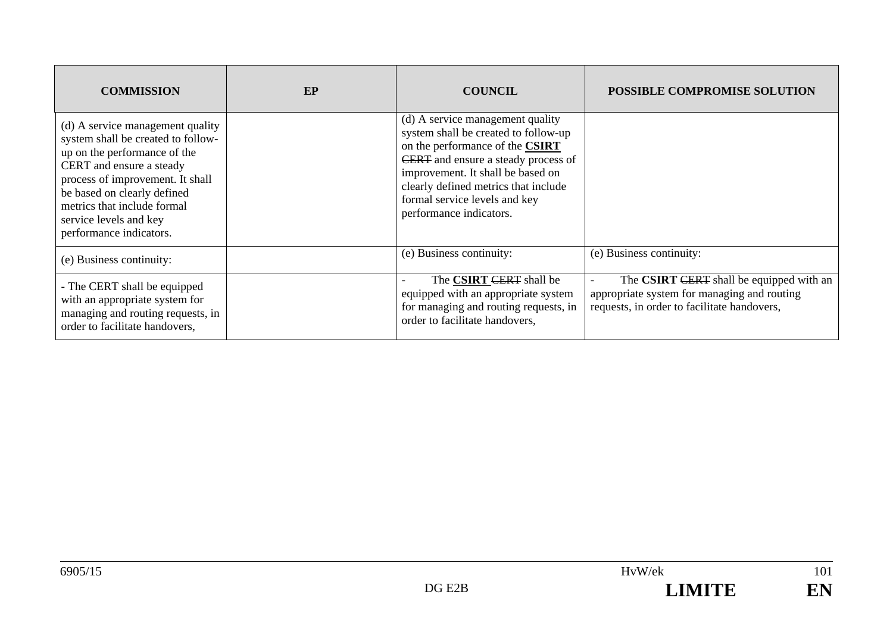| <b>COMMISSION</b>                                                                                                                                                                                                                                                                         | EP | <b>COUNCIL</b>                                                                                                                                                                                                                                                                              | <b>POSSIBLE COMPROMISE SOLUTION</b>                                                                                                    |
|-------------------------------------------------------------------------------------------------------------------------------------------------------------------------------------------------------------------------------------------------------------------------------------------|----|---------------------------------------------------------------------------------------------------------------------------------------------------------------------------------------------------------------------------------------------------------------------------------------------|----------------------------------------------------------------------------------------------------------------------------------------|
| (d) A service management quality<br>system shall be created to follow-<br>up on the performance of the<br>CERT and ensure a steady<br>process of improvement. It shall<br>be based on clearly defined<br>metrics that include formal<br>service levels and key<br>performance indicators. |    | (d) A service management quality<br>system shall be created to follow-up<br>on the performance of the CSIRT<br>CERT and ensure a steady process of<br>improvement. It shall be based on<br>clearly defined metrics that include<br>formal service levels and key<br>performance indicators. |                                                                                                                                        |
| (e) Business continuity:                                                                                                                                                                                                                                                                  |    | (e) Business continuity:                                                                                                                                                                                                                                                                    | (e) Business continuity:                                                                                                               |
| - The CERT shall be equipped<br>with an appropriate system for<br>managing and routing requests, in<br>order to facilitate handovers,                                                                                                                                                     |    | The CSIRT CERT shall be<br>equipped with an appropriate system<br>for managing and routing requests, in<br>order to facilitate handovers,                                                                                                                                                   | The CSIRT CERT shall be equipped with an<br>appropriate system for managing and routing<br>requests, in order to facilitate handovers, |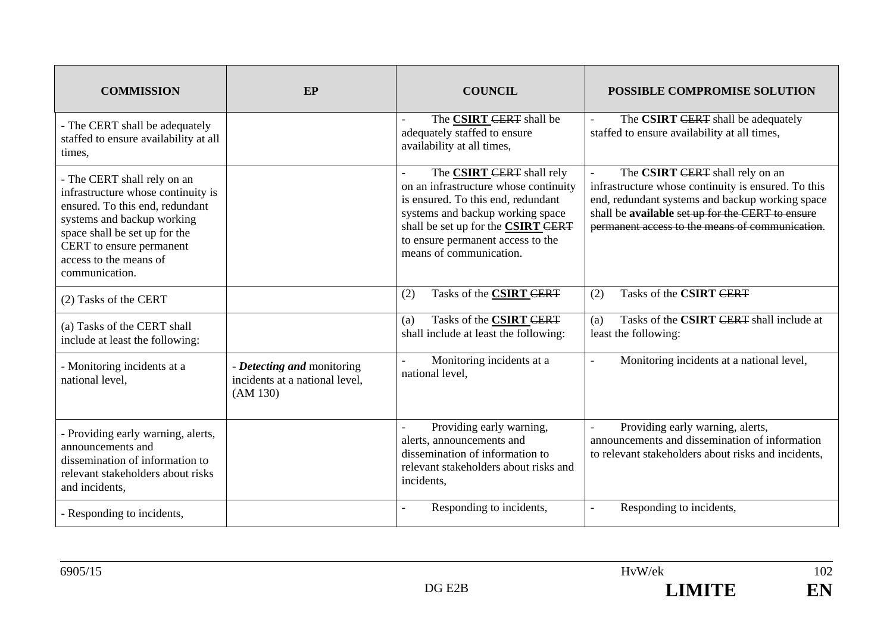| <b>COMMISSION</b>                                                                                                                                                                                                                           | EP                                                                       | <b>COUNCIL</b>                                                                                                                                                                                                                                                   | <b>POSSIBLE COMPROMISE SOLUTION</b>                                                                                                                                                                                                              |
|---------------------------------------------------------------------------------------------------------------------------------------------------------------------------------------------------------------------------------------------|--------------------------------------------------------------------------|------------------------------------------------------------------------------------------------------------------------------------------------------------------------------------------------------------------------------------------------------------------|--------------------------------------------------------------------------------------------------------------------------------------------------------------------------------------------------------------------------------------------------|
| - The CERT shall be adequately<br>staffed to ensure availability at all<br>times,                                                                                                                                                           |                                                                          | The CSIRT CERT shall be<br>adequately staffed to ensure<br>availability at all times,                                                                                                                                                                            | The CSIRT CERT shall be adequately<br>staffed to ensure availability at all times,                                                                                                                                                               |
| - The CERT shall rely on an<br>infrastructure whose continuity is<br>ensured. To this end, redundant<br>systems and backup working<br>space shall be set up for the<br>CERT to ensure permanent<br>access to the means of<br>communication. |                                                                          | The <b>CSIRT</b> CERT shall rely<br>on an infrastructure whose continuity<br>is ensured. To this end, redundant<br>systems and backup working space<br>shall be set up for the <b>CSIRT CERT</b><br>to ensure permanent access to the<br>means of communication. | The CSIRT CERT shall rely on an<br>infrastructure whose continuity is ensured. To this<br>end, redundant systems and backup working space<br>shall be available set up for the CERT to ensure<br>permanent access to the means of communication. |
| (2) Tasks of the CERT                                                                                                                                                                                                                       |                                                                          | (2)<br>Tasks of the <b>CSIRT CERT</b>                                                                                                                                                                                                                            | Tasks of the CSIRT CERT<br>(2)                                                                                                                                                                                                                   |
| (a) Tasks of the CERT shall<br>include at least the following:                                                                                                                                                                              |                                                                          | Tasks of the <b>CSIRT CERT</b><br>(a)<br>shall include at least the following:                                                                                                                                                                                   | Tasks of the CSIRT CERT shall include at<br>(a)<br>least the following:                                                                                                                                                                          |
| - Monitoring incidents at a<br>national level,                                                                                                                                                                                              | - Detecting and monitoring<br>incidents at a national level,<br>(AM 130) | Monitoring incidents at a<br>national level,                                                                                                                                                                                                                     | Monitoring incidents at a national level,<br>$\overline{a}$                                                                                                                                                                                      |
| - Providing early warning, alerts,<br>announcements and<br>dissemination of information to<br>relevant stakeholders about risks<br>and incidents,                                                                                           |                                                                          | Providing early warning,<br>alerts, announcements and<br>dissemination of information to<br>relevant stakeholders about risks and<br>incidents,                                                                                                                  | Providing early warning, alerts,<br>announcements and dissemination of information<br>to relevant stakeholders about risks and incidents,                                                                                                        |
| - Responding to incidents,                                                                                                                                                                                                                  |                                                                          | Responding to incidents,                                                                                                                                                                                                                                         | Responding to incidents,                                                                                                                                                                                                                         |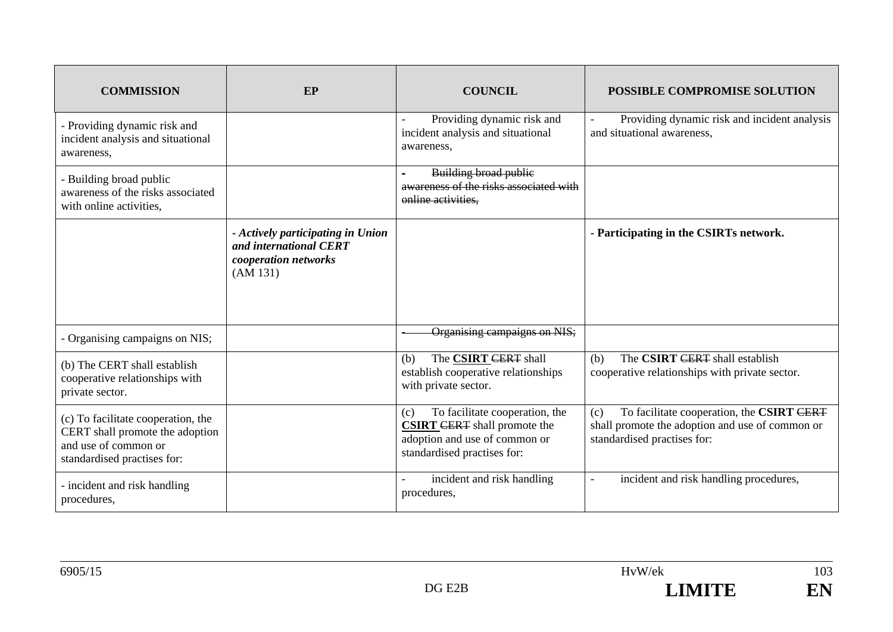| <b>COMMISSION</b>                                                                                                            | EP                                                                                              | <b>COUNCIL</b>                                                                                                                               | <b>POSSIBLE COMPROMISE SOLUTION</b>                                                                                                |
|------------------------------------------------------------------------------------------------------------------------------|-------------------------------------------------------------------------------------------------|----------------------------------------------------------------------------------------------------------------------------------------------|------------------------------------------------------------------------------------------------------------------------------------|
| - Providing dynamic risk and<br>incident analysis and situational<br>awareness,                                              |                                                                                                 | Providing dynamic risk and<br>incident analysis and situational<br>awareness,                                                                | Providing dynamic risk and incident analysis<br>and situational awareness,                                                         |
| - Building broad public<br>awareness of the risks associated<br>with online activities,                                      |                                                                                                 | <b>Building broad public</b><br>awareness of the risks associated with<br>online activities.                                                 |                                                                                                                                    |
|                                                                                                                              | - Actively participating in Union<br>and international CERT<br>cooperation networks<br>(AM 131) |                                                                                                                                              | - Participating in the CSIRTs network.                                                                                             |
| - Organising campaigns on NIS;                                                                                               |                                                                                                 | Organising campaigns on NIS;                                                                                                                 |                                                                                                                                    |
| (b) The CERT shall establish<br>cooperative relationships with<br>private sector.                                            |                                                                                                 | The <b>CSIRT</b> CERT shall<br>(b)<br>establish cooperative relationships<br>with private sector.                                            | The CSIRT CERT shall establish<br>(b)<br>cooperative relationships with private sector.                                            |
| (c) To facilitate cooperation, the<br>CERT shall promote the adoption<br>and use of common or<br>standardised practises for: |                                                                                                 | To facilitate cooperation, the<br>(c)<br><b>CSIRT CERT</b> shall promote the<br>adoption and use of common or<br>standardised practises for: | To facilitate cooperation, the CSIRT CERT<br>(c)<br>shall promote the adoption and use of common or<br>standardised practises for: |
| - incident and risk handling<br>procedures,                                                                                  |                                                                                                 | incident and risk handling<br>procedures,                                                                                                    | incident and risk handling procedures,                                                                                             |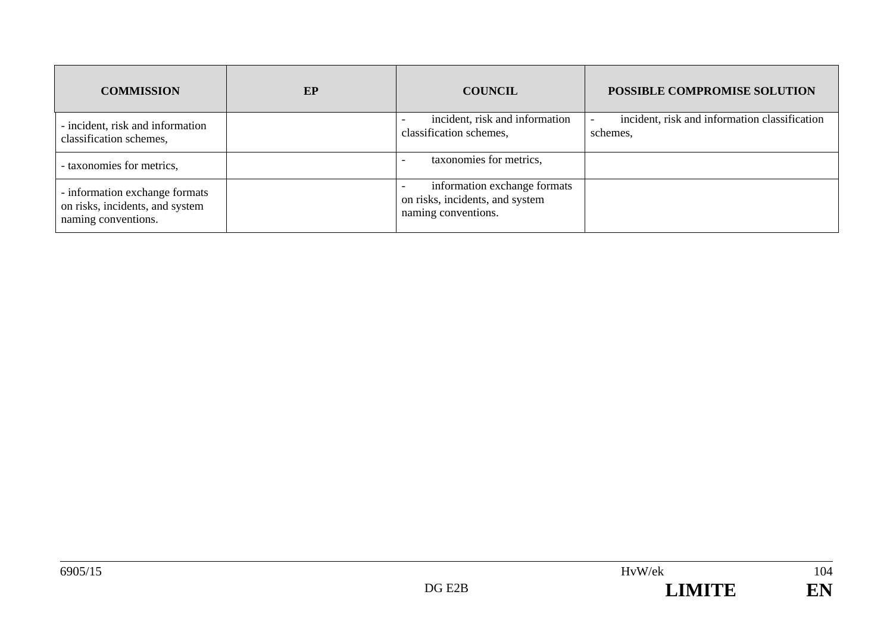| <b>COMMISSION</b>                                                                        | EP | <b>COUNCIL</b>                                                                         | POSSIBLE COMPROMISE SOLUTION                              |
|------------------------------------------------------------------------------------------|----|----------------------------------------------------------------------------------------|-----------------------------------------------------------|
| - incident, risk and information<br>classification schemes,                              |    | incident, risk and information<br>classification schemes,                              | incident, risk and information classification<br>schemes, |
| - taxonomies for metrics,                                                                |    | taxonomies for metrics,                                                                |                                                           |
| - information exchange formats<br>on risks, incidents, and system<br>naming conventions. |    | information exchange formats<br>on risks, incidents, and system<br>naming conventions. |                                                           |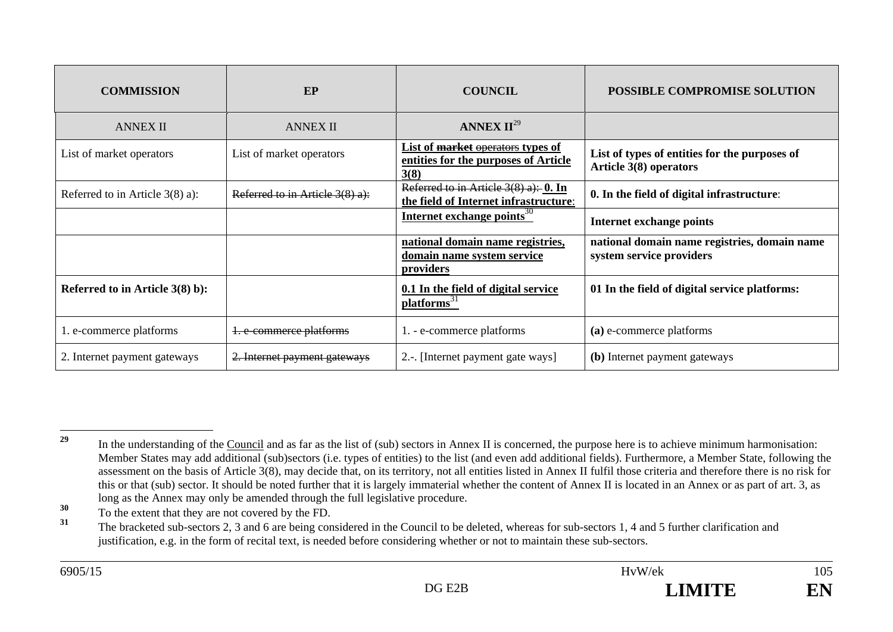| <b>COMMISSION</b>                 | EP                              | <b>COUNCIL</b>                                                                    | <b>POSSIBLE COMPROMISE SOLUTION</b>                                      |
|-----------------------------------|---------------------------------|-----------------------------------------------------------------------------------|--------------------------------------------------------------------------|
| <b>ANNEX II</b>                   | <b>ANNEX II</b>                 | ANNEX $II^{29}$                                                                   |                                                                          |
| List of market operators          | List of market operators        | List of market operators types of<br>entities for the purposes of Article<br>3(8) | List of types of entities for the purposes of<br>Article 3(8) operators  |
| Referred to in Article $3(8)$ a): | Referred to in Article 3(8) a): | Referred to in Article $3(8)$ a): 0. In<br>the field of Internet infrastructure:  | 0. In the field of digital infrastructure:                               |
|                                   |                                 | Internet exchange points <sup>30</sup>                                            | <b>Internet exchange points</b>                                          |
|                                   |                                 | national domain name registries,<br>domain name system service<br>providers       | national domain name registries, domain name<br>system service providers |
| Referred to in Article $3(8)$ b): |                                 | 0.1 In the field of digital service<br>platforms <sup>31</sup>                    | 01 In the field of digital service platforms:                            |
| 1. e-commerce platforms           | 1. e-commerce platforms         | 1. - e-commerce platforms                                                         | (a) e-commerce platforms                                                 |
| 2. Internet payment gateways      | 2. Internet payment gateways    | 2.-. [Internet payment gate ways]                                                 | (b) Internet payment gateways                                            |

<sup>&</sup>lt;sup>29</sup> In the understanding of the Council and as far as the list of (sub) sectors in Annex II is concerned, the purpose here is to achieve minimum harmonisation: Member States may add additional (sub)sectors (i.e. types of entities) to the list (and even add additional fields). Furthermore, a Member State, following the assessment on the basis of Article 3(8), may decide that, on its territory, not all entities listed in Annex II fulfil those criteria and therefore there is no risk for this or that (sub) sector. It should be noted further that it is largely immaterial whether the content of Annex II is located in an Annex or as part of art. 3, as long as the Annex may only be amended through the full legislative procedure.

**<sup>30</sup>** To the extent that they are not covered by the FD.

**<sup>31</sup>** The bracketed sub-sectors 2, 3 and 6 are being considered in the Council to be deleted, whereas for sub-sectors 1, 4 and 5 further clarification and justification, e.g. in the form of recital text, is needed before considering whether or not to maintain these sub-sectors.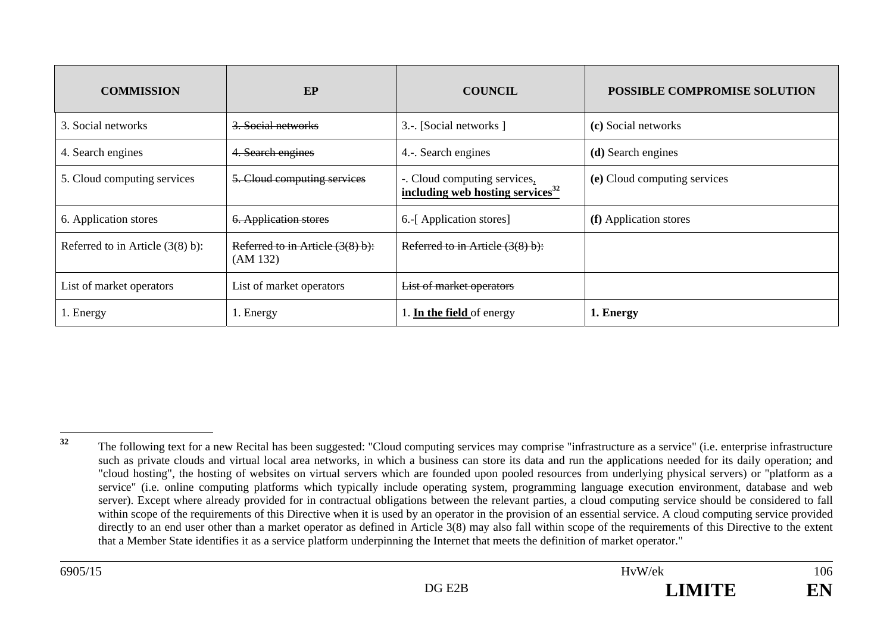| <b>COMMISSION</b>                   | EP                                           | <b>COUNCIL</b>                                                               | <b>POSSIBLE COMPROMISE SOLUTION</b> |
|-------------------------------------|----------------------------------------------|------------------------------------------------------------------------------|-------------------------------------|
| 3. Social networks                  | 3. Social networks                           | 3.-. [Social networks]                                                       | (c) Social networks                 |
| 4. Search engines                   | 4. Search engines                            | 4.-. Search engines                                                          | (d) Search engines                  |
| 5. Cloud computing services         | 5. Cloud computing services                  | -. Cloud computing services,<br>including web hosting services <sup>32</sup> | (e) Cloud computing services        |
| 6. Application stores               | 6. Application stores                        | 6.-[Application stores]                                                      | (f) Application stores              |
| Referred to in Article $(3(8) b)$ : | Referred to in Article (3(8) b):<br>(AM 132) | Referred to in Article (3(8) b):                                             |                                     |
| List of market operators            | List of market operators                     | List of market operators                                                     |                                     |
| 1. Energy                           | 1. Energy                                    | 1. In the field of energy                                                    | 1. Energy                           |

<sup>&</sup>lt;sup>32</sup> The following text for a new Recital has been suggested: "Cloud computing services may comprise "infrastructure as a service" (i.e. enterprise infrastructure such as private clouds and virtual local area networks, in which a business can store its data and run the applications needed for its daily operation; and "cloud hosting", the hosting of websites on virtual servers which are founded upon pooled resources from underlying physical servers) or "platform as a service" (i.e. online computing platforms which typically include operating system, programming language execution environment, database and web server). Except where already provided for in contractual obligations between the relevant parties, a cloud computing service should be considered to fall within scope of the requirements of this Directive when it is used by an operator in the provision of an essential service. A cloud computing service provided directly to an end user other than a market operator as defined in Article 3(8) may also fall within scope of the requirements of this Directive to the extent that a Member State identifies it as a service platform underpinning the Internet that meets the definition of market operator."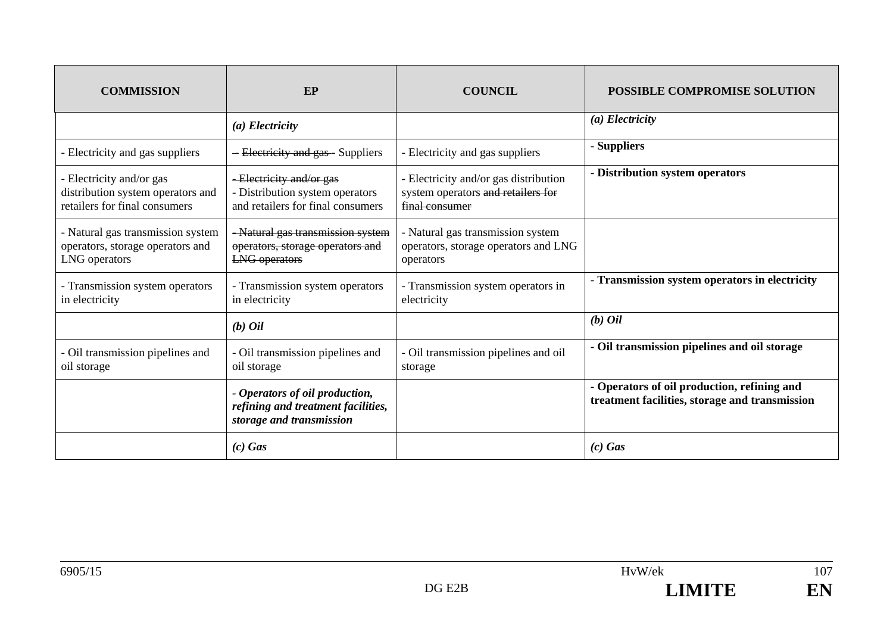| <b>COMMISSION</b>                                                                              | EP                                                                                               | <b>COUNCIL</b>                                                                                | <b>POSSIBLE COMPROMISE SOLUTION</b>                                                           |
|------------------------------------------------------------------------------------------------|--------------------------------------------------------------------------------------------------|-----------------------------------------------------------------------------------------------|-----------------------------------------------------------------------------------------------|
|                                                                                                | $(a)$ Electricity                                                                                |                                                                                               | $(a)$ Electricity                                                                             |
| - Electricity and gas suppliers                                                                | - Electricity and gas - Suppliers                                                                | - Electricity and gas suppliers                                                               | - Suppliers                                                                                   |
| - Electricity and/or gas<br>distribution system operators and<br>retailers for final consumers | -Electricity and/or gas<br>- Distribution system operators<br>and retailers for final consumers  | - Electricity and/or gas distribution<br>system operators and retailers for<br>final consumer | - Distribution system operators                                                               |
| - Natural gas transmission system<br>operators, storage operators and<br>LNG operators         | - Natural gas transmission system<br>operators, storage operators and<br><b>LNG</b> operators    | - Natural gas transmission system<br>operators, storage operators and LNG<br>operators        |                                                                                               |
| - Transmission system operators<br>in electricity                                              | - Transmission system operators<br>in electricity                                                | - Transmission system operators in<br>electricity                                             | - Transmission system operators in electricity                                                |
|                                                                                                | $(b)$ Oil                                                                                        |                                                                                               | $(b)$ <i>Oil</i>                                                                              |
| - Oil transmission pipelines and<br>oil storage                                                | - Oil transmission pipelines and<br>oil storage                                                  | - Oil transmission pipelines and oil<br>storage                                               | - Oil transmission pipelines and oil storage                                                  |
|                                                                                                | - Operators of oil production,<br>refining and treatment facilities,<br>storage and transmission |                                                                                               | - Operators of oil production, refining and<br>treatment facilities, storage and transmission |
|                                                                                                | $(c)$ Gas                                                                                        |                                                                                               | $(c)$ Gas                                                                                     |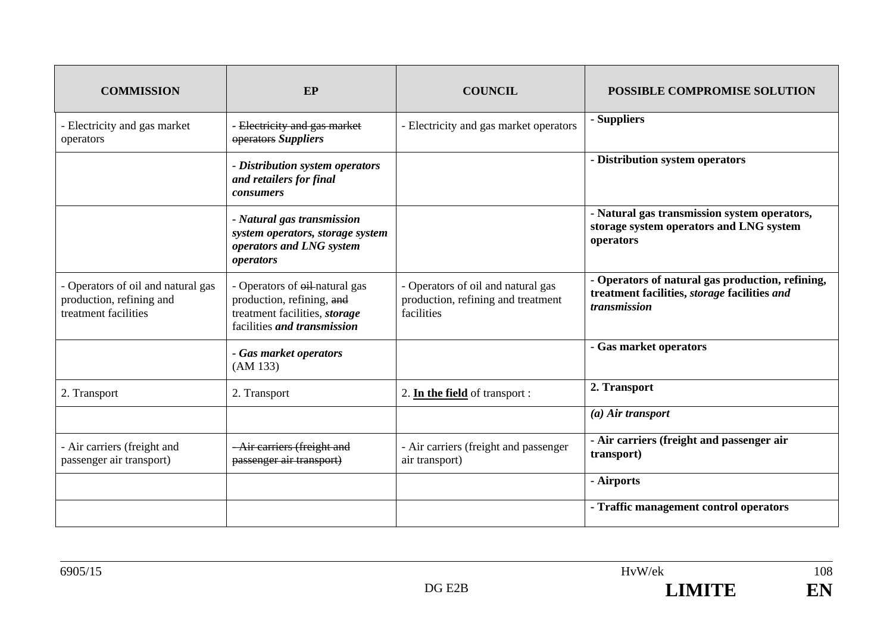| <b>COMMISSION</b>                                                                      | EP                                                                                                                                  | <b>COUNCIL</b>                                                                         | POSSIBLE COMPROMISE SOLUTION                                                                                     |
|----------------------------------------------------------------------------------------|-------------------------------------------------------------------------------------------------------------------------------------|----------------------------------------------------------------------------------------|------------------------------------------------------------------------------------------------------------------|
| - Electricity and gas market<br>operators                                              | - Electricity and gas market<br>operators Suppliers                                                                                 | - Electricity and gas market operators                                                 | - Suppliers                                                                                                      |
|                                                                                        | - Distribution system operators<br>and retailers for final<br>consumers                                                             |                                                                                        | - Distribution system operators                                                                                  |
|                                                                                        | - Natural gas transmission<br>system operators, storage system<br>operators and LNG system<br>operators                             |                                                                                        | - Natural gas transmission system operators,<br>storage system operators and LNG system<br>operators             |
| - Operators of oil and natural gas<br>production, refining and<br>treatment facilities | - Operators of $\theta$ il-natural gas<br>production, refining, and<br>treatment facilities, storage<br>facilities and transmission | - Operators of oil and natural gas<br>production, refining and treatment<br>facilities | - Operators of natural gas production, refining,<br>treatment facilities, storage facilities and<br>transmission |
|                                                                                        | - Gas market operators<br>(AM 133)                                                                                                  |                                                                                        | - Gas market operators                                                                                           |
| 2. Transport                                                                           | 2. Transport                                                                                                                        | 2. In the field of transport :                                                         | 2. Transport                                                                                                     |
|                                                                                        |                                                                                                                                     |                                                                                        | $(a)$ Air transport                                                                                              |
| - Air carriers (freight and<br>passenger air transport)                                | -Air carriers (freight and<br>passenger air transport)                                                                              | - Air carriers (freight and passenger<br>air transport)                                | - Air carriers (freight and passenger air<br>transport)                                                          |
|                                                                                        |                                                                                                                                     |                                                                                        | - Airports                                                                                                       |
|                                                                                        |                                                                                                                                     |                                                                                        | - Traffic management control operators                                                                           |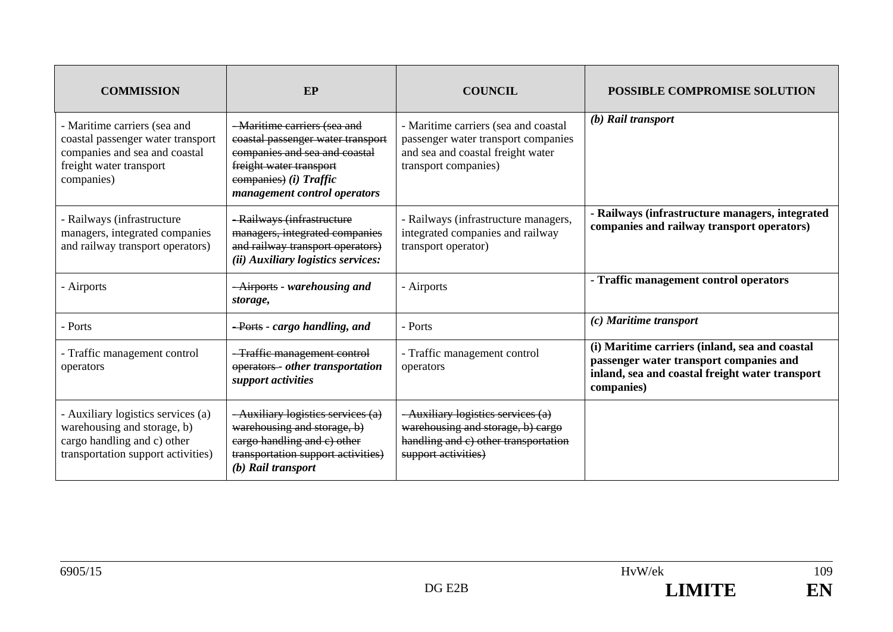| <b>COMMISSION</b>                                                                                                                           | EP                                                                                                                                                                                      | <b>COUNCIL</b>                                                                                                                           | <b>POSSIBLE COMPROMISE SOLUTION</b>                                                                                                                        |
|---------------------------------------------------------------------------------------------------------------------------------------------|-----------------------------------------------------------------------------------------------------------------------------------------------------------------------------------------|------------------------------------------------------------------------------------------------------------------------------------------|------------------------------------------------------------------------------------------------------------------------------------------------------------|
| - Maritime carriers (sea and<br>coastal passenger water transport<br>companies and sea and coastal<br>freight water transport<br>companies) | - Maritime carriers (sea and<br>coastal passenger water transport<br>companies and sea and coastal<br>freight water transport<br>eompanies) (i) Traffic<br>management control operators | - Maritime carriers (sea and coastal<br>passenger water transport companies<br>and sea and coastal freight water<br>transport companies) | $(b)$ Rail transport                                                                                                                                       |
| - Railways (infrastructure<br>managers, integrated companies<br>and railway transport operators)                                            | - Railways (infrastructure<br>managers, integrated companies<br>and railway transport operators)<br>(ii) Auxiliary logistics services:                                                  | - Railways (infrastructure managers,<br>integrated companies and railway<br>transport operator)                                          | - Railways (infrastructure managers, integrated<br>companies and railway transport operators)                                                              |
| - Airports                                                                                                                                  | -Airports - warehousing and<br>storage,                                                                                                                                                 | - Airports                                                                                                                               | - Traffic management control operators                                                                                                                     |
| - Ports                                                                                                                                     | <del>- Ports</del> - cargo handling, and                                                                                                                                                | - Ports                                                                                                                                  | (c) Maritime transport                                                                                                                                     |
| - Traffic management control<br>operators                                                                                                   | -Traffic management control<br>operators - other transportation<br>support activities                                                                                                   | - Traffic management control<br>operators                                                                                                | (i) Maritime carriers (inland, sea and coastal<br>passenger water transport companies and<br>inland, sea and coastal freight water transport<br>companies) |
| - Auxiliary logistics services (a)<br>warehousing and storage, b)<br>cargo handling and c) other<br>transportation support activities)      | - Auxiliary logistics services (a)<br>warehousing and storage, b)<br>eargo handling and c) other<br>transportation support activities)<br>(b) Rail transport                            | -Auxiliary logistics services (a)<br>warehousing and storage, b) cargo<br>handling and c) other transportation<br>support activities)    |                                                                                                                                                            |

 $\frac{109}{109}$ 

EN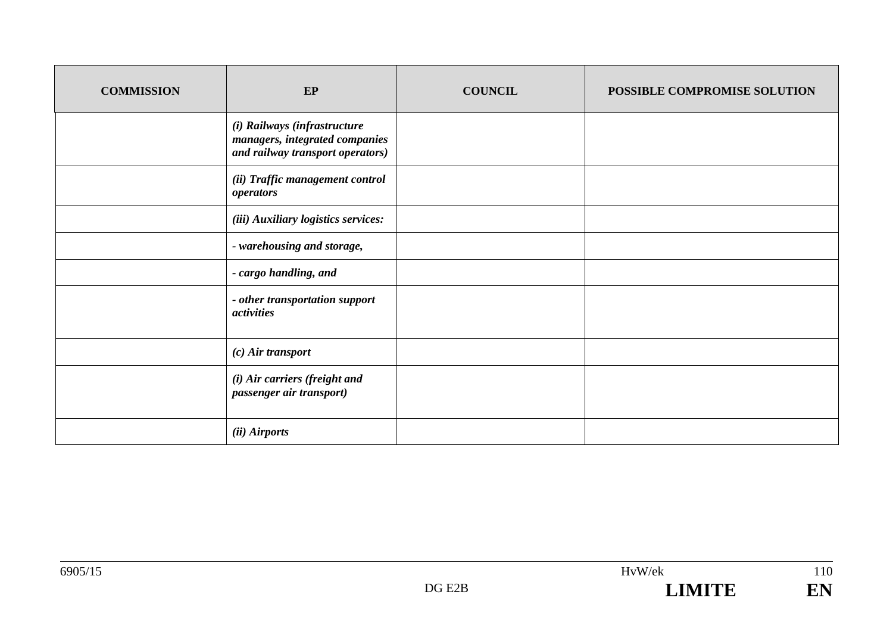| <b>COMMISSION</b> | EP                                                                                                 | <b>COUNCIL</b> | POSSIBLE COMPROMISE SOLUTION |
|-------------------|----------------------------------------------------------------------------------------------------|----------------|------------------------------|
|                   | (i) Railways (infrastructure<br>managers, integrated companies<br>and railway transport operators) |                |                              |
|                   | (ii) Traffic management control<br><i>operators</i>                                                |                |                              |
|                   | (iii) Auxiliary logistics services:                                                                |                |                              |
|                   | - warehousing and storage,                                                                         |                |                              |
|                   | - cargo handling, and                                                                              |                |                              |
|                   | - other transportation support<br>activities                                                       |                |                              |
|                   | $(c)$ Air transport                                                                                |                |                              |
|                   | (i) Air carriers (freight and<br>passenger air transport)                                          |                |                              |
|                   | (ii) Airports                                                                                      |                |                              |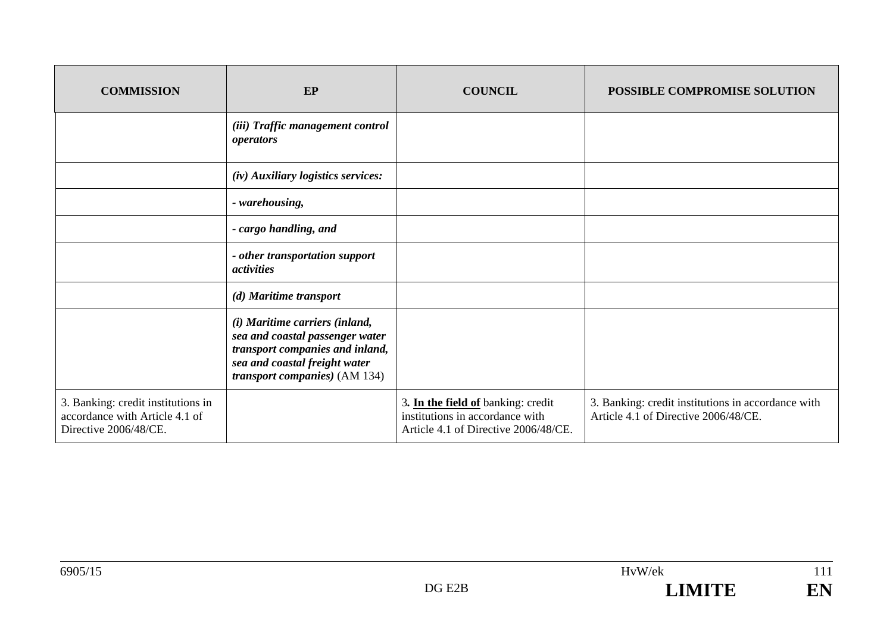| <b>COMMISSION</b>                                                                             | EP                                                                                                                                                                             | <b>COUNCIL</b>                                                                                                | <b>POSSIBLE COMPROMISE SOLUTION</b>                                                        |
|-----------------------------------------------------------------------------------------------|--------------------------------------------------------------------------------------------------------------------------------------------------------------------------------|---------------------------------------------------------------------------------------------------------------|--------------------------------------------------------------------------------------------|
|                                                                                               | (iii) Traffic management control<br>operators                                                                                                                                  |                                                                                                               |                                                                                            |
|                                                                                               | (iv) Auxiliary logistics services:                                                                                                                                             |                                                                                                               |                                                                                            |
|                                                                                               | - warehousing,                                                                                                                                                                 |                                                                                                               |                                                                                            |
|                                                                                               | - cargo handling, and                                                                                                                                                          |                                                                                                               |                                                                                            |
|                                                                                               | - other transportation support<br><i>activities</i>                                                                                                                            |                                                                                                               |                                                                                            |
|                                                                                               | (d) Maritime transport                                                                                                                                                         |                                                                                                               |                                                                                            |
|                                                                                               | (i) Maritime carriers (inland,<br>sea and coastal passenger water<br>transport companies and inland,<br>sea and coastal freight water<br><i>transport companies</i> ) (AM 134) |                                                                                                               |                                                                                            |
| 3. Banking: credit institutions in<br>accordance with Article 4.1 of<br>Directive 2006/48/CE. |                                                                                                                                                                                | 3. In the field of banking: credit<br>institutions in accordance with<br>Article 4.1 of Directive 2006/48/CE. | 3. Banking: credit institutions in accordance with<br>Article 4.1 of Directive 2006/48/CE. |

111

EN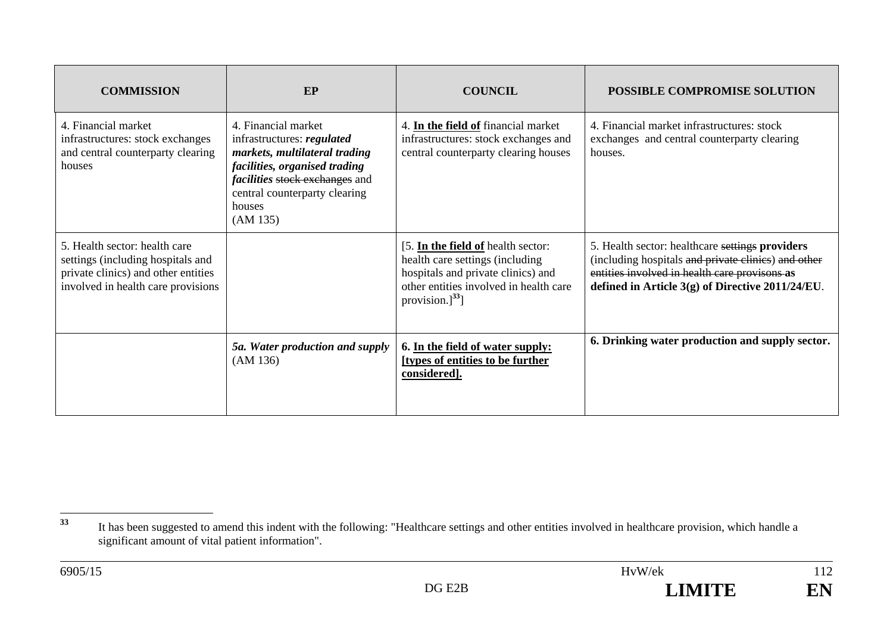| <b>COMMISSION</b>                                                                                                                               | EP                                                                                                                                                                                                                  | <b>COUNCIL</b>                                                                                                                                                                 | <b>POSSIBLE COMPROMISE SOLUTION</b>                                                                                                                                                                         |
|-------------------------------------------------------------------------------------------------------------------------------------------------|---------------------------------------------------------------------------------------------------------------------------------------------------------------------------------------------------------------------|--------------------------------------------------------------------------------------------------------------------------------------------------------------------------------|-------------------------------------------------------------------------------------------------------------------------------------------------------------------------------------------------------------|
| 4. Financial market<br>infrastructures: stock exchanges<br>and central counterparty clearing<br>houses                                          | 4. Financial market<br>infrastructures: regulated<br>markets, multilateral trading<br>facilities, organised trading<br><i>facilities</i> stock exchanges and<br>central counterparty clearing<br>houses<br>(AM 135) | 4. In the field of financial market<br>infrastructures: stock exchanges and<br>central counterparty clearing houses                                                            | 4. Financial market infrastructures: stock<br>exchanges and central counterparty clearing<br>houses.                                                                                                        |
| 5. Health sector: health care<br>settings (including hospitals and<br>private clinics) and other entities<br>involved in health care provisions |                                                                                                                                                                                                                     | [5. In the field of health sector:<br>health care settings (including<br>hospitals and private clinics) and<br>other entities involved in health care<br>provision.] $^{33}$ ] | 5. Health sector: healthcare settings providers<br>(including hospitals and private clinics) and other<br>entities involved in health care provisons as<br>defined in Article 3(g) of Directive 2011/24/EU. |
|                                                                                                                                                 | 5a. Water production and supply<br>(AM 136)                                                                                                                                                                         | 6. In the field of water supply:<br>[types of entities to be further<br>considered].                                                                                           | 6. Drinking water production and supply sector.                                                                                                                                                             |

**<sup>33</sup>** It has been suggested to amend this indent with the following: "Healthcare settings and other entities involved in healthcare provision, which handle a significant amount of vital patient information".